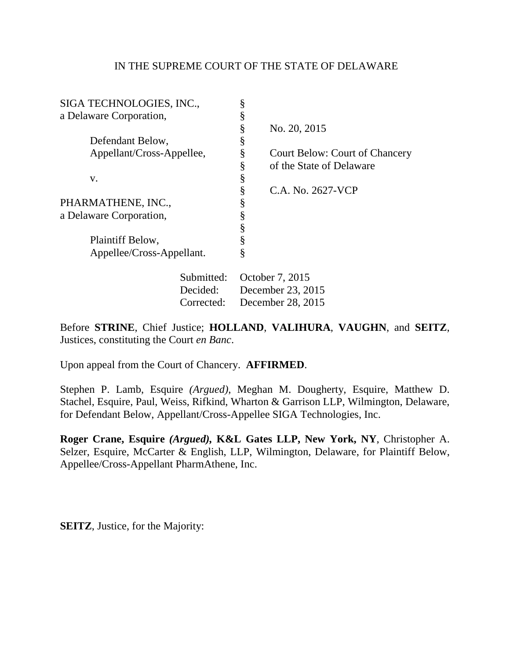## IN THE SUPREME COURT OF THE STATE OF DELAWARE

| SIGA TECHNOLOGIES, INC.,  |            | ş                 |                                       |
|---------------------------|------------|-------------------|---------------------------------------|
| a Delaware Corporation,   |            | ş                 |                                       |
|                           |            | §                 | No. 20, 2015                          |
| Defendant Below,          |            | ş                 |                                       |
| Appellant/Cross-Appellee, |            | §                 | <b>Court Below: Court of Chancery</b> |
|                           |            | §                 | of the State of Delaware              |
| V.                        |            | ş                 |                                       |
|                           |            | ş                 | C.A. No. 2627-VCP                     |
| PHARMATHENE, INC.,        |            | ş                 |                                       |
| a Delaware Corporation,   |            | ş                 |                                       |
|                           |            | ş                 |                                       |
| Plaintiff Below,          |            | ş                 |                                       |
| Appellee/Cross-Appellant. |            | Ş                 |                                       |
|                           | Submitted: | October 7, 2015   |                                       |
| Decided:                  |            | December 23, 2015 |                                       |

Before **STRINE**, Chief Justice; **HOLLAND**, **VALIHURA**, **VAUGHN**, and **SEITZ**, Justices, constituting the Court *en Banc*.

Corrected: December 28, 2015

Upon appeal from the Court of Chancery. **AFFIRMED**.

Stephen P. Lamb, Esquire *(Argued)*, Meghan M. Dougherty, Esquire, Matthew D. Stachel, Esquire, Paul, Weiss, Rifkind, Wharton & Garrison LLP, Wilmington, Delaware, for Defendant Below, Appellant/Cross-Appellee SIGA Technologies, Inc.

**Roger Crane, Esquire** *(Argued),* **K&L Gates LLP, New York, NY**, Christopher A. Selzer, Esquire, McCarter & English, LLP, Wilmington, Delaware, for Plaintiff Below, Appellee/Cross-Appellant PharmAthene, Inc.

**SEITZ**, Justice, for the Majority: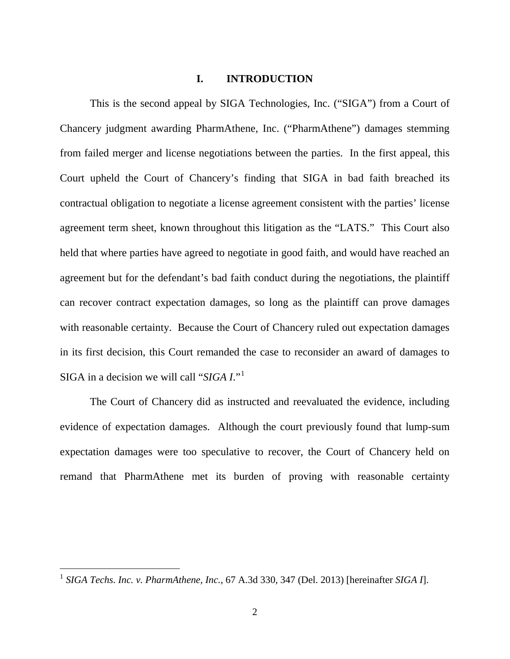### **I. INTRODUCTION**

This is the second appeal by SIGA Technologies, Inc. ("SIGA") from a Court of Chancery judgment awarding PharmAthene, Inc. ("PharmAthene") damages stemming from failed merger and license negotiations between the parties. In the first appeal, this Court upheld the Court of Chancery's finding that SIGA in bad faith breached its contractual obligation to negotiate a license agreement consistent with the parties' license agreement term sheet, known throughout this litigation as the "LATS." This Court also held that where parties have agreed to negotiate in good faith, and would have reached an agreement but for the defendant's bad faith conduct during the negotiations, the plaintiff can recover contract expectation damages, so long as the plaintiff can prove damages with reasonable certainty. Because the Court of Chancery ruled out expectation damages in its first decision, this Court remanded the case to reconsider an award of damages to SIGA in a decision we will call "*SIGA I*."[1](#page-1-0)

The Court of Chancery did as instructed and reevaluated the evidence, including evidence of expectation damages. Although the court previously found that lump-sum expectation damages were too speculative to recover, the Court of Chancery held on remand that PharmAthene met its burden of proving with reasonable certainty

<span id="page-1-0"></span> <sup>1</sup> *SIGA Techs. Inc. v. PharmAthene, Inc.*, 67 A.3d 330, 347 (Del. 2013) [hereinafter *SIGA I*].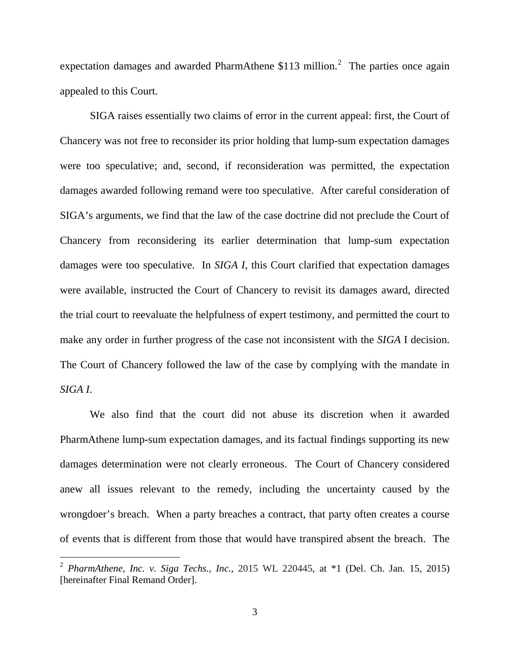expectation damages and awarded PharmAthene  $$113$  million.<sup>[2](#page-2-0)</sup> The parties once again appealed to this Court.

SIGA raises essentially two claims of error in the current appeal: first, the Court of Chancery was not free to reconsider its prior holding that lump-sum expectation damages were too speculative; and, second, if reconsideration was permitted, the expectation damages awarded following remand were too speculative. After careful consideration of SIGA's arguments, we find that the law of the case doctrine did not preclude the Court of Chancery from reconsidering its earlier determination that lump-sum expectation damages were too speculative. In *SIGA I*, this Court clarified that expectation damages were available, instructed the Court of Chancery to revisit its damages award, directed the trial court to reevaluate the helpfulness of expert testimony, and permitted the court to make any order in further progress of the case not inconsistent with the *SIGA* I decision. The Court of Chancery followed the law of the case by complying with the mandate in *SIGA I*.

We also find that the court did not abuse its discretion when it awarded PharmAthene lump-sum expectation damages, and its factual findings supporting its new damages determination were not clearly erroneous. The Court of Chancery considered anew all issues relevant to the remedy, including the uncertainty caused by the wrongdoer's breach. When a party breaches a contract, that party often creates a course of events that is different from those that would have transpired absent the breach. The

<span id="page-2-0"></span> <sup>2</sup> *PharmAthene, Inc. v. Siga Techs., Inc.*, 2015 WL 220445, at \*1 (Del. Ch. Jan. 15, 2015) [hereinafter Final Remand Order].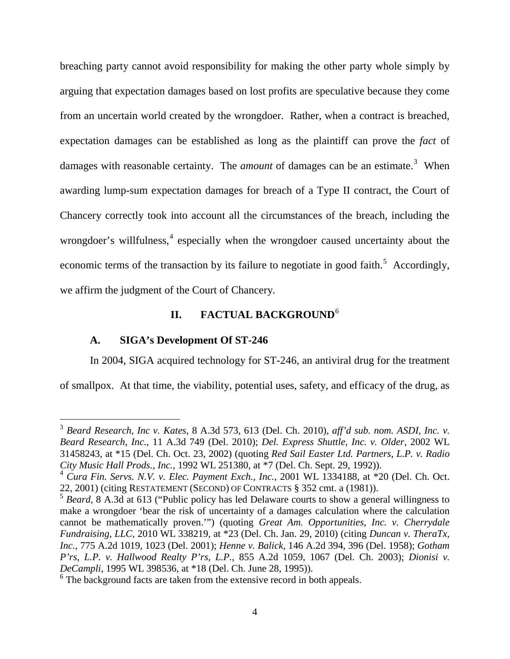breaching party cannot avoid responsibility for making the other party whole simply by arguing that expectation damages based on lost profits are speculative because they come from an uncertain world created by the wrongdoer. Rather, when a contract is breached, expectation damages can be established as long as the plaintiff can prove the *fact* of damages with reasonable certainty. The *amount* of damages can be an estimate.<sup>[3](#page-3-0)</sup> When awarding lump-sum expectation damages for breach of a Type II contract, the Court of Chancery correctly took into account all the circumstances of the breach, including the wrongdoer's willfulness,<sup>[4](#page-3-1)</sup> especially when the wrongdoer caused uncertainty about the economic terms of the transaction by its failure to negotiate in good faith.<sup>[5](#page-3-2)</sup> Accordingly, we affirm the judgment of the Court of Chancery.

# **II. FACTUAL BACKGROUND**[6](#page-3-3)

### **A. SIGA's Development Of ST-246**

In 2004, SIGA acquired technology for ST-246, an antiviral drug for the treatment of smallpox. At that time, the viability, potential uses, safety, and efficacy of the drug, as

<span id="page-3-0"></span> <sup>3</sup> *Beard Research, Inc v. Kates*, 8 A.3d 573, 613 (Del. Ch. 2010), *aff'd sub. nom. ASDI, Inc. v. Beard Research, Inc.*, 11 A.3d 749 (Del. 2010); *Del. Express Shuttle, Inc. v. Older*, 2002 WL 31458243, at \*15 (Del. Ch. Oct. 23, 2002) (quoting *Red Sail Easter Ltd. Partners, L.P. v. Radio City Music Hall Prods., Inc.*, 1992 WL 251380, at \*7 (Del. Ch. Sept. 29, 1992)).

<span id="page-3-1"></span><sup>4</sup> *Cura Fin. Servs. N.V. v. Elec. Payment Exch., Inc.*, 2001 WL 1334188, at \*20 (Del. Ch. Oct. 22, 2001) (citing RESTATEMENT (SECOND) OF CONTRACTS § 352 cmt. a (1981)).

<span id="page-3-2"></span><sup>&</sup>lt;sup>5</sup> *Beard*, 8 A.3d at 613 ("Public policy has led Delaware courts to show a general willingness to make a wrongdoer 'bear the risk of uncertainty of a damages calculation where the calculation cannot be mathematically proven.'") (quoting *Great Am. Opportunities, Inc. v. Cherrydale Fundraising, LLC*, 2010 WL 338219, at \*23 (Del. Ch. Jan. 29, 2010) (citing *[Duncan v. TheraTx,](https://a.next.westlaw.com/Link/Document/FullText?findType=Y&serNum=2001518927&pubNum=162&originatingDoc=I2229f523fbbd11df88699d6fd571daba&refType=RP&fi=co_pp_sp_162_1023&originationContext=document&transitionType=DocumentItem&contextData=(sc.Search)#co_pp_sp_162_1023)  Inc.,* [775 A.2d 1019, 1023 \(Del. 2001\);](https://a.next.westlaw.com/Link/Document/FullText?findType=Y&serNum=2001518927&pubNum=162&originatingDoc=I2229f523fbbd11df88699d6fd571daba&refType=RP&fi=co_pp_sp_162_1023&originationContext=document&transitionType=DocumentItem&contextData=(sc.Search)#co_pp_sp_162_1023) *Henne v. Balick,* [146 A.2d 394, 396 \(Del. 1958\);](https://a.next.westlaw.com/Link/Document/FullText?findType=Y&serNum=1959132101&pubNum=162&originatingDoc=I2229f523fbbd11df88699d6fd571daba&refType=RP&fi=co_pp_sp_162_396&originationContext=document&transitionType=DocumentItem&contextData=(sc.Search)#co_pp_sp_162_396) *[Gotham](https://a.next.westlaw.com/Link/Document/FullText?findType=Y&serNum=2003490532&pubNum=162&originatingDoc=I2229f523fbbd11df88699d6fd571daba&refType=RP&fi=co_pp_sp_162_1067&originationContext=document&transitionType=DocumentItem&contextData=(sc.Search)#co_pp_sp_162_1067)  [P'rs, L.P. v. Hallwood Realty P'rs, L.P.,](https://a.next.westlaw.com/Link/Document/FullText?findType=Y&serNum=2003490532&pubNum=162&originatingDoc=I2229f523fbbd11df88699d6fd571daba&refType=RP&fi=co_pp_sp_162_1067&originationContext=document&transitionType=DocumentItem&contextData=(sc.Search)#co_pp_sp_162_1067)* 855 A.2d 1059, 1067 (Del. Ch. 2003); *[Dionisi v.](https://a.next.westlaw.com/Link/Document/FullText?findType=Y&serNum=1995144874&pubNum=0000999&originatingDoc=I2229f523fbbd11df88699d6fd571daba&refType=RP&originationContext=document&transitionType=DocumentItem&contextData=(sc.Search))  DeCampli,* [1995 WL 398536, at \\*18 \(Del.](https://a.next.westlaw.com/Link/Document/FullText?findType=Y&serNum=1995144874&pubNum=0000999&originatingDoc=I2229f523fbbd11df88699d6fd571daba&refType=RP&originationContext=document&transitionType=DocumentItem&contextData=(sc.Search)) Ch. June 28, 1995)).

<span id="page-3-3"></span> $6$  The background facts are taken from the extensive record in both appeals.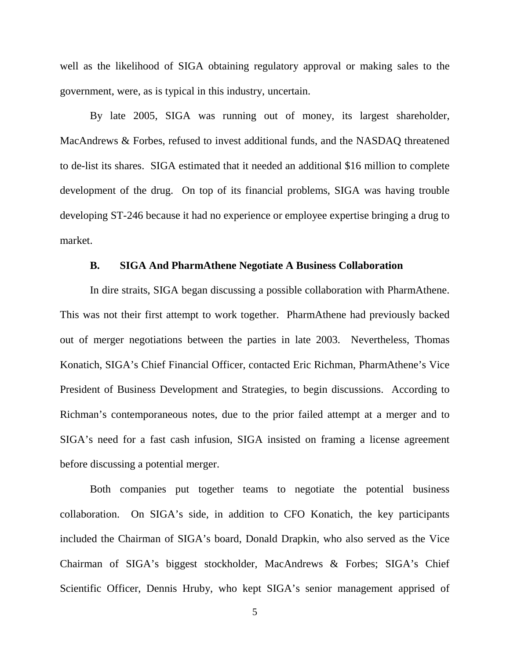well as the likelihood of SIGA obtaining regulatory approval or making sales to the government, were, as is typical in this industry, uncertain.

By late 2005, SIGA was running out of money, its largest shareholder, MacAndrews & Forbes, refused to invest additional funds, and the NASDAQ threatened to de-list its shares. SIGA estimated that it needed an additional \$16 million to complete development of the drug. On top of its financial problems, SIGA was having trouble developing ST-246 because it had no experience or employee expertise bringing a drug to market.

#### **B. SIGA And PharmAthene Negotiate A Business Collaboration**

In dire straits, SIGA began discussing a possible collaboration with PharmAthene. This was not their first attempt to work together. PharmAthene had previously backed out of merger negotiations between the parties in late 2003. Nevertheless, Thomas Konatich, SIGA's Chief Financial Officer, contacted Eric Richman, PharmAthene's Vice President of Business Development and Strategies, to begin discussions. According to Richman's contemporaneous notes, due to the prior failed attempt at a merger and to SIGA's need for a fast cash infusion, SIGA insisted on framing a license agreement before discussing a potential merger.

Both companies put together teams to negotiate the potential business collaboration. On SIGA's side, in addition to CFO Konatich, the key participants included the Chairman of SIGA's board, Donald Drapkin, who also served as the Vice Chairman of SIGA's biggest stockholder, MacAndrews & Forbes; SIGA's Chief Scientific Officer, Dennis Hruby, who kept SIGA's senior management apprised of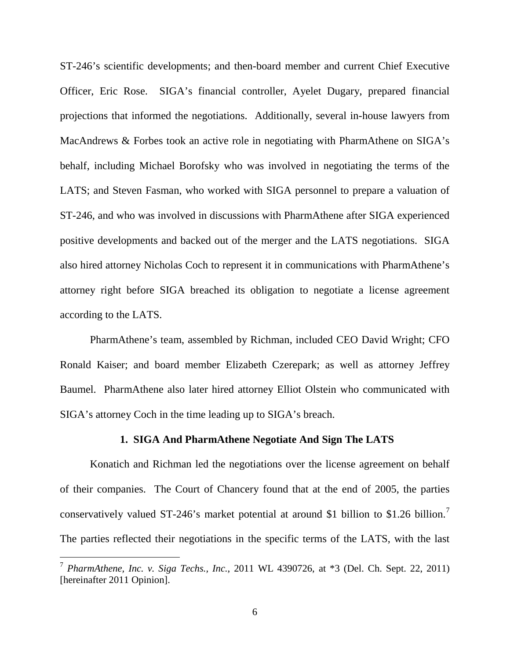ST-246's scientific developments; and then-board member and current Chief Executive Officer, Eric Rose. SIGA's financial controller, Ayelet Dugary, prepared financial projections that informed the negotiations. Additionally, several in-house lawyers from MacAndrews & Forbes took an active role in negotiating with PharmAthene on SIGA's behalf, including Michael Borofsky who was involved in negotiating the terms of the LATS; and Steven Fasman, who worked with SIGA personnel to prepare a valuation of ST-246, and who was involved in discussions with PharmAthene after SIGA experienced positive developments and backed out of the merger and the LATS negotiations. SIGA also hired attorney Nicholas Coch to represent it in communications with PharmAthene's attorney right before SIGA breached its obligation to negotiate a license agreement according to the LATS.

PharmAthene's team, assembled by Richman, included CEO David Wright; CFO Ronald Kaiser; and board member Elizabeth Czerepark; as well as attorney Jeffrey Baumel. PharmAthene also later hired attorney Elliot Olstein who communicated with SIGA's attorney Coch in the time leading up to SIGA's breach.

### **1. SIGA And PharmAthene Negotiate And Sign The LATS**

Konatich and Richman led the negotiations over the license agreement on behalf of their companies. The Court of Chancery found that at the end of 2005, the parties conservatively valued ST-246's market potential at around \$1 billion to \$1.26 billion.<sup>[7](#page-5-0)</sup> The parties reflected their negotiations in the specific terms of the LATS, with the last

<span id="page-5-0"></span> <sup>7</sup> *PharmAthene, Inc. v. Siga Techs., Inc.*, 2011 WL 4390726, at \*3 (Del. Ch. Sept. 22, 2011) [hereinafter 2011 Opinion].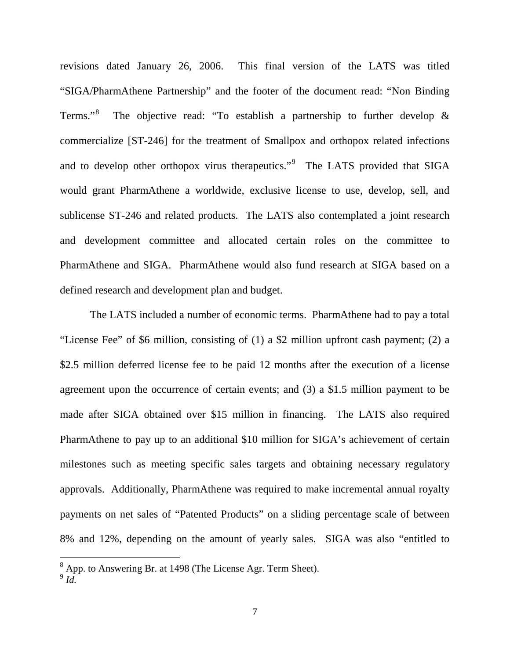revisions dated January 26, 2006. This final version of the LATS was titled "SIGA/PharmAthene Partnership" and the footer of the document read: "Non Binding Terms."<sup>[8](#page-6-0)</sup> The objective read: "To establish a partnership to further develop & commercialize [ST-246] for the treatment of Smallpox and orthopox related infections and to develop other orthopox virus therapeutics."<sup>[9](#page-6-1)</sup> The LATS provided that SIGA would grant PharmAthene a worldwide, exclusive license to use, develop, sell, and sublicense ST-246 and related products. The LATS also contemplated a joint research and development committee and allocated certain roles on the committee to PharmAthene and SIGA. PharmAthene would also fund research at SIGA based on a defined research and development plan and budget.

The LATS included a number of economic terms. PharmAthene had to pay a total "License Fee" of \$6 million, consisting of (1) a \$2 million upfront cash payment; (2) a \$2.5 million deferred license fee to be paid 12 months after the execution of a license agreement upon the occurrence of certain events; and (3) a \$1.5 million payment to be made after SIGA obtained over \$15 million in financing. The LATS also required PharmAthene to pay up to an additional \$10 million for SIGA's achievement of certain milestones such as meeting specific sales targets and obtaining necessary regulatory approvals. Additionally, PharmAthene was required to make incremental annual royalty payments on net sales of "Patented Products" on a sliding percentage scale of between 8% and 12%, depending on the amount of yearly sales. SIGA was also "entitled to

<span id="page-6-0"></span> <sup>8</sup> App. to Answering Br. at 1498 (The License Agr. Term Sheet).

<span id="page-6-1"></span><sup>9</sup> *Id.*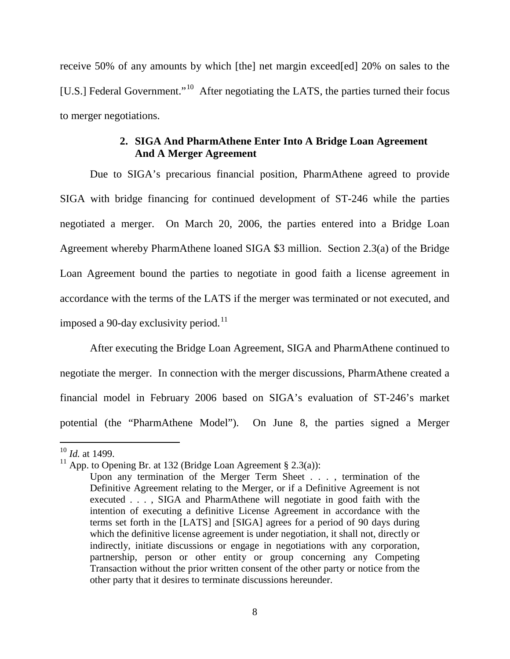receive 50% of any amounts by which [the] net margin exceed[ed] 20% on sales to the [U.S.] Federal Government."<sup>10</sup> After negotiating the LATS, the parties turned their focus to merger negotiations.

### **2. SIGA And PharmAthene Enter Into A Bridge Loan Agreement And A Merger Agreement**

Due to SIGA's precarious financial position, PharmAthene agreed to provide SIGA with bridge financing for continued development of ST-246 while the parties negotiated a merger. On March 20, 2006, the parties entered into a Bridge Loan Agreement whereby PharmAthene loaned SIGA \$3 million. Section 2.3(a) of the Bridge Loan Agreement bound the parties to negotiate in good faith a license agreement in accordance with the terms of the LATS if the merger was terminated or not executed, and imposed a 90-day exclusivity period.<sup>11</sup>

After executing the Bridge Loan Agreement, SIGA and PharmAthene continued to negotiate the merger. In connection with the merger discussions, PharmAthene created a financial model in February 2006 based on SIGA's evaluation of ST-246's market potential (the "PharmAthene Model"). On June 8, the parties signed a Merger

<span id="page-7-0"></span> <sup>10</sup> *Id.* at 1499.

<span id="page-7-1"></span><sup>&</sup>lt;sup>11</sup> App. to Opening Br. at 132 (Bridge Loan Agreement § 2.3(a)):

Upon any termination of the Merger Term Sheet . . . , termination of the Definitive Agreement relating to the Merger, or if a Definitive Agreement is not executed . . . , SIGA and PharmAthene will negotiate in good faith with the intention of executing a definitive License Agreement in accordance with the terms set forth in the [LATS] and [SIGA] agrees for a period of 90 days during which the definitive license agreement is under negotiation, it shall not, directly or indirectly, initiate discussions or engage in negotiations with any corporation, partnership, person or other entity or group concerning any Competing Transaction without the prior written consent of the other party or notice from the other party that it desires to terminate discussions hereunder.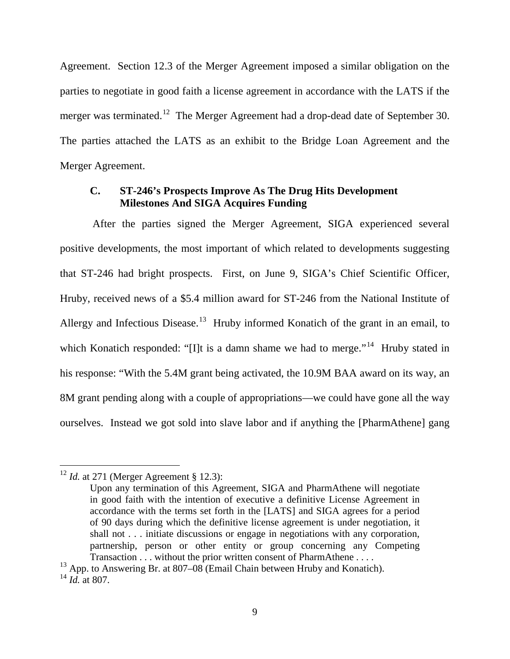Agreement. Section 12.3 of the Merger Agreement imposed a similar obligation on the parties to negotiate in good faith a license agreement in accordance with the LATS if the merger was terminated.<sup>[12](#page-8-0)</sup> The Merger Agreement had a drop-dead date of September 30. The parties attached the LATS as an exhibit to the Bridge Loan Agreement and the Merger Agreement.

### **C. ST-246's Prospects Improve As The Drug Hits Development Milestones And SIGA Acquires Funding**

After the parties signed the Merger Agreement, SIGA experienced several positive developments, the most important of which related to developments suggesting that ST-246 had bright prospects. First, on June 9, SIGA's Chief Scientific Officer, Hruby, received news of a \$5.4 million award for ST-246 from the National Institute of Allergy and Infectious Disease.<sup>13</sup> Hruby informed Konatich of the grant in an email, to which Konatich responded: "[I]t is a damn shame we had to merge."<sup>[14](#page-8-2)</sup> Hruby stated in his response: "With the 5.4M grant being activated, the 10.9M BAA award on its way, an 8M grant pending along with a couple of appropriations—we could have gone all the way ourselves. Instead we got sold into slave labor and if anything the [PharmAthene] gang

<span id="page-8-0"></span><sup>&</sup>lt;sup>12</sup> *Id.* at 271 (Merger Agreement § 12.3):

Upon any termination of this Agreement, SIGA and PharmAthene will negotiate in good faith with the intention of executive a definitive License Agreement in accordance with the terms set forth in the [LATS] and SIGA agrees for a period of 90 days during which the definitive license agreement is under negotiation, it shall not . . . initiate discussions or engage in negotiations with any corporation, partnership, person or other entity or group concerning any Competing Transaction . . . without the prior written consent of PharmAthene . . . .

<span id="page-8-2"></span><span id="page-8-1"></span> $13$  App. to Answering Br. at 807–08 (Email Chain between Hruby and Konatich). <sup>14</sup> *Id.* at 807.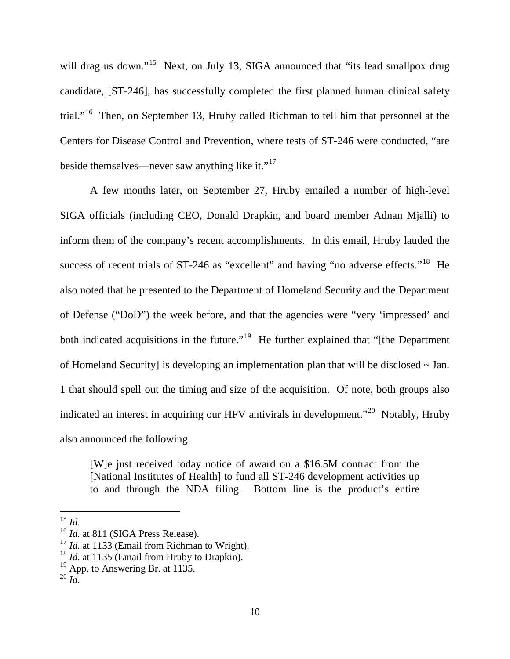will drag us down."<sup>15</sup> Next, on July 13, SIGA announced that "its lead smallpox drug candidate, [ST-246], has successfully completed the first planned human clinical safety trial."[16](#page-9-1) Then, on September 13, Hruby called Richman to tell him that personnel at the Centers for Disease Control and Prevention, where tests of ST-246 were conducted, "are beside themselves—never saw anything like it." $17$ 

A few months later, on September 27, Hruby emailed a number of high-level SIGA officials (including CEO, Donald Drapkin, and board member Adnan Mjalli) to inform them of the company's recent accomplishments. In this email, Hruby lauded the success of recent trials of  $ST-246$  as "excellent" and having "no adverse effects."<sup>[18](#page-9-3)</sup> He also noted that he presented to the Department of Homeland Security and the Department of Defense ("DoD") the week before, and that the agencies were "very 'impressed' and both indicated acquisitions in the future."<sup>19</sup> He further explained that "[the Department of Homeland Security] is developing an implementation plan that will be disclosed ~ Jan. 1 that should spell out the timing and size of the acquisition. Of note, both groups also indicated an interest in acquiring our HFV antivirals in development.<sup>"[20](#page-9-5)</sup> Notably, Hruby also announced the following:

[W]e just received today notice of award on a \$16.5M contract from the [National Institutes of Health] to fund all ST-246 development activities up to and through the NDA filing. Bottom line is the product's entire

<span id="page-9-0"></span> <sup>15</sup> *Id.* 

<span id="page-9-1"></span><sup>&</sup>lt;sup>16</sup> *Id.* at 811 (SIGA Press Release).

<span id="page-9-2"></span><sup>&</sup>lt;sup>17</sup> *Id.* at 1133 (Email from Richman to Wright).

<span id="page-9-3"></span><sup>&</sup>lt;sup>18</sup> *Id.* at 1135 (Email from Hruby to Drapkin).

<span id="page-9-4"></span> $19$  App. to Answering Br. at 1135.

<span id="page-9-5"></span> $^{20}$  *Id.*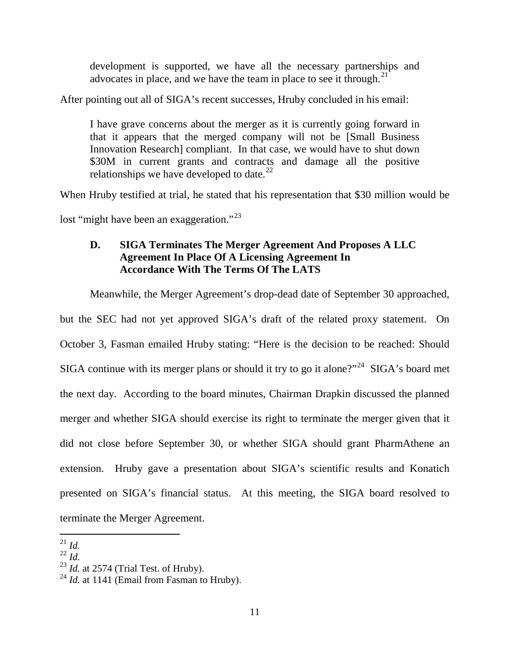development is supported, we have all the necessary partnerships and advocates in place, and we have the team in place to see it through.<sup>[21](#page-10-0)</sup>

After pointing out all of SIGA's recent successes, Hruby concluded in his email:

I have grave concerns about the merger as it is currently going forward in that it appears that the merged company will not be [Small Business Innovation Research] compliant. In that case, we would have to shut down \$30M in current grants and contracts and damage all the positive relationships we have developed to date. $^{22}$ 

When Hruby testified at trial, he stated that his representation that \$30 million would be lost "might have been an exaggeration."<sup>[23](#page-10-2)</sup>

## **D. SIGA Terminates The Merger Agreement And Proposes A LLC Agreement In Place Of A Licensing Agreement In Accordance With The Terms Of The LATS**

Meanwhile, the Merger Agreement's drop-dead date of September 30 approached,

but the SEC had not yet approved SIGA's draft of the related proxy statement. On October 3, Fasman emailed Hruby stating: "Here is the decision to be reached: Should SIGA continue with its merger plans or should it try to go it alone?"<sup>24</sup> SIGA's board met the next day. According to the board minutes, Chairman Drapkin discussed the planned merger and whether SIGA should exercise its right to terminate the merger given that it did not close before September 30, or whether SIGA should grant PharmAthene an extension. Hruby gave a presentation about SIGA's scientific results and Konatich presented on SIGA's financial status. At this meeting, the SIGA board resolved to terminate the Merger Agreement.

<span id="page-10-0"></span> $^{21}$  *Id.* 

<span id="page-10-1"></span> $^{22}$  *Id.* 

<span id="page-10-2"></span><sup>23</sup> *Id.* at 2574 (Trial Test. of Hruby).

<span id="page-10-3"></span><sup>&</sup>lt;sup>24</sup> *Id.* at 1141 (Email from Fasman to Hruby).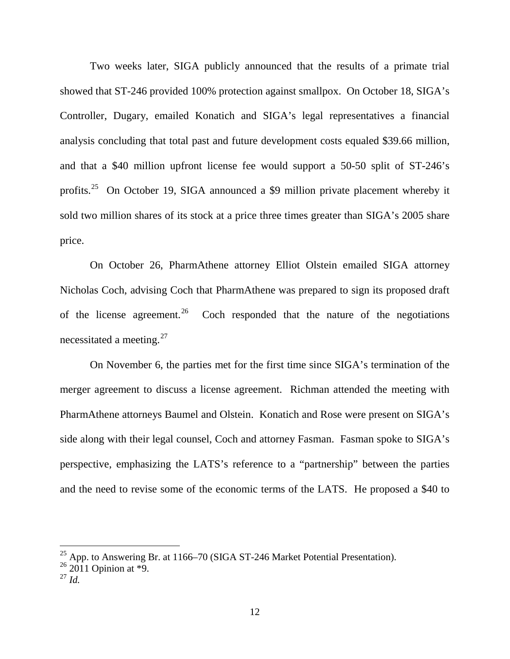Two weeks later, SIGA publicly announced that the results of a primate trial showed that ST-246 provided 100% protection against smallpox. On October 18, SIGA's Controller, Dugary, emailed Konatich and SIGA's legal representatives a financial analysis concluding that total past and future development costs equaled \$39.66 million, and that a \$40 million upfront license fee would support a 50-50 split of ST-246's profits.[25](#page-11-0) On October 19, SIGA announced a \$9 million private placement whereby it sold two million shares of its stock at a price three times greater than SIGA's 2005 share price.

On October 26, PharmAthene attorney Elliot Olstein emailed SIGA attorney Nicholas Coch, advising Coch that PharmAthene was prepared to sign its proposed draft of the license agreement. Coch responded that the nature of the negotiations necessitated a meeting. $27$ 

On November 6, the parties met for the first time since SIGA's termination of the merger agreement to discuss a license agreement. Richman attended the meeting with PharmAthene attorneys Baumel and Olstein. Konatich and Rose were present on SIGA's side along with their legal counsel, Coch and attorney Fasman. Fasman spoke to SIGA's perspective, emphasizing the LATS's reference to a "partnership" between the parties and the need to revise some of the economic terms of the LATS. He proposed a \$40 to

 $\frac{25}{25}$  App. to Answering Br. at 1166–70 (SIGA ST-246 Market Potential Presentation).

<span id="page-11-0"></span> $26\,2011$  Opinion at  $*9$ .

<span id="page-11-2"></span><span id="page-11-1"></span><sup>27</sup> *Id.*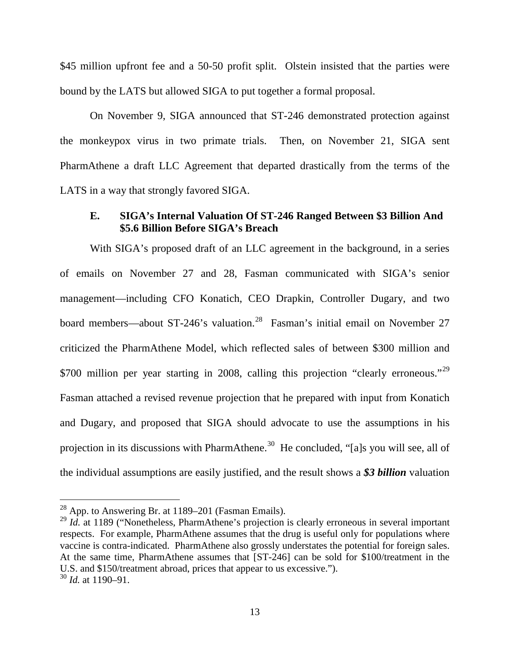\$45 million upfront fee and a 50-50 profit split. Olstein insisted that the parties were bound by the LATS but allowed SIGA to put together a formal proposal.

On November 9, SIGA announced that ST-246 demonstrated protection against the monkeypox virus in two primate trials. Then, on November 21, SIGA sent PharmAthene a draft LLC Agreement that departed drastically from the terms of the LATS in a way that strongly favored SIGA.

## **E. SIGA's Internal Valuation Of ST-246 Ranged Between \$3 Billion And \$5.6 Billion Before SIGA's Breach**

With SIGA's proposed draft of an LLC agreement in the background, in a series of emails on November 27 and 28, Fasman communicated with SIGA's senior management—including CFO Konatich, CEO Drapkin, Controller Dugary, and two board members—about ST-246's valuation.<sup>[28](#page-12-0)</sup> Fasman's initial email on November 27 criticized the PharmAthene Model, which reflected sales of between \$300 million and \$700 million per year starting in 2008, calling this projection "clearly erroneous."<sup>[29](#page-12-1)</sup> Fasman attached a revised revenue projection that he prepared with input from Konatich and Dugary, and proposed that SIGA should advocate to use the assumptions in his projection in its discussions with PharmAthene.<sup>30</sup> He concluded, "[a]s you will see, all of the individual assumptions are easily justified, and the result shows a *\$3 billion* valuation

<span id="page-12-0"></span><sup>&</sup>lt;sup>28</sup> App. to Answering Br. at 1189–201 (Fasman Emails).

<span id="page-12-1"></span><sup>&</sup>lt;sup>29</sup> *Id.* at 1189 ("Nonetheless, PharmAthene's projection is clearly erroneous in several important respects. For example, PharmAthene assumes that the drug is useful only for populations where vaccine is contra-indicated. PharmAthene also grossly understates the potential for foreign sales. At the same time, PharmAthene assumes that [ST-246] can be sold for \$100/treatment in the U.S. and \$150/treatment abroad, prices that appear to us excessive.").

<span id="page-12-2"></span><sup>30</sup> *Id.* at 1190–91.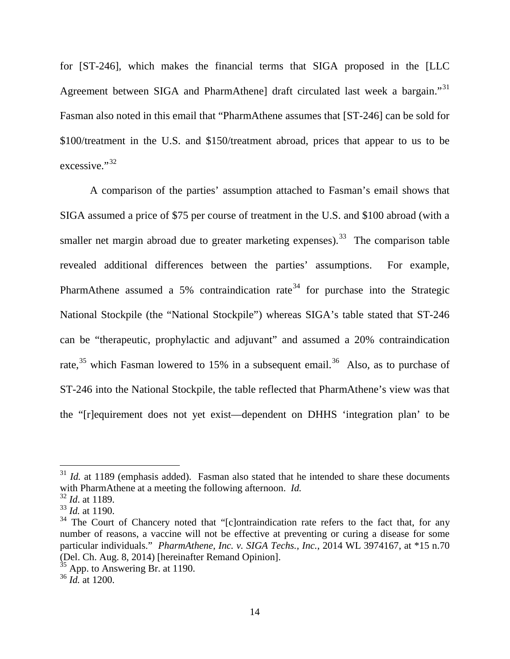for [ST-246], which makes the financial terms that SIGA proposed in the [LLC Agreement between SIGA and PharmAthene] draft circulated last week a bargain."<sup>[31](#page-13-0)</sup> Fasman also noted in this email that "PharmAthene assumes that [ST-246] can be sold for \$100/treatment in the U.S. and \$150/treatment abroad, prices that appear to us to be excessive."<sup>[32](#page-13-1)</sup>

A comparison of the parties' assumption attached to Fasman's email shows that SIGA assumed a price of \$75 per course of treatment in the U.S. and \$100 abroad (with a smaller net margin abroad due to greater marketing expenses).<sup>33</sup> The comparison table revealed additional differences between the parties' assumptions. For example, PharmAthene assumed a 5% contraindication rate<sup>[34](#page-13-3)</sup> for purchase into the Strategic National Stockpile (the "National Stockpile") whereas SIGA's table stated that ST-246 can be "therapeutic, prophylactic and adjuvant" and assumed a 20% contraindication rate,<sup>[35](#page-13-4)</sup> which Fasman lowered to 15% in a subsequent email.<sup>36</sup> Also, as to purchase of ST-246 into the National Stockpile, the table reflected that PharmAthene's view was that the "[r]equirement does not yet exist—dependent on DHHS 'integration plan' to be

<span id="page-13-0"></span> $31$  *Id.* at 1189 (emphasis added). Fasman also stated that he intended to share these documents with PharmAthene at a meeting the following afternoon. *Id.* 

<span id="page-13-1"></span><sup>32</sup> *Id*. at 1189.

<span id="page-13-2"></span><sup>33</sup> *Id.* at 1190.

<span id="page-13-3"></span><sup>&</sup>lt;sup>34</sup> The Court of Chancery noted that "[c]ontraindication rate refers to the fact that, for any number of reasons, a vaccine will not be effective at preventing or curing a disease for some particular individuals." *PharmAthene, Inc. v. SIGA Techs., Inc.*, 2014 WL 3974167, at \*15 n.70 (Del. Ch. Aug. 8, 2014) [hereinafter Remand Opinion].

<span id="page-13-4"></span> $35$  App. to Answering Br. at 1190.

<span id="page-13-5"></span><sup>36</sup> *Id.* at 1200.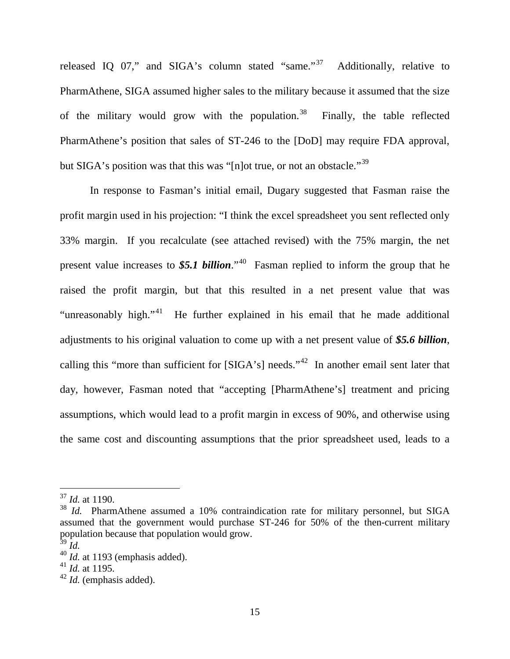released IQ 07," and SIGA's column stated "same."<sup>[37](#page-14-0)</sup> Additionally, relative to PharmAthene, SIGA assumed higher sales to the military because it assumed that the size of the military would grow with the population.<sup>[38](#page-14-1)</sup> Finally, the table reflected PharmAthene's position that sales of ST-246 to the [DoD] may require FDA approval, but SIGA's position was that this was "Inlot true, or not an obstacle."<sup>[39](#page-14-2)</sup>

In response to Fasman's initial email, Dugary suggested that Fasman raise the profit margin used in his projection: "I think the excel spreadsheet you sent reflected only 33% margin. If you recalculate (see attached revised) with the 75% margin, the net present value increases to  $$5.1$  billion.<sup> $40$ </sup> Fasman replied to inform the group that he raised the profit margin, but that this resulted in a net present value that was "unreasonably high."<sup>[41](#page-14-4)</sup> He further explained in his email that he made additional adjustments to his original valuation to come up with a net present value of *\$5.6 billion*, calling this "more than sufficient for  $[SIGA's]$  needs."<sup>42</sup> In another email sent later that day, however, Fasman noted that "accepting [PharmAthene's] treatment and pricing assumptions, which would lead to a profit margin in excess of 90%, and otherwise using the same cost and discounting assumptions that the prior spreadsheet used, leads to a

<span id="page-14-0"></span> <sup>37</sup> *Id.* at 1190.

<span id="page-14-1"></span><sup>38</sup> *Id.* PharmAthene assumed a 10% contraindication rate for military personnel, but SIGA assumed that the government would purchase ST-246 for 50% of the then-current military population because that population would grow.

<span id="page-14-2"></span> $39$   $\tilde{I}$ *d.* 

<span id="page-14-3"></span><sup>40</sup> *Id.* at 1193 (emphasis added).

<span id="page-14-4"></span><sup>41</sup> *Id.* at 1195.

<span id="page-14-5"></span><sup>42</sup> *Id.* (emphasis added).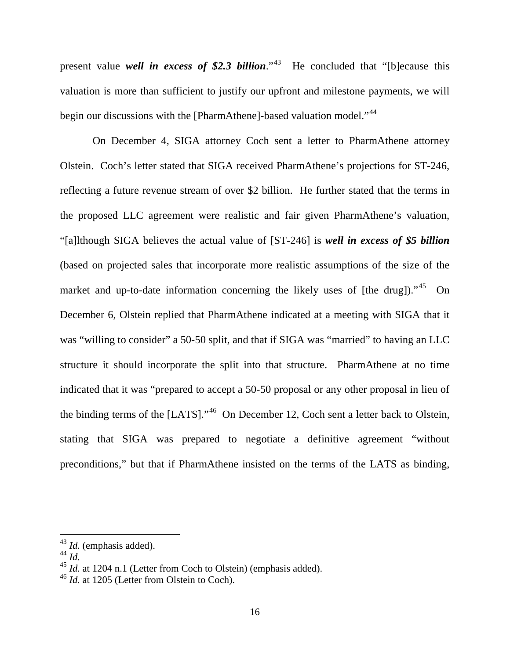present value *well in excess of* \$2.3 *billion*.<sup>"43</sup> He concluded that "[b] ecause this valuation is more than sufficient to justify our upfront and milestone payments, we will begin our discussions with the [PharmAthene]-based valuation model."<sup>[44](#page-15-1)</sup>

On December 4, SIGA attorney Coch sent a letter to PharmAthene attorney Olstein. Coch's letter stated that SIGA received PharmAthene's projections for ST-246, reflecting a future revenue stream of over \$2 billion. He further stated that the terms in the proposed LLC agreement were realistic and fair given PharmAthene's valuation, "[a]lthough SIGA believes the actual value of [ST-246] is *well in excess of \$5 billion* (based on projected sales that incorporate more realistic assumptions of the size of the market and up-to-date information concerning the likely uses of [the drug])."<sup>45</sup> On December 6, Olstein replied that PharmAthene indicated at a meeting with SIGA that it was "willing to consider" a 50-50 split, and that if SIGA was "married" to having an LLC structure it should incorporate the split into that structure. PharmAthene at no time indicated that it was "prepared to accept a 50-50 proposal or any other proposal in lieu of the binding terms of the [LATS]."<sup>[46](#page-15-3)</sup> On December 12, Coch sent a letter back to Olstein, stating that SIGA was prepared to negotiate a definitive agreement "without preconditions," but that if PharmAthene insisted on the terms of the LATS as binding,

<span id="page-15-0"></span> <sup>43</sup> *Id.* (emphasis added).

<span id="page-15-1"></span><sup>44</sup> *Id.* 

<span id="page-15-2"></span><sup>45</sup> *Id.* at 1204 n.1 (Letter from Coch to Olstein) (emphasis added).

<span id="page-15-3"></span><sup>46</sup> *Id.* at 1205 (Letter from Olstein to Coch).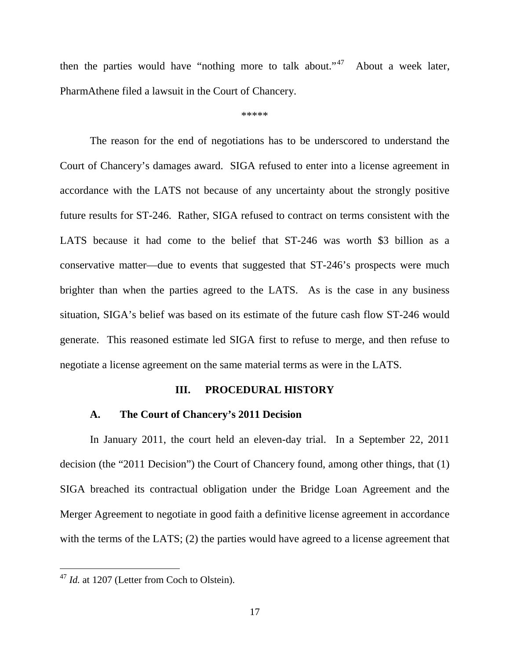then the parties would have "nothing more to talk about."<sup>[47](#page-16-0)</sup> About a week later, PharmAthene filed a lawsuit in the Court of Chancery.

\*\*\*\*\*

The reason for the end of negotiations has to be underscored to understand the Court of Chancery's damages award. SIGA refused to enter into a license agreement in accordance with the LATS not because of any uncertainty about the strongly positive future results for ST-246. Rather, SIGA refused to contract on terms consistent with the LATS because it had come to the belief that ST-246 was worth \$3 billion as a conservative matter—due to events that suggested that ST-246's prospects were much brighter than when the parties agreed to the LATS. As is the case in any business situation, SIGA's belief was based on its estimate of the future cash flow ST-246 would generate. This reasoned estimate led SIGA first to refuse to merge, and then refuse to negotiate a license agreement on the same material terms as were in the LATS.

#### **III. PROCEDURAL HISTORY**

#### **A. The Court of Chan**c**ery's 2011 Decision**

In January 2011, the court held an eleven-day trial. In a September 22, 2011 decision (the "2011 Decision") the Court of Chancery found, among other things, that (1) SIGA breached its contractual obligation under the Bridge Loan Agreement and the Merger Agreement to negotiate in good faith a definitive license agreement in accordance with the terms of the LATS; (2) the parties would have agreed to a license agreement that

<span id="page-16-0"></span><sup>&</sup>lt;sup>47</sup> *Id.* at 1207 (Letter from Coch to Olstein).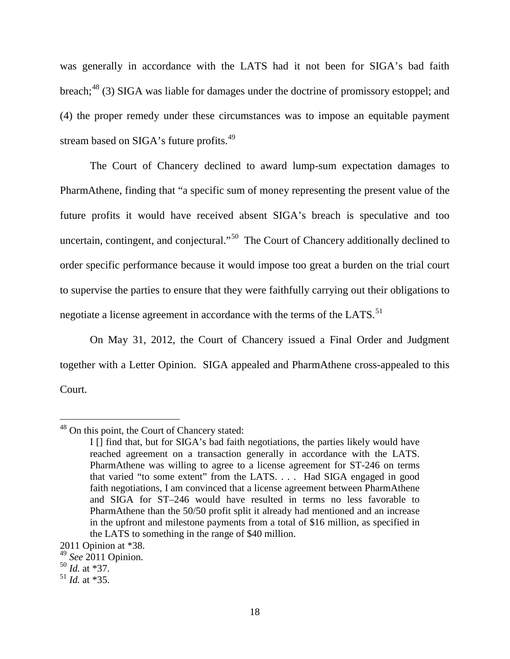was generally in accordance with the LATS had it not been for SIGA's bad faith breach;<sup>[48](#page-17-0)</sup> (3) SIGA was liable for damages under the doctrine of promissory estoppel; and (4) the proper remedy under these circumstances was to impose an equitable payment stream based on SIGA's future profits.<sup>49</sup>

The Court of Chancery declined to award lump-sum expectation damages to PharmAthene, finding that "a specific sum of money representing the present value of the future profits it would have received absent SIGA's breach is speculative and too uncertain, contingent, and conjectural."<sup>50</sup> The Court of Chancery additionally declined to order specific performance because it would impose too great a burden on the trial court to supervise the parties to ensure that they were faithfully carrying out their obligations to negotiate a license agreement in accordance with the terms of the LATS.<sup>51</sup>

On May 31, 2012, the Court of Chancery issued a Final Order and Judgment together with a Letter Opinion. SIGA appealed and PharmAthene cross-appealed to this Court.

<span id="page-17-0"></span> <sup>48</sup> On this point, the Court of Chancery stated:

I [] find that, but for SIGA's bad faith negotiations, the parties likely would have reached agreement on a transaction generally in accordance with the LATS. PharmAthene was willing to agree to a license agreement for ST-246 on terms that varied "to some extent" from the LATS. . . . Had SIGA engaged in good faith negotiations, I am convinced that a license agreement between PharmAthene and SIGA for ST–246 would have resulted in terms no less favorable to PharmAthene than the 50/50 profit split it already had mentioned and an increase in the upfront and milestone payments from a total of \$16 million, as specified in the LATS to something in the range of \$40 million.

<sup>2011</sup> Opinion at \*38.

<span id="page-17-1"></span><sup>49</sup> *See* 2011 Opinion. <sup>50</sup> *Id.* at \*37.

<span id="page-17-2"></span>

<span id="page-17-3"></span> $^{51}$  *Id.* at \*35.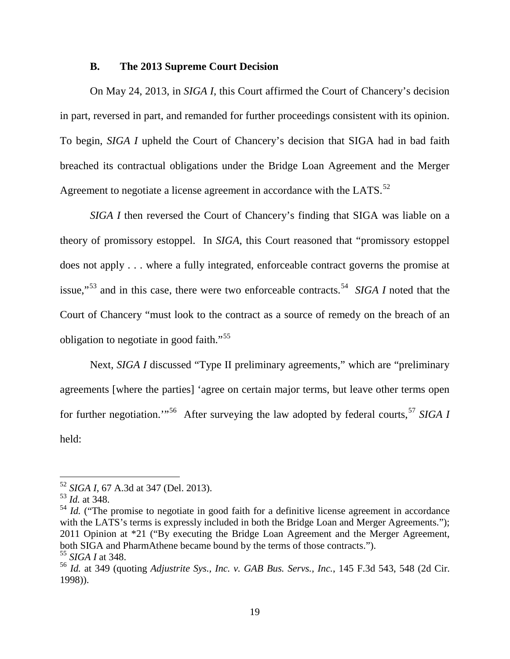## **B. The 2013 Supreme Court Decision**

On May 24, 2013, in *SIGA I*, this Court affirmed the Court of Chancery's decision in part, reversed in part, and remanded for further proceedings consistent with its opinion. To begin, *SIGA I* upheld the Court of Chancery's decision that SIGA had in bad faith breached its contractual obligations under the Bridge Loan Agreement and the Merger Agreement to negotiate a license agreement in accordance with the LATS.<sup>52</sup>

*SIGA I* then reversed the Court of Chancery's finding that SIGA was liable on a theory of promissory estoppel. In *SIGA*, this Court reasoned that "promissory estoppel does not apply . . . where a fully integrated, enforceable contract governs the promise at issue,"[53](#page-18-1) and in this case, there were two enforceable contracts. [54](#page-18-2) *SIGA I* noted that the Court of Chancery "must look to the contract as a source of remedy on the breach of an obligation to negotiate in good faith."<sup>55</sup>

Next, *SIGA I* discussed "Type II preliminary agreements," which are "preliminary agreements [where the parties] 'agree on certain major terms, but leave other terms open for further negotiation."<sup>[56](#page-18-4)</sup> After surveying the law adopted by federal courts,<sup>[57](#page-18-5)</sup> *SIGA I* held:

<span id="page-18-5"></span><span id="page-18-1"></span><span id="page-18-0"></span><sup>52</sup> *SIGA I*, 67 A.3d at 347 (Del. 2013). <sup>53</sup> *Id.* at 348.

<span id="page-18-2"></span><sup>&</sup>lt;sup>54</sup> *Id.* ("The promise to negotiate in good faith for a definitive license agreement in accordance with the LATS's terms is expressly included in both the Bridge Loan and Merger Agreements."); 2011 Opinion at \*21 ("By executing the Bridge Loan Agreement and the Merger Agreement, both SIGA and PharmAthene became bound by the terms of those contracts.").

<span id="page-18-3"></span><sup>55</sup> *SIGA I* at 348.

<span id="page-18-4"></span><sup>56</sup> *Id.* at 349 (quoting *Adjustrite Sys., Inc. v. GAB Bus. Servs., Inc.*, 145 F.3d 543, 548 (2d Cir. 1998)).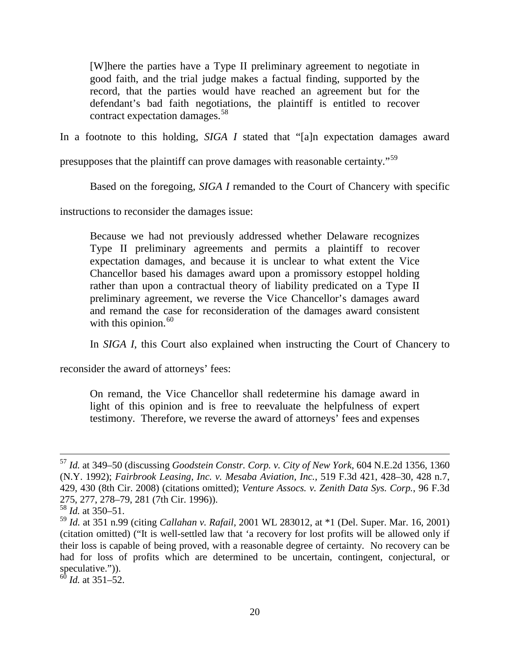[W]here the parties have a Type II preliminary agreement to negotiate in good faith, and the trial judge makes a factual finding, supported by the record, that the parties would have reached an agreement but for the defendant's bad faith negotiations, the plaintiff is entitled to recover contract expectation damages.[58](#page-19-0)

In a footnote to this holding, *SIGA I* stated that "[a]n expectation damages award

presupposes that the plaintiff can prove damages with reasonable certainty."[59](#page-19-1)

Based on the foregoing, *SIGA I* remanded to the Court of Chancery with specific

instructions to reconsider the damages issue:

Because we had not previously addressed whether Delaware recognizes Type II preliminary agreements and permits a plaintiff to recover expectation damages, and because it is unclear to what extent the Vice Chancellor based his damages award upon a promissory estoppel holding rather than upon a contractual theory of liability predicated on a Type II preliminary agreement, we reverse the Vice Chancellor's damages award and remand the case for reconsideration of the damages award consistent with this opinion.  $60$ 

In *SIGA I*, this Court also explained when instructing the Court of Chancery to

reconsider the award of attorneys' fees:

On remand, the Vice Chancellor shall redetermine his damage award in light of this opinion and is free to reevaluate the helpfulness of expert testimony. Therefore, we reverse the award of attorneys' fees and expenses

 <sup>57</sup> *Id.* at 349–50 (discussing *Goodstein Constr. Corp. v. City of New York*, 604 N.E.2d 1356, 1360 (N.Y. 1992); *Fairbrook Leasing, Inc. v. Mesaba Aviation, Inc.*, 519 F.3d 421, 428–30, 428 n.7, 429, 430 (8th Cir. 2008) (citations omitted); *Venture Assocs. v. Zenith Data Sys. Corp.*, 96 F.3d 275, 277, 278–79, 281 (7th Cir. 1996)).

<span id="page-19-0"></span> $\frac{58}{1}$ *Id.* at 350–51.

<span id="page-19-1"></span><sup>59</sup> *Id.* at 351 n.99 (citing *Callahan v. Rafail*, 2001 WL 283012, at \*1 (Del. Super. Mar. 16, 2001) (citation omitted) ("It is well-settled law that 'a recovery for lost profits will be allowed only if their loss is capable of being proved, with a reasonable degree of certainty. No recovery can be had for loss of profits which are determined to be uncertain, contingent, conjectural, or speculative.")).

<span id="page-19-2"></span><sup>60</sup> *Id.* at 351–52.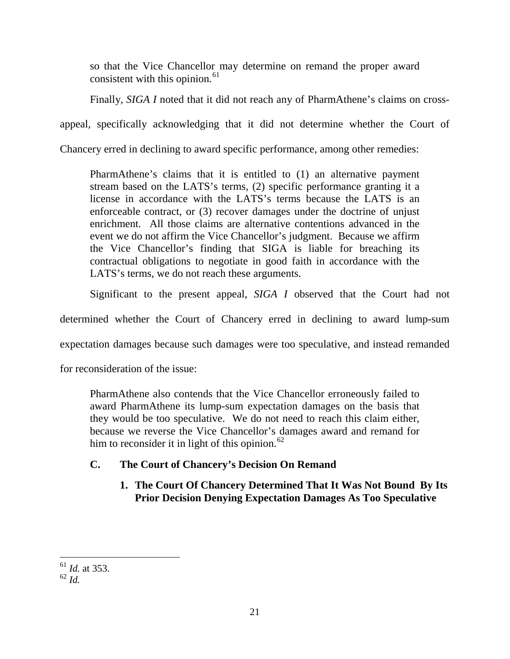so that the Vice Chancellor may determine on remand the proper award consistent with this opinion. $61$ 

Finally, *SIGA I* noted that it did not reach any of PharmAthene's claims on cross-

appeal, specifically acknowledging that it did not determine whether the Court of

Chancery erred in declining to award specific performance, among other remedies:

PharmAthene's claims that it is entitled to (1) an alternative payment stream based on the LATS's terms, (2) specific performance granting it a license in accordance with the LATS's terms because the LATS is an enforceable contract, or (3) recover damages under the doctrine of unjust enrichment. All those claims are alternative contentions advanced in the event we do not affirm the Vice Chancellor's judgment. Because we affirm the Vice Chancellor's finding that SIGA is liable for breaching its contractual obligations to negotiate in good faith in accordance with the LATS's terms, we do not reach these arguments.

Significant to the present appeal, *SIGA I* observed that the Court had not

determined whether the Court of Chancery erred in declining to award lump-sum

expectation damages because such damages were too speculative, and instead remanded

for reconsideration of the issue:

PharmAthene also contends that the Vice Chancellor erroneously failed to award PharmAthene its lump-sum expectation damages on the basis that they would be too speculative. We do not need to reach this claim either, because we reverse the Vice Chancellor's damages award and remand for him to reconsider it in light of this opinion.<sup>[62](#page-20-1)</sup>

## **C. The Court of Chancery's Decision On Remand**

## **1. The Court Of Chancery Determined That It Was Not Bound By Its Prior Decision Denying Expectation Damages As Too Speculative**

 <sup>61</sup> *Id.* at 353.

<span id="page-20-1"></span><span id="page-20-0"></span><sup>62</sup> *Id.*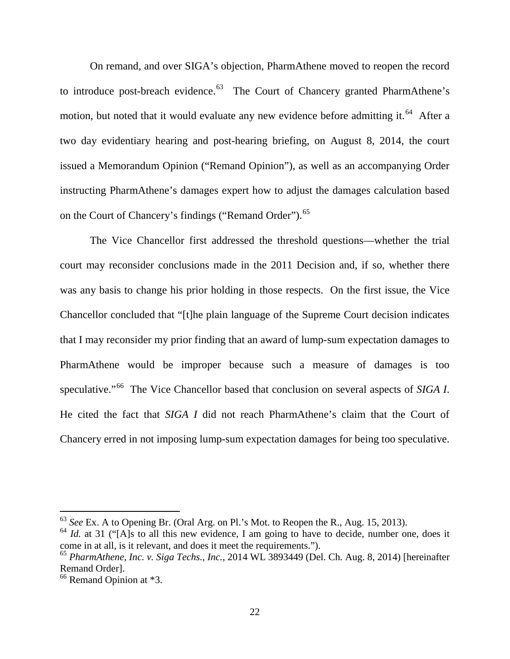On remand, and over SIGA's objection, PharmAthene moved to reopen the record to introduce post-breach evidence.<sup>[63](#page-21-0)</sup> The Court of Chancery granted PharmAthene's motion, but noted that it would evaluate any new evidence before admitting it.<sup>[64](#page-21-1)</sup> After a two day evidentiary hearing and post-hearing briefing, on August 8, 2014, the court issued a Memorandum Opinion ("Remand Opinion"), as well as an accompanying Order instructing PharmAthene's damages expert how to adjust the damages calculation based on the Court of Chancery's findings ("Remand Order").<sup>[65](#page-21-2)</sup>

The Vice Chancellor first addressed the threshold questions—whether the trial court may reconsider conclusions made in the 2011 Decision and, if so, whether there was any basis to change his prior holding in those respects. On the first issue, the Vice Chancellor concluded that "[t]he plain language of the Supreme Court decision indicates that I may reconsider my prior finding that an award of lump-sum expectation damages to PharmAthene would be improper because such a measure of damages is too speculative."[66](#page-21-3) The Vice Chancellor based that conclusion on several aspects of *SIGA I*. He cited the fact that *SIGA I* did not reach PharmAthene's claim that the Court of Chancery erred in not imposing lump-sum expectation damages for being too speculative.

<span id="page-21-0"></span> <sup>63</sup> *See* Ex. A to Opening Br. (Oral Arg. on Pl.'s Mot. to Reopen the R., Aug. 15, 2013).

<span id="page-21-1"></span><sup>&</sup>lt;sup>64</sup> *Id.* at 31 ("[A]s to all this new evidence, I am going to have to decide, number one, does it come in at all, is it relevant, and does it meet the requirements.").

<span id="page-21-2"></span><sup>65</sup> *PharmAthene, Inc. v. Siga Techs., Inc.*, 2014 WL 3893449 (Del. Ch. Aug. 8, 2014) [hereinafter Remand Order].

<span id="page-21-3"></span><sup>&</sup>lt;sup>66</sup> Remand Opinion at \*3.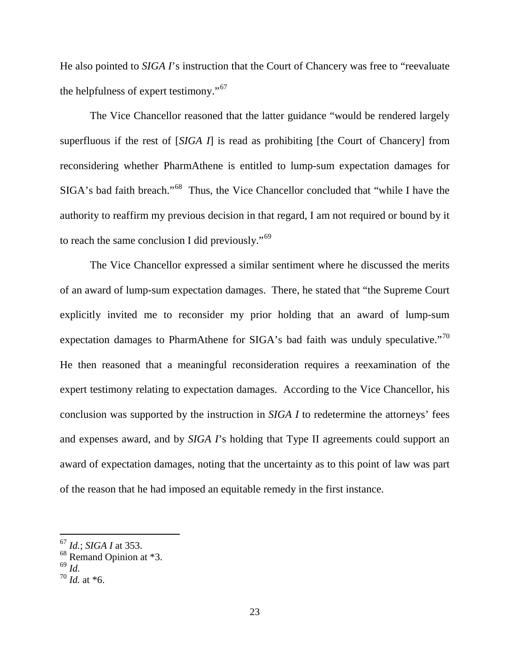He also pointed to *SIGA I*'s instruction that the Court of Chancery was free to "reevaluate the helpfulness of expert testimony."<sup>67</sup>

The Vice Chancellor reasoned that the latter guidance "would be rendered largely superfluous if the rest of [*SIGA I*] is read as prohibiting [the Court of Chancery] from reconsidering whether PharmAthene is entitled to lump-sum expectation damages for SIGA's bad faith breach."[68](#page-22-1) Thus, the Vice Chancellor concluded that "while I have the authority to reaffirm my previous decision in that regard, I am not required or bound by it to reach the same conclusion I did previously."<sup>69</sup>

The Vice Chancellor expressed a similar sentiment where he discussed the merits of an award of lump-sum expectation damages. There, he stated that "the Supreme Court explicitly invited me to reconsider my prior holding that an award of lump-sum expectation damages to PharmAthene for SIGA's bad faith was unduly speculative."<sup>[70](#page-22-3)</sup> He then reasoned that a meaningful reconsideration requires a reexamination of the expert testimony relating to expectation damages. According to the Vice Chancellor, his conclusion was supported by the instruction in *SIGA I* to redetermine the attorneys' fees and expenses award, and by *SIGA I*'s holding that Type II agreements could support an award of expectation damages, noting that the uncertainty as to this point of law was part of the reason that he had imposed an equitable remedy in the first instance.

<span id="page-22-0"></span> <sup>67</sup> *Id.*; *SIGA I* at 353.

<span id="page-22-1"></span><sup>68</sup> Remand Opinion at \*3.

<span id="page-22-2"></span><sup>69</sup> *Id.*

<span id="page-22-3"></span> $^{70}$  *Id.* at \*6.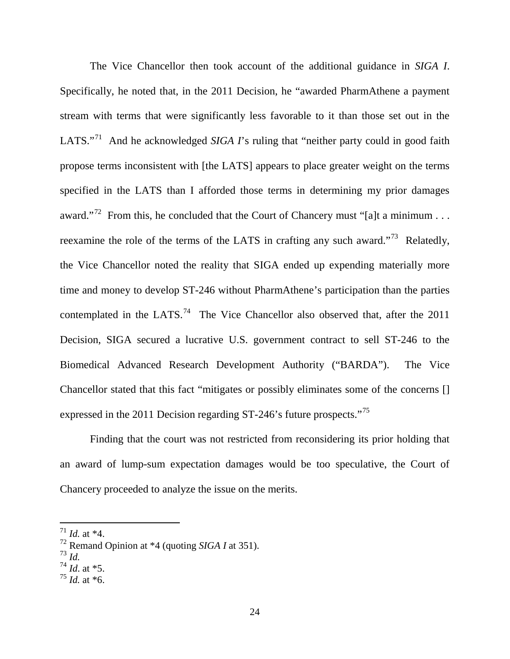The Vice Chancellor then took account of the additional guidance in *SIGA I*. Specifically, he noted that, in the 2011 Decision, he "awarded PharmAthene a payment stream with terms that were significantly less favorable to it than those set out in the LATS."<sup>71</sup> And he acknowledged *SIGA I*'s ruling that "neither party could in good faith propose terms inconsistent with [the LATS] appears to place greater weight on the terms specified in the LATS than I afforded those terms in determining my prior damages award."<sup>72</sup> From this, he concluded that the Court of Chancery must "[a]t a minimum . . . reexamine the role of the terms of the LATS in crafting any such award."<sup>[73](#page-23-2)</sup> Relatedly, the Vice Chancellor noted the reality that SIGA ended up expending materially more time and money to develop ST-246 without PharmAthene's participation than the parties contemplated in the LATS.<sup>74</sup> The Vice Chancellor also observed that, after the 2011 Decision, SIGA secured a lucrative U.S. government contract to sell ST-246 to the Biomedical Advanced Research Development Authority ("BARDA"). The Vice Chancellor stated that this fact "mitigates or possibly eliminates some of the concerns [] expressed in the 2011 Decision regarding ST-246's future prospects."<sup>[75](#page-23-4)</sup>

Finding that the court was not restricted from reconsidering its prior holding that an award of lump-sum expectation damages would be too speculative, the Court of Chancery proceeded to analyze the issue on the merits.

<span id="page-23-2"></span>

<span id="page-23-0"></span> $171$  *Id.* at \*4.

<span id="page-23-1"></span> $72 \text{Remand Opinion at } *4 \text{ (quoting SIGA I at 351).}$ 

<span id="page-23-3"></span><sup>74</sup> *Id*. at \*5.

<span id="page-23-4"></span> $^{75}$  *Id.* at  $*6$ .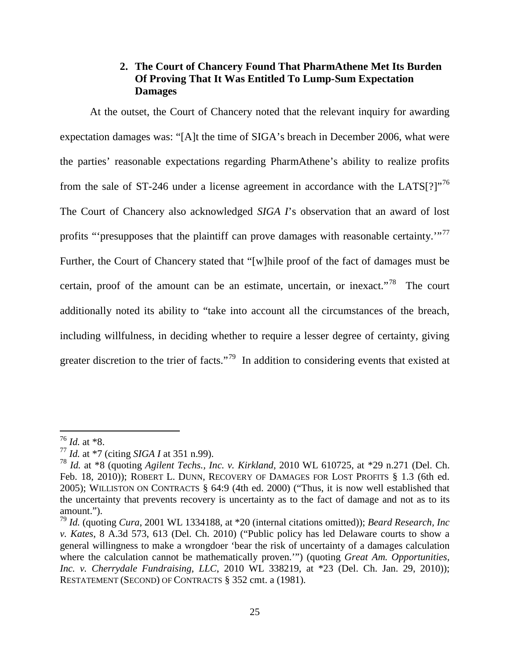## **2. The Court of Chancery Found That PharmAthene Met Its Burden Of Proving That It Was Entitled To Lump-Sum Expectation Damages**

At the outset, the Court of Chancery noted that the relevant inquiry for awarding expectation damages was: "[A]t the time of SIGA's breach in December 2006, what were the parties' reasonable expectations regarding PharmAthene's ability to realize profits from the sale of ST-246 under a license agreement in accordance with the LATS $[?]$ <sup>[76](#page-24-0)</sup> The Court of Chancery also acknowledged *SIGA I*'s observation that an award of lost profits "'presupposes that the plaintiff can prove damages with reasonable certainty.'"<sup>[77](#page-24-1)</sup> Further, the Court of Chancery stated that "[w]hile proof of the fact of damages must be certain, proof of the amount can be an estimate, uncertain, or inexact.<sup> $78$ </sup> The court additionally noted its ability to "take into account all the circumstances of the breach, including willfulness, in deciding whether to require a lesser degree of certainty, giving greater discretion to the trier of facts."<sup>[79](#page-24-3)</sup> In addition to considering events that existed at

<span id="page-24-0"></span> <sup>76</sup> *Id.* at \*8.

<span id="page-24-1"></span><sup>77</sup> *Id.* at \*7 (citing *SIGA I* at 351 n.99).

<span id="page-24-2"></span><sup>78</sup> *Id.* at \*8 (quoting *Agilent Techs., Inc. v. Kirkland,* 2010 WL 610725, at \*29 n.271 (Del. Ch. Feb. 18, 2010)); ROBERT L. DUNN, RECOVERY OF DAMAGES FOR LOST PROFITS § 1.3 (6th ed. 2005); WILLISTON ON CONTRACTS § 64:9 (4th ed. 2000) ("Thus, it is now well established that the uncertainty that prevents recovery is uncertainty as to the fact of damage and not as to its amount.").

<span id="page-24-3"></span><sup>79</sup> *Id.* (quoting *Cura*, 2001 WL 1334188, at \*20 (internal citations omitted)); *Beard Research, Inc v. Kates*, 8 A.3d 573, 613 (Del. Ch. 2010) ("Public policy has led Delaware courts to show a general willingness to make a wrongdoer 'bear the risk of uncertainty of a damages calculation where the calculation cannot be mathematically proven."") (quoting *Great Am. Opportunities, Inc. v. Cherrydale Fundraising, LLC*, 2010 WL 338219, at \*23 (Del. Ch. Jan. 29, 2010)); RESTATEMENT (SECOND) OF CONTRACTS § 352 cmt. a (1981).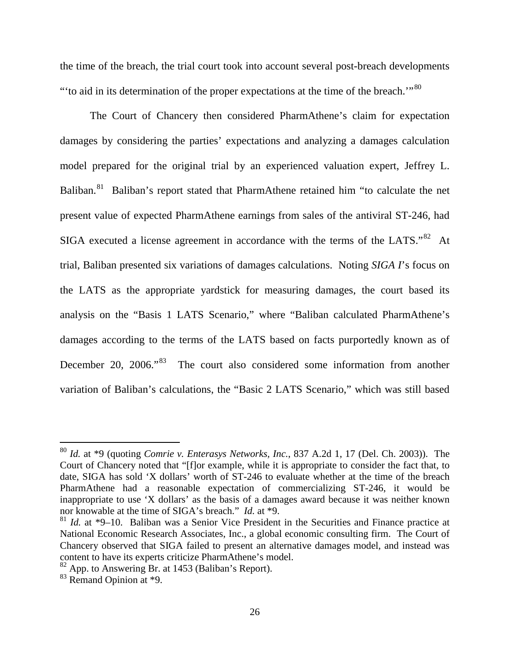the time of the breach, the trial court took into account several post-breach developments "to aid in its determination of the proper expectations at the time of the breach."<sup>[80](#page-25-0)</sup>

The Court of Chancery then considered PharmAthene's claim for expectation damages by considering the parties' expectations and analyzing a damages calculation model prepared for the original trial by an experienced valuation expert, Jeffrey L. Baliban.<sup>81</sup> Baliban's report stated that PharmAthene retained him "to calculate the net present value of expected PharmAthene earnings from sales of the antiviral ST-246, had SIGA executed a license agreement in accordance with the terms of the LATS."<sup>[82](#page-25-2)</sup> At trial, Baliban presented six variations of damages calculations. Noting *SIGA I*'s focus on the LATS as the appropriate yardstick for measuring damages, the court based its analysis on the "Basis 1 LATS Scenario," where "Baliban calculated PharmAthene's damages according to the terms of the LATS based on facts purportedly known as of December 20, 2006."<sup>83</sup> The court also considered some information from another variation of Baliban's calculations, the "Basic 2 LATS Scenario," which was still based

<span id="page-25-0"></span> <sup>80</sup> *Id.* at \*9 (quoting *Comrie v. Enterasys Networks, Inc.*, 837 A.2d 1, 17 (Del. Ch. 2003)). The Court of Chancery noted that "[f]or example, while it is appropriate to consider the fact that, to date, SIGA has sold 'X dollars' worth of ST-246 to evaluate whether at the time of the breach PharmAthene had a reasonable expectation of commercializing ST-246, it would be inappropriate to use 'X dollars' as the basis of a damages award because it was neither known nor knowable at the time of SIGA's breach." *Id.* at \*9.

<span id="page-25-1"></span><sup>81</sup> *Id.* at \*9–10. Baliban was a Senior Vice President in the Securities and Finance practice at National Economic Research Associates, Inc., a global economic consulting firm. The Court of Chancery observed that SIGA failed to present an alternative damages model, and instead was content to have its experts criticize PharmAthene's model.

<span id="page-25-2"></span> $82$  App. to Answering Br. at 1453 (Baliban's Report).

<span id="page-25-3"></span><sup>83</sup> Remand Opinion at \*9.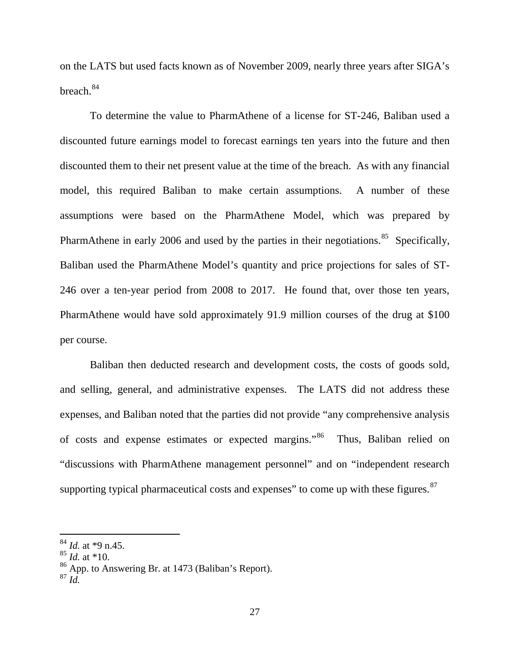on the LATS but used facts known as of November 2009, nearly three years after SIGA's breach.<sup>[84](#page-26-0)</sup>

To determine the value to PharmAthene of a license for ST-246, Baliban used a discounted future earnings model to forecast earnings ten years into the future and then discounted them to their net present value at the time of the breach. As with any financial model, this required Baliban to make certain assumptions. A number of these assumptions were based on the PharmAthene Model, which was prepared by PharmAthene in early 2006 and used by the parties in their negotiations. $85$  Specifically, Baliban used the PharmAthene Model's quantity and price projections for sales of ST-246 over a ten-year period from 2008 to 2017. He found that, over those ten years, PharmAthene would have sold approximately 91.9 million courses of the drug at \$100 per course.

Baliban then deducted research and development costs, the costs of goods sold, and selling, general, and administrative expenses. The LATS did not address these expenses, and Baliban noted that the parties did not provide "any comprehensive analysis of costs and expense estimates or expected margins."<sup>[86](#page-26-2)</sup> Thus, Baliban relied on "discussions with PharmAthene management personnel" and on "independent research supporting typical pharmaceutical costs and expenses" to come up with these figures.<sup>[87](#page-26-3)</sup>

<span id="page-26-0"></span> <sup>84</sup> *Id.* at \*9 n.45.

<span id="page-26-1"></span><sup>85</sup> *Id.* at \*10.

<span id="page-26-2"></span><sup>86</sup> App. to Answering Br. at 1473 (Baliban's Report).

<span id="page-26-3"></span><sup>87</sup> *Id.*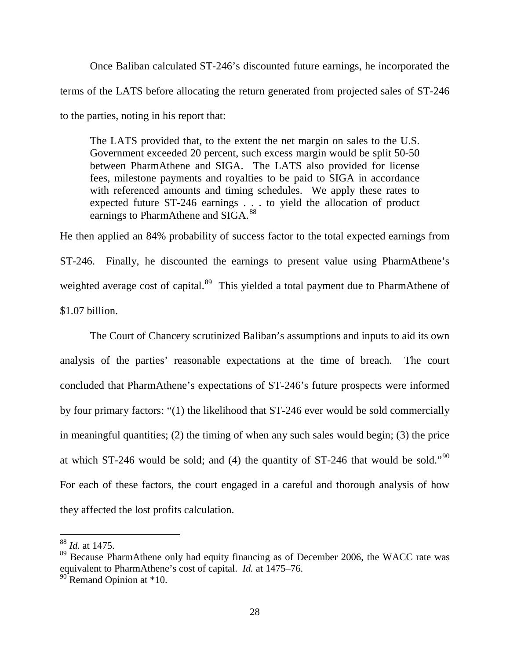Once Baliban calculated ST-246's discounted future earnings, he incorporated the terms of the LATS before allocating the return generated from projected sales of ST-246 to the parties, noting in his report that:

The LATS provided that, to the extent the net margin on sales to the U.S. Government exceeded 20 percent, such excess margin would be split 50-50 between PharmAthene and SIGA. The LATS also provided for license fees, milestone payments and royalties to be paid to SIGA in accordance with referenced amounts and timing schedules. We apply these rates to expected future ST-246 earnings . . . to yield the allocation of product earnings to PharmAthene and SIGA.<sup>[88](#page-27-0)</sup>

He then applied an 84% probability of success factor to the total expected earnings from ST-246. Finally, he discounted the earnings to present value using PharmAthene's weighted average cost of capital.<sup>89</sup> This yielded a total payment due to PharmAthene of \$1.07 billion.

The Court of Chancery scrutinized Baliban's assumptions and inputs to aid its own analysis of the parties' reasonable expectations at the time of breach. The court concluded that PharmAthene's expectations of ST-246's future prospects were informed by four primary factors: "(1) the likelihood that ST-246 ever would be sold commercially in meaningful quantities; (2) the timing of when any such sales would begin; (3) the price at which ST-246 would be sold; and (4) the quantity of ST-246 that would be sold."[90](#page-27-2) For each of these factors, the court engaged in a careful and thorough analysis of how they affected the lost profits calculation.

<span id="page-27-0"></span> <sup>88</sup> *Id.* at 1475.

<span id="page-27-1"></span><sup>&</sup>lt;sup>89</sup> Because PharmAthene only had equity financing as of December 2006, the WACC rate was equivalent to PharmAthene's cost of capital. *Id.* at 1475–76.

<span id="page-27-2"></span> $90^{\circ}$  Remand Opinion at  $*10$ .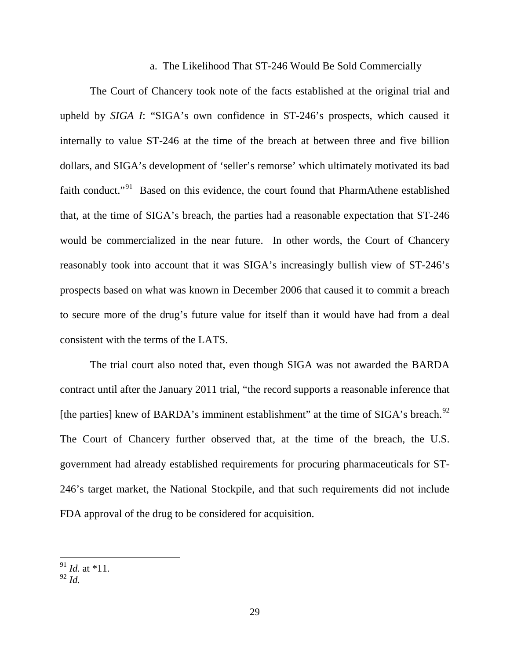#### a. The Likelihood That ST-246 Would Be Sold Commercially

The Court of Chancery took note of the facts established at the original trial and upheld by *SIGA I*: "SIGA's own confidence in ST-246's prospects, which caused it internally to value ST-246 at the time of the breach at between three and five billion dollars, and SIGA's development of 'seller's remorse' which ultimately motivated its bad faith conduct."<sup>[91](#page-28-0)</sup> Based on this evidence, the court found that PharmAthene established that, at the time of SIGA's breach, the parties had a reasonable expectation that ST-246 would be commercialized in the near future. In other words, the Court of Chancery reasonably took into account that it was SIGA's increasingly bullish view of ST-246's prospects based on what was known in December 2006 that caused it to commit a breach to secure more of the drug's future value for itself than it would have had from a deal consistent with the terms of the LATS.

The trial court also noted that, even though SIGA was not awarded the BARDA contract until after the January 2011 trial, "the record supports a reasonable inference that [the parties] knew of BARDA's imminent establishment" at the time of  $SIGA$ 's breach.<sup>[92](#page-28-1)</sup> The Court of Chancery further observed that, at the time of the breach, the U.S. government had already established requirements for procuring pharmaceuticals for ST-246's target market, the National Stockpile, and that such requirements did not include FDA approval of the drug to be considered for acquisition.

<span id="page-28-0"></span><sup>91</sup> *Id.* at \*11. <sup>92</sup> *Id.* 

<span id="page-28-1"></span>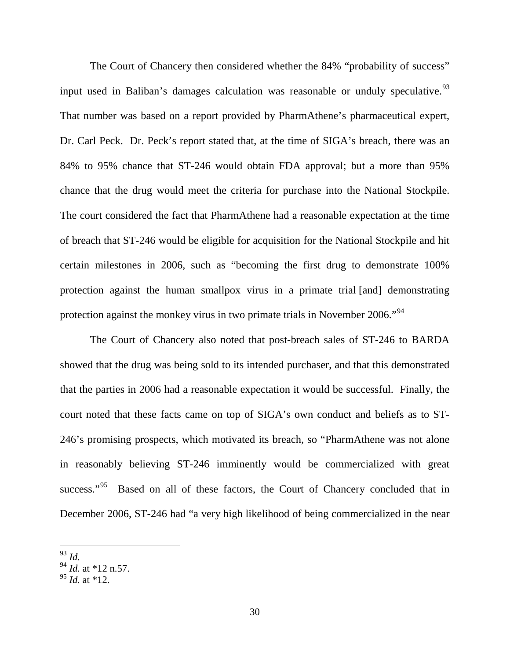The Court of Chancery then considered whether the 84% "probability of success" input used in Baliban's damages calculation was reasonable or unduly speculative.  $93$ That number was based on a report provided by PharmAthene's pharmaceutical expert, Dr. Carl Peck. Dr. Peck's report stated that, at the time of SIGA's breach, there was an 84% to 95% chance that ST-246 would obtain FDA approval; but a more than 95% chance that the drug would meet the criteria for purchase into the National Stockpile. The court considered the fact that PharmAthene had a reasonable expectation at the time of breach that ST-246 would be eligible for acquisition for the National Stockpile and hit certain milestones in 2006, such as "becoming the first drug to demonstrate 100% protection against the human smallpox virus in a primate trial [and] demonstrating protection against the monkey virus in two primate trials in November 2006.<sup>"94</sup>

The Court of Chancery also noted that post-breach sales of ST-246 to BARDA showed that the drug was being sold to its intended purchaser, and that this demonstrated that the parties in 2006 had a reasonable expectation it would be successful. Finally, the court noted that these facts came on top of SIGA's own conduct and beliefs as to ST-246's promising prospects, which motivated its breach, so "PharmAthene was not alone in reasonably believing ST-246 imminently would be commercialized with great success."<sup>[95](#page-29-2)</sup> Based on all of these factors, the Court of Chancery concluded that in December 2006, ST-246 had "a very high likelihood of being commercialized in the near

<span id="page-29-0"></span> <sup>93</sup> *Id.*

<span id="page-29-1"></span><sup>94</sup> *Id.* at \*12 n.57.

<span id="page-29-2"></span><sup>95</sup> *Id.* at \*12.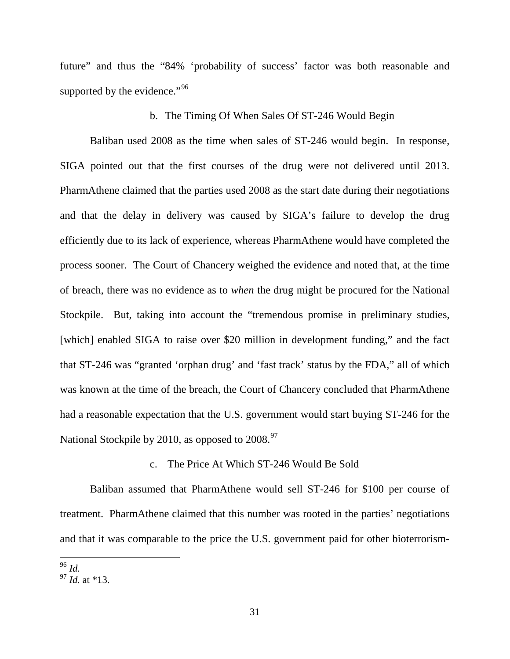future" and thus the "84% 'probability of success' factor was both reasonable and supported by the evidence."<sup>[96](#page-30-0)</sup>

#### b. The Timing Of When Sales Of ST-246 Would Begin

Baliban used 2008 as the time when sales of ST-246 would begin. In response, SIGA pointed out that the first courses of the drug were not delivered until 2013. PharmAthene claimed that the parties used 2008 as the start date during their negotiations and that the delay in delivery was caused by SIGA's failure to develop the drug efficiently due to its lack of experience, whereas PharmAthene would have completed the process sooner. The Court of Chancery weighed the evidence and noted that, at the time of breach, there was no evidence as to *when* the drug might be procured for the National Stockpile. But, taking into account the "tremendous promise in preliminary studies, [which] enabled SIGA to raise over \$20 million in development funding," and the fact that ST-246 was "granted 'orphan drug' and 'fast track' status by the FDA," all of which was known at the time of the breach, the Court of Chancery concluded that PharmAthene had a reasonable expectation that the U.S. government would start buying ST-246 for the National Stockpile by 2010, as opposed to  $2008.<sup>97</sup>$  $2008.<sup>97</sup>$  $2008.<sup>97</sup>$ 

#### c. The Price At Which ST-246 Would Be Sold

Baliban assumed that PharmAthene would sell ST-246 for \$100 per course of treatment. PharmAthene claimed that this number was rooted in the parties' negotiations and that it was comparable to the price the U.S. government paid for other bioterrorism-

<span id="page-30-0"></span> <sup>96</sup> *Id.* 

<span id="page-30-1"></span><sup>97</sup> *Id.* at \*13.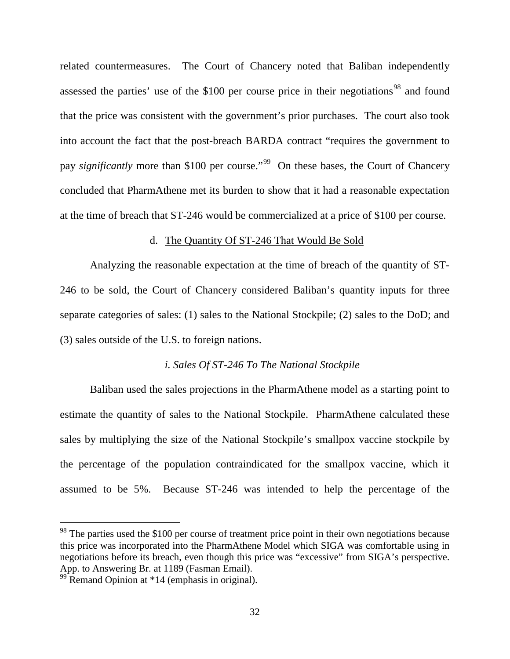related countermeasures. The Court of Chancery noted that Baliban independently assessed the parties' use of the  $$100$  per course price in their negotiations<sup>[98](#page-31-0)</sup> and found that the price was consistent with the government's prior purchases. The court also took into account the fact that the post-breach BARDA contract "requires the government to pay *significantly* more than \$100 per course."<sup>99</sup> On these bases, the Court of Chancery concluded that PharmAthene met its burden to show that it had a reasonable expectation at the time of breach that ST-246 would be commercialized at a price of \$100 per course.

#### d. The Quantity Of ST-246 That Would Be Sold

Analyzing the reasonable expectation at the time of breach of the quantity of ST-246 to be sold, the Court of Chancery considered Baliban's quantity inputs for three separate categories of sales: (1) sales to the National Stockpile; (2) sales to the DoD; and (3) sales outside of the U.S. to foreign nations.

#### *i. Sales Of ST-246 To The National Stockpile*

Baliban used the sales projections in the PharmAthene model as a starting point to estimate the quantity of sales to the National Stockpile. PharmAthene calculated these sales by multiplying the size of the National Stockpile's smallpox vaccine stockpile by the percentage of the population contraindicated for the smallpox vaccine, which it assumed to be 5%. Because ST-246 was intended to help the percentage of the

<span id="page-31-0"></span><sup>&</sup>lt;sup>98</sup> The parties used the \$100 per course of treatment price point in their own negotiations because this price was incorporated into the PharmAthene Model which SIGA was comfortable using in negotiations before its breach, even though this price was "excessive" from SIGA's perspective. App. to Answering Br. at 1189 (Fasman Email).<br><sup>99</sup> Remand Opinion at \*14 (emphasis in original).

<span id="page-31-1"></span>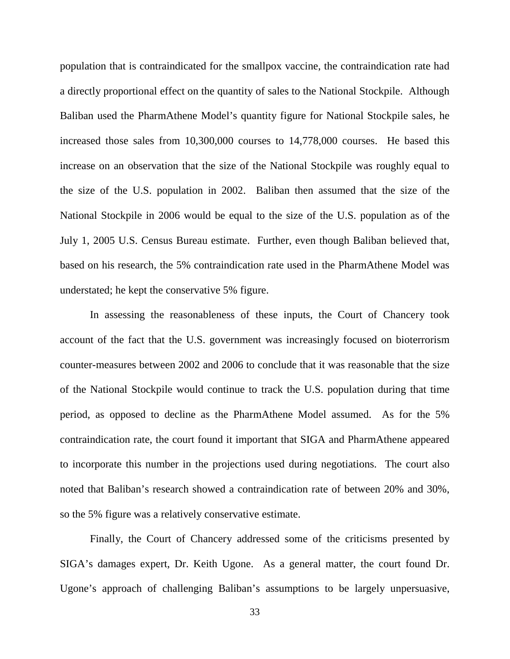population that is contraindicated for the smallpox vaccine, the contraindication rate had a directly proportional effect on the quantity of sales to the National Stockpile. Although Baliban used the PharmAthene Model's quantity figure for National Stockpile sales, he increased those sales from 10,300,000 courses to 14,778,000 courses. He based this increase on an observation that the size of the National Stockpile was roughly equal to the size of the U.S. population in 2002. Baliban then assumed that the size of the National Stockpile in 2006 would be equal to the size of the U.S. population as of the July 1, 2005 U.S. Census Bureau estimate. Further, even though Baliban believed that, based on his research, the 5% contraindication rate used in the PharmAthene Model was understated; he kept the conservative 5% figure.

In assessing the reasonableness of these inputs, the Court of Chancery took account of the fact that the U.S. government was increasingly focused on bioterrorism counter-measures between 2002 and 2006 to conclude that it was reasonable that the size of the National Stockpile would continue to track the U.S. population during that time period, as opposed to decline as the PharmAthene Model assumed. As for the 5% contraindication rate, the court found it important that SIGA and PharmAthene appeared to incorporate this number in the projections used during negotiations. The court also noted that Baliban's research showed a contraindication rate of between 20% and 30%, so the 5% figure was a relatively conservative estimate.

Finally, the Court of Chancery addressed some of the criticisms presented by SIGA's damages expert, Dr. Keith Ugone. As a general matter, the court found Dr. Ugone's approach of challenging Baliban's assumptions to be largely unpersuasive,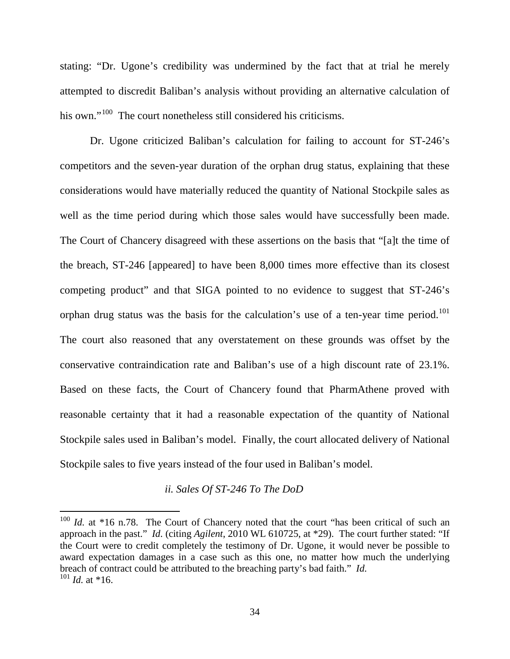stating: "Dr. Ugone's credibility was undermined by the fact that at trial he merely attempted to discredit Baliban's analysis without providing an alternative calculation of his own."<sup>[100](#page-33-0)</sup> The court nonetheless still considered his criticisms.

Dr. Ugone criticized Baliban's calculation for failing to account for ST-246's competitors and the seven-year duration of the orphan drug status, explaining that these considerations would have materially reduced the quantity of National Stockpile sales as well as the time period during which those sales would have successfully been made. The Court of Chancery disagreed with these assertions on the basis that "[a]t the time of the breach, ST-246 [appeared] to have been 8,000 times more effective than its closest competing product" and that SIGA pointed to no evidence to suggest that ST-246's orphan drug status was the basis for the calculation's use of a ten-year time period.<sup>[101](#page-33-1)</sup> The court also reasoned that any overstatement on these grounds was offset by the conservative contraindication rate and Baliban's use of a high discount rate of 23.1%. Based on these facts, the Court of Chancery found that PharmAthene proved with reasonable certainty that it had a reasonable expectation of the quantity of National Stockpile sales used in Baliban's model. Finally, the court allocated delivery of National Stockpile sales to five years instead of the four used in Baliban's model.

#### *ii. Sales Of ST-246 To The DoD*

<span id="page-33-1"></span><span id="page-33-0"></span><sup>&</sup>lt;sup>100</sup> *Id.* at \*16 n.78. The Court of Chancery noted that the court "has been critical of such an approach in the past." *Id.* (citing *Agilent*, 2010 WL 610725, at \*29). The court further stated: "If the Court were to credit completely the testimony of Dr. Ugone, it would never be possible to award expectation damages in a case such as this one, no matter how much the underlying breach of contract could be attributed to the breaching party's bad faith." *Id.* 101 *Id.* at \*16.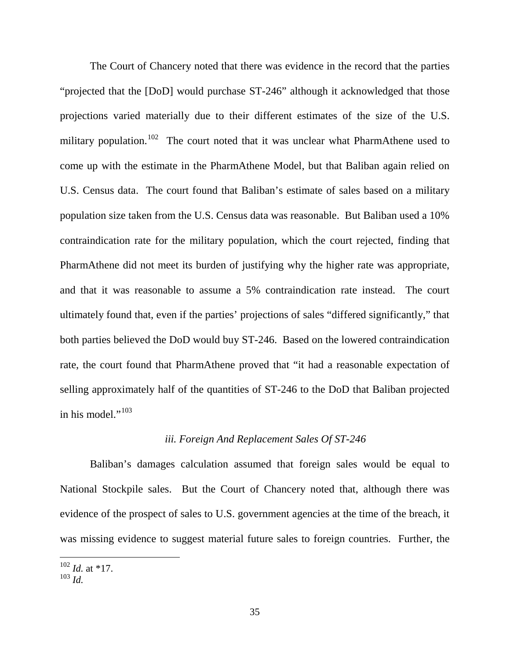The Court of Chancery noted that there was evidence in the record that the parties "projected that the [DoD] would purchase ST-246" although it acknowledged that those projections varied materially due to their different estimates of the size of the U.S. military population.<sup>[102](#page-34-0)</sup> The court noted that it was unclear what PharmAthene used to come up with the estimate in the PharmAthene Model, but that Baliban again relied on U.S. Census data. The court found that Baliban's estimate of sales based on a military population size taken from the U.S. Census data was reasonable. But Baliban used a 10% contraindication rate for the military population, which the court rejected, finding that PharmAthene did not meet its burden of justifying why the higher rate was appropriate, and that it was reasonable to assume a 5% contraindication rate instead. The court ultimately found that, even if the parties' projections of sales "differed significantly," that both parties believed the DoD would buy ST-246. Based on the lowered contraindication rate, the court found that PharmAthene proved that "it had a reasonable expectation of selling approximately half of the quantities of ST-246 to the DoD that Baliban projected in his model." $103$ 

## *iii. Foreign And Replacement Sales Of ST-246*

Baliban's damages calculation assumed that foreign sales would be equal to National Stockpile sales. But the Court of Chancery noted that, although there was evidence of the prospect of sales to U.S. government agencies at the time of the breach, it was missing evidence to suggest material future sales to foreign countries. Further, the

<span id="page-34-0"></span><sup>102</sup> *Id.* at \*17. 103 *Id.*

<span id="page-34-1"></span>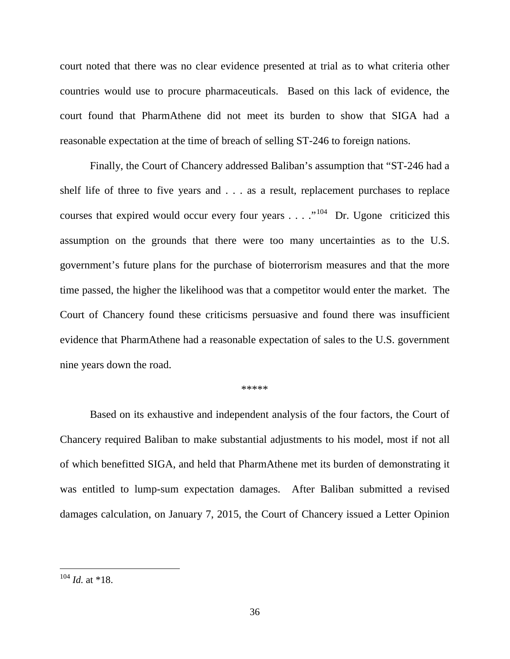court noted that there was no clear evidence presented at trial as to what criteria other countries would use to procure pharmaceuticals. Based on this lack of evidence, the court found that PharmAthene did not meet its burden to show that SIGA had a reasonable expectation at the time of breach of selling ST-246 to foreign nations.

Finally, the Court of Chancery addressed Baliban's assumption that "ST-246 had a shelf life of three to five years and . . . as a result, replacement purchases to replace courses that expired would occur every four years . . . ."<sup>[104](#page-35-0)</sup> Dr. Ugone criticized this assumption on the grounds that there were too many uncertainties as to the U.S. government's future plans for the purchase of bioterrorism measures and that the more time passed, the higher the likelihood was that a competitor would enter the market. The Court of Chancery found these criticisms persuasive and found there was insufficient evidence that PharmAthene had a reasonable expectation of sales to the U.S. government nine years down the road.

#### \*\*\*\*\*

Based on its exhaustive and independent analysis of the four factors, the Court of Chancery required Baliban to make substantial adjustments to his model, most if not all of which benefitted SIGA, and held that PharmAthene met its burden of demonstrating it was entitled to lump-sum expectation damages. After Baliban submitted a revised damages calculation, on January 7, 2015, the Court of Chancery issued a Letter Opinion

<span id="page-35-0"></span> <sup>104</sup> *Id.* at \*18.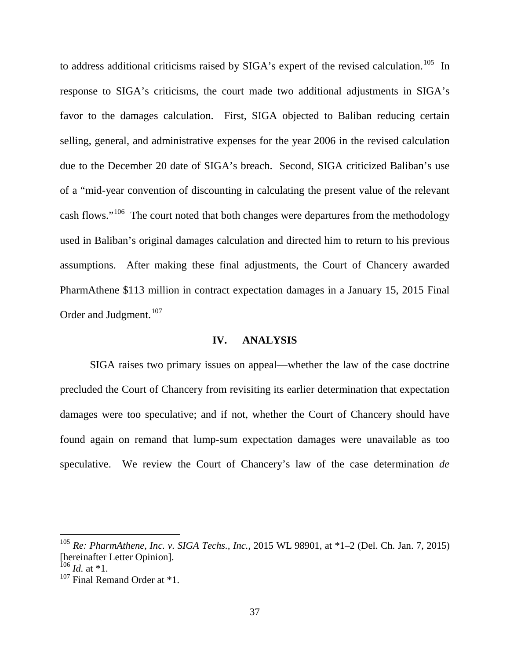to address additional criticisms raised by SIGA's expert of the revised calculation.<sup>105</sup> In response to SIGA's criticisms, the court made two additional adjustments in SIGA's favor to the damages calculation. First, SIGA objected to Baliban reducing certain selling, general, and administrative expenses for the year 2006 in the revised calculation due to the December 20 date of SIGA's breach. Second, SIGA criticized Baliban's use of a "mid-year convention of discounting in calculating the present value of the relevant cash flows."<sup>106</sup> The court noted that both changes were departures from the methodology used in Baliban's original damages calculation and directed him to return to his previous assumptions. After making these final adjustments, the Court of Chancery awarded PharmAthene \$113 million in contract expectation damages in a January 15, 2015 Final Order and Judgment.<sup>107</sup>

### **IV. ANALYSIS**

SIGA raises two primary issues on appeal—whether the law of the case doctrine precluded the Court of Chancery from revisiting its earlier determination that expectation damages were too speculative; and if not, whether the Court of Chancery should have found again on remand that lump-sum expectation damages were unavailable as too speculative. We review the Court of Chancery's law of the case determination *de* 

<span id="page-36-0"></span> <sup>105</sup> *Re: PharmAthene, Inc. v. SIGA Techs., Inc.*, 2015 WL 98901, at \*1–2 (Del. Ch. Jan. 7, 2015) [hereinafter Letter Opinion].

<span id="page-36-1"></span> $106$  *Id.* at \*1.

<span id="page-36-2"></span><sup>&</sup>lt;sup>107</sup> Final Remand Order at \*1.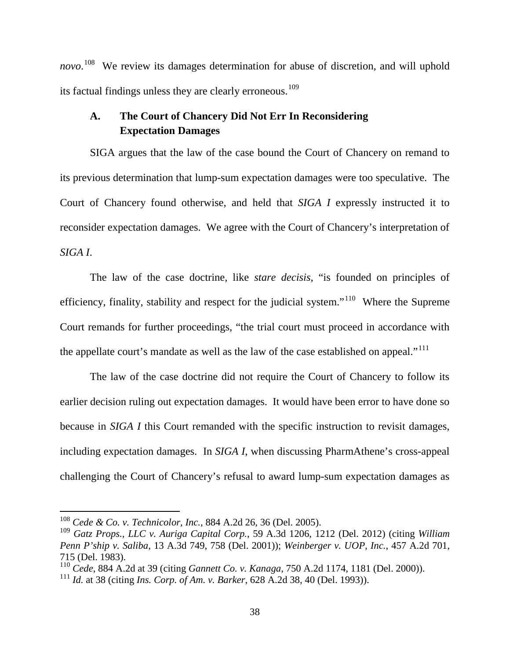*novo*. [108](#page-37-0) We review its damages determination for abuse of discretion, and will uphold its factual findings unless they are clearly erroneous.<sup>[109](#page-37-1)</sup>

# **A. The Court of Chancery Did Not Err In Reconsidering Expectation Damages**

SIGA argues that the law of the case bound the Court of Chancery on remand to its previous determination that lump-sum expectation damages were too speculative. The Court of Chancery found otherwise, and held that *SIGA I* expressly instructed it to reconsider expectation damages. We agree with the Court of Chancery's interpretation of *SIGA I*.

The law of the case doctrine, like *stare decisis*, "is founded on principles of efficiency, finality, stability and respect for the judicial system."<sup>[110](#page-37-2)</sup> Where the Supreme Court remands for further proceedings, "the trial court must proceed in accordance with the appellate court's mandate as well as the law of the case established on appeal."<sup>111</sup>

The law of the case doctrine did not require the Court of Chancery to follow its earlier decision ruling out expectation damages. It would have been error to have done so because in *SIGA I* this Court remanded with the specific instruction to revisit damages, including expectation damages. In *SIGA I*, when discussing PharmAthene's cross-appeal challenging the Court of Chancery's refusal to award lump-sum expectation damages as

<span id="page-37-0"></span> <sup>108</sup> *Cede & Co. v. Technicolor, Inc.*, 884 A.2d 26, 36 (Del. 2005).

<span id="page-37-1"></span><sup>109</sup> *Gatz Props., LLC v. Auriga Capital Corp.*, 59 A.3d 1206, 1212 (Del. 2012) (citing *William Penn P'ship v. Saliba*, 13 A.3d 749, 758 (Del. 2001)); *Weinberger v. UOP, Inc.*, 457 A.2d 701, 715 (Del. 1983).

<span id="page-37-2"></span><sup>110</sup> *Cede*, 884 A.2d at 39 (citing *Gannett Co. v. Kanaga*, 750 A.2d 1174, 1181 (Del. 2000)). <sup>111</sup> *Id.* at 38 (citing *Ins. Corp. of Am. v. Barker*, 628 A.2d 38, 40 (Del. 1993)).

<span id="page-37-3"></span>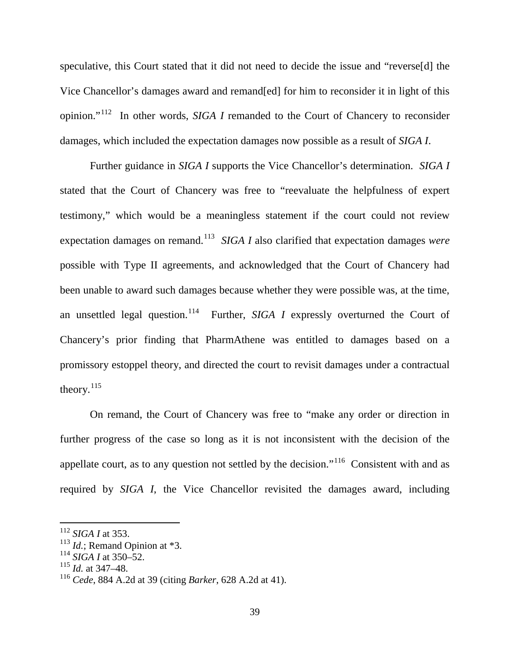speculative, this Court stated that it did not need to decide the issue and "reverse[d] the Vice Chancellor's damages award and remand[ed] for him to reconsider it in light of this opinion."[112](#page-38-0) In other words, *SIGA I* remanded to the Court of Chancery to reconsider damages, which included the expectation damages now possible as a result of *SIGA I*.

Further guidance in *SIGA I* supports the Vice Chancellor's determination. *SIGA I* stated that the Court of Chancery was free to "reevaluate the helpfulness of expert testimony," which would be a meaningless statement if the court could not review expectation damages on remand.<sup>113</sup> *SIGA I* also clarified that expectation damages *were* possible with Type II agreements, and acknowledged that the Court of Chancery had been unable to award such damages because whether they were possible was, at the time, an unsettled legal question.<sup>[114](#page-38-2)</sup> Further, *SIGA I* expressly overturned the Court of Chancery's prior finding that PharmAthene was entitled to damages based on a promissory estoppel theory, and directed the court to revisit damages under a contractual theory.<sup>115</sup>

On remand, the Court of Chancery was free to "make any order or direction in further progress of the case so long as it is not inconsistent with the decision of the appellate court, as to any question not settled by the decision."[116](#page-38-4) Consistent with and as required by *SIGA I*, the Vice Chancellor revisited the damages award, including

<span id="page-38-1"></span><span id="page-38-0"></span><sup>112</sup> *SIGA I* at 353.<sup>113</sup> *Id.*; Remand Opinion at \*3. 114 *SIGA I* at 350–52.

<span id="page-38-2"></span>

<span id="page-38-3"></span><sup>115</sup> *Id.* at 347–48.

<span id="page-38-4"></span><sup>116</sup> *Cede*, 884 A.2d at 39 (citing *Barker*, 628 A.2d at 41).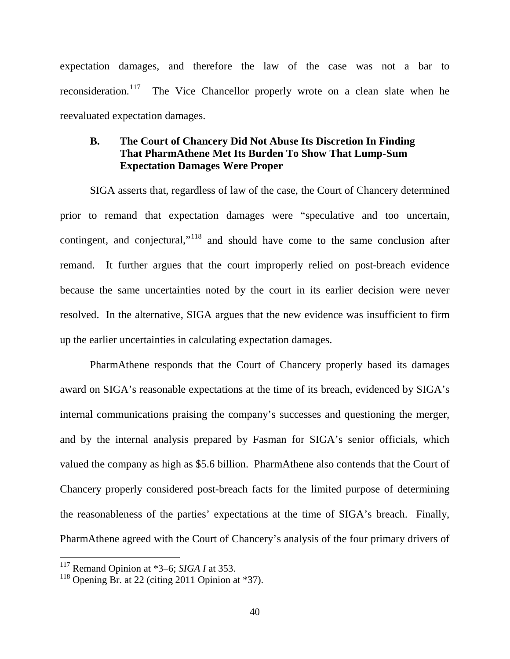expectation damages, and therefore the law of the case was not a bar to reconsideration.<sup>117</sup> The Vice Chancellor properly wrote on a clean slate when he reevaluated expectation damages.

# **B. The Court of Chancery Did Not Abuse Its Discretion In Finding That PharmAthene Met Its Burden To Show That Lump-Sum Expectation Damages Were Proper**

SIGA asserts that, regardless of law of the case, the Court of Chancery determined prior to remand that expectation damages were "speculative and too uncertain, contingent, and conjectural,"[118](#page-39-1) and should have come to the same conclusion after remand. It further argues that the court improperly relied on post-breach evidence because the same uncertainties noted by the court in its earlier decision were never resolved. In the alternative, SIGA argues that the new evidence was insufficient to firm up the earlier uncertainties in calculating expectation damages.

PharmAthene responds that the Court of Chancery properly based its damages award on SIGA's reasonable expectations at the time of its breach, evidenced by SIGA's internal communications praising the company's successes and questioning the merger, and by the internal analysis prepared by Fasman for SIGA's senior officials, which valued the company as high as \$5.6 billion. PharmAthene also contends that the Court of Chancery properly considered post-breach facts for the limited purpose of determining the reasonableness of the parties' expectations at the time of SIGA's breach. Finally, PharmAthene agreed with the Court of Chancery's analysis of the four primary drivers of

<span id="page-39-0"></span> <sup>117</sup> Remand Opinion at \*3–6; *SIGA I* at 353.

<span id="page-39-1"></span> $118$  Opening Br. at 22 (citing 2011 Opinion at \*37).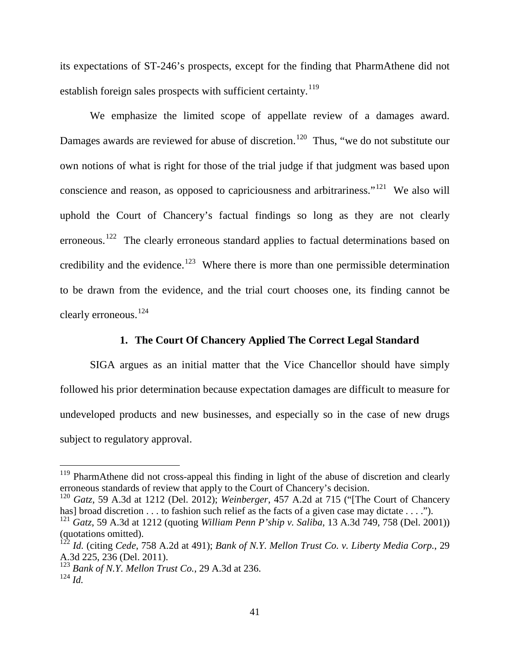its expectations of ST-246's prospects, except for the finding that PharmAthene did not establish foreign sales prospects with sufficient certainty.<sup>[119](#page-40-0)</sup>

We emphasize the limited scope of appellate review of a damages award. Damages awards are reviewed for abuse of discretion.<sup>120</sup> Thus, "we do not substitute our own notions of what is right for those of the trial judge if that judgment was based upon conscience and reason, as opposed to capriciousness and arbitrariness."[121](#page-40-2) We also will uphold the Court of Chancery's factual findings so long as they are not clearly erroneous.<sup>[122](#page-40-3)</sup> The clearly erroneous standard applies to factual determinations based on credibility and the evidence.<sup>123</sup> Where there is more than one permissible determination to be drawn from the evidence, and the trial court chooses one, its finding cannot be clearly erroneous.<sup>124</sup>

## **1. The Court Of Chancery Applied The Correct Legal Standard**

SIGA argues as an initial matter that the Vice Chancellor should have simply followed his prior determination because expectation damages are difficult to measure for undeveloped products and new businesses, and especially so in the case of new drugs subject to regulatory approval.

<span id="page-40-0"></span> $119$  PharmAthene did not cross-appeal this finding in light of the abuse of discretion and clearly erroneous standards of review that apply to the Court of Chancery's decision.

<span id="page-40-1"></span><sup>120</sup> *Gatz*, 59 A.3d at 1212 (Del. 2012); *Weinberger*, 457 A.2d at 715 ("[The Court of Chancery has] broad discretion . . . to fashion such relief as the facts of a given case may dictate . . . .").

<span id="page-40-2"></span><sup>121</sup> *Gatz*, 59 A.3d at 1212 (quoting *William Penn P'ship v. Saliba*, 13 A.3d 749, 758 (Del. 2001)) (quotations omitted).

<span id="page-40-3"></span><sup>122</sup> *Id.* (citing *Cede*, 758 A.2d at 491); *Bank of N.Y. Mellon Trust Co. v. Liberty Media Corp.*, 29 A.3d 225, 236 (Del. 2011).

<sup>123</sup> *Bank of N.Y. Mellon Trust Co.*, 29 A.3d at 236.

<span id="page-40-5"></span><span id="page-40-4"></span><sup>124</sup> *Id.*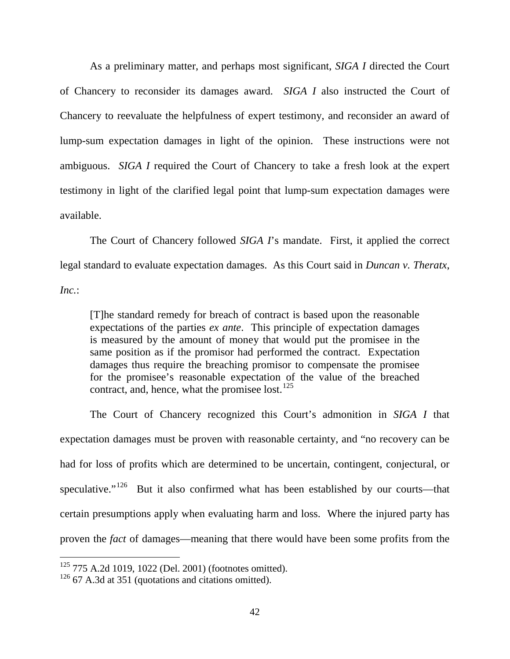As a preliminary matter, and perhaps most significant, *SIGA I* directed the Court of Chancery to reconsider its damages award. *SIGA I* also instructed the Court of Chancery to reevaluate the helpfulness of expert testimony, and reconsider an award of lump-sum expectation damages in light of the opinion. These instructions were not ambiguous. *SIGA I* required the Court of Chancery to take a fresh look at the expert testimony in light of the clarified legal point that lump-sum expectation damages were available.

The Court of Chancery followed *SIGA I*'s mandate. First, it applied the correct legal standard to evaluate expectation damages. As this Court said in *Duncan v. Theratx*, *Inc.*:

[T]he standard remedy for breach of contract is based upon the reasonable expectations of the parties *ex ante*. This principle of expectation damages is measured by the amount of money that would put the promisee in the same position as if the promisor had performed the contract. Expectation damages thus require the breaching promisor to compensate the promisee for the promisee's reasonable expectation of the value of the breached contract, and, hence, what the promisee lost.<sup>[125](#page-41-0)</sup>

The Court of Chancery recognized this Court's admonition in *SIGA I* that expectation damages must be proven with reasonable certainty, and "no recovery can be had for loss of profits which are determined to be uncertain, contingent, conjectural, or speculative."<sup>[126](#page-41-1)</sup> But it also confirmed what has been established by our courts—that certain presumptions apply when evaluating harm and loss. Where the injured party has proven the *fact* of damages—meaning that there would have been some profits from the

<span id="page-41-0"></span> <sup>125</sup> 775 A.2d 1019, 1022 (Del. 2001) (footnotes omitted).

<span id="page-41-1"></span> $126$  67 A.3d at 351 (quotations and citations omitted).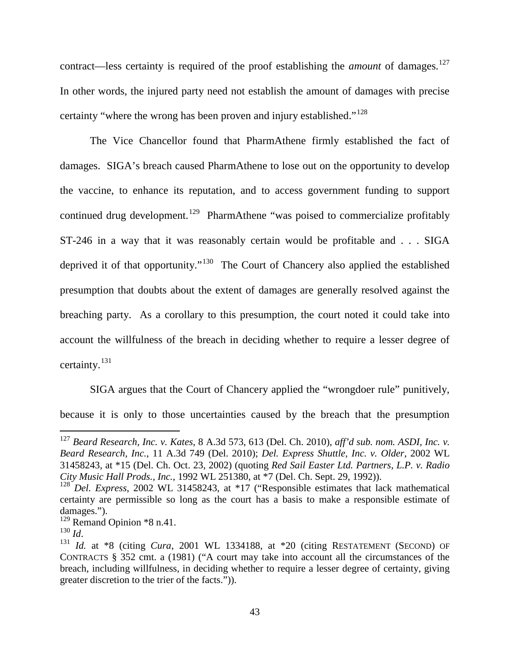contract—less certainty is required of the proof establishing the *amount* of damages.<sup>[127](#page-42-0)</sup> In other words, the injured party need not establish the amount of damages with precise certainty "where the wrong has been proven and injury established."<sup>[128](#page-42-1)</sup>

The Vice Chancellor found that PharmAthene firmly established the fact of damages. SIGA's breach caused PharmAthene to lose out on the opportunity to develop the vaccine, to enhance its reputation, and to access government funding to support continued drug development.<sup>129</sup> PharmAthene "was poised to commercialize profitably ST-246 in a way that it was reasonably certain would be profitable and . . . SIGA deprived it of that opportunity."<sup>[130](#page-42-3)</sup> The Court of Chancery also applied the established presumption that doubts about the extent of damages are generally resolved against the breaching party. As a corollary to this presumption, the court noted it could take into account the willfulness of the breach in deciding whether to require a lesser degree of certainty. [131](#page-42-4)

SIGA argues that the Court of Chancery applied the "wrongdoer rule" punitively, because it is only to those uncertainties caused by the breach that the presumption

<span id="page-42-0"></span> <sup>127</sup> *Beard Research, Inc. v. Kates*, 8 A.3d 573, 613 (Del. Ch. 2010), *aff'd sub. nom. ASDI, Inc. v. Beard Research, Inc.*, 11 A.3d 749 (Del. 2010); *Del. Express Shuttle, Inc. v. Older*, 2002 WL 31458243, at \*15 (Del. Ch. Oct. 23, 2002) (quoting *Red Sail Easter Ltd. Partners, L.P. v. Radio City Music Hall Prods., Inc.*, 1992 WL 251380, at \*7 (Del. Ch. Sept. 29, 1992)).

<span id="page-42-1"></span><sup>&</sup>lt;sup>128</sup> *Del. Express*[, 2002 WL 31458243, at \\*17 \(](https://a.next.westlaw.com/Link/Document/FullText?findType=Y&serNum=2002700486&pubNum=999&originatingDoc=I92d770480f5a11dfa7e0c40c26bf1b92&refType=RP&originationContext=document&transitionType=DocumentItem&contextData=(sc.DocLink))"Responsible estimates that lack mathematical certainty are permissible so long as the court has a basis to make a responsible estimate of damages.").

<span id="page-42-2"></span><sup>&</sup>lt;sup>129</sup> Remand Opinion \*8 n.41.<br><sup>130</sup> Id

<span id="page-42-3"></span>

<span id="page-42-4"></span><sup>&</sup>lt;sup>131</sup> *Id.* at \*8 (citing *Cura,* 2001 WL 1334188, at \*20 (citing RESTATEMENT (SECOND) OF CONTRACTS § 352 cmt. a (1981) ("A court may take into account all the circumstances of the breach, including willfulness, in deciding whether to require a lesser degree of certainty, giving greater discretion to the trier of the facts.")).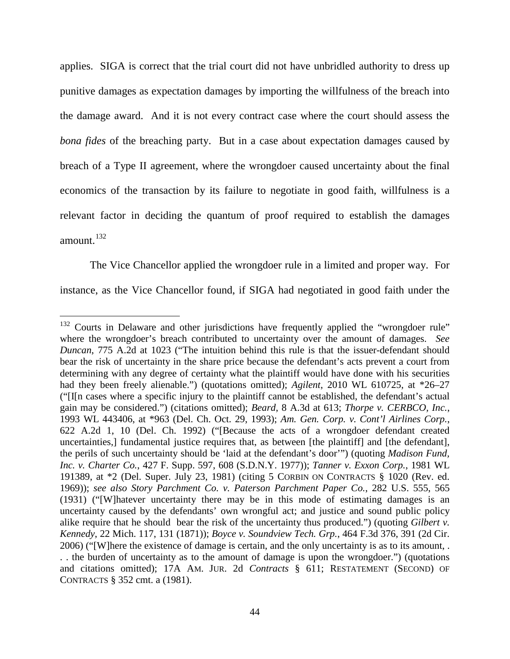applies. SIGA is correct that the trial court did not have unbridled authority to dress up punitive damages as expectation damages by importing the willfulness of the breach into the damage award. And it is not every contract case where the court should assess the *bona fides* of the breaching party. But in a case about expectation damages caused by breach of a Type II agreement, where the wrongdoer caused uncertainty about the final economics of the transaction by its failure to negotiate in good faith, willfulness is a relevant factor in deciding the quantum of proof required to establish the damages amount. $132$ 

The Vice Chancellor applied the wrongdoer rule in a limited and proper way. For instance, as the Vice Chancellor found, if SIGA had negotiated in good faith under the

<span id="page-43-0"></span><sup>&</sup>lt;sup>132</sup> Courts in Delaware and other jurisdictions have frequently applied the "wrongdoer rule" where the wrongdoer's breach contributed to uncertainty over the amount of damages. *See Duncan*, 775 A.2d at 1023 ("The intuition behind this rule is that the issuer-defendant should bear the risk of uncertainty in the share price because the defendant's acts prevent a court from determining with any degree of certainty what the plaintiff would have done with his securities had they been freely alienable.") (quotations omitted); *Agilent*, 2010 WL 610725, at \*26–27 ("[I[n cases where a specific injury to the plaintiff cannot be established, the defendant's actual gain may be considered.") (citations omitted); *Beard*, 8 A.3d at 613; *Thorpe v. CERBCO, Inc.*, 1993 WL 443406, at \*963 (Del. Ch. Oct. 29, 1993); *Am. Gen. Corp. v. Cont'l Airlines Corp.*, 622 A.2d 1, 10 (Del. Ch. 1992) ("[Because the acts of a wrongdoer defendant created uncertainties,] fundamental justice requires that, as between [the plaintiff] and [the defendant], the perils of such uncertainty should be 'laid at the defendant's door'") (quoting *Madison Fund, Inc. v. Charter Co.*, 427 F. Supp. 597, 608 (S.D.N.Y. 1977)); *Tanner v. Exxon Corp.*, 1981 WL 191389, at \*2 (Del. Super. July 23, 1981) (citing 5 CORBIN ON CONTRACTS § 1020 (Rev. ed. 1969)); *see also Story Parchment Co. v. Paterson Parchment Paper Co.*, 282 U.S. 555, 565 (1931) ("[W]hatever uncertainty there may be in this mode of estimating damages is an uncertainty caused by the defendants' own wrongful act; and justice and sound public policy alike require that he should bear the risk of the uncertainty thus produced.") (quoting *Gilbert v. Kennedy*, 22 Mich. 117, 131 (1871)); *Boyce v. Soundview Tech. Grp.*, 464 F.3d 376, 391 (2d Cir. 2006) ("[W]here the existence of damage is certain, and the only uncertainty is as to its amount, . . . the burden of uncertainty as to the amount of damage is upon the wrongdoer.") (quotations and citations omitted); 17A AM. JUR. 2d *Contracts* § 611; RESTATEMENT (SECOND) OF CONTRACTS § 352 cmt. a (1981).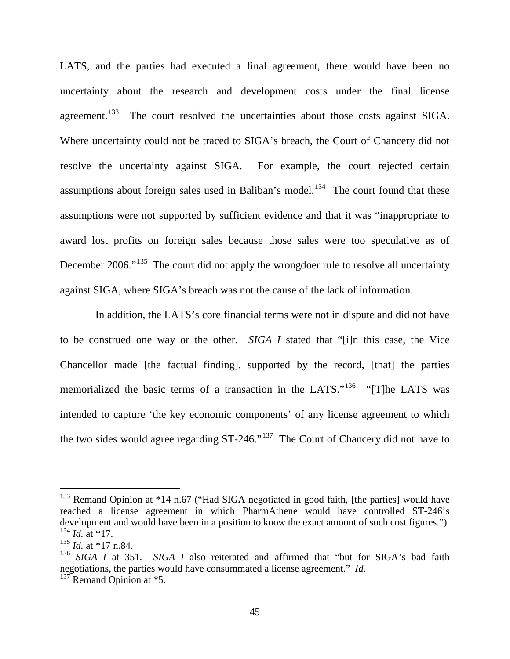LATS, and the parties had executed a final agreement, there would have been no uncertainty about the research and development costs under the final license agreement.<sup>133</sup> The court resolved the uncertainties about those costs against SIGA. Where uncertainty could not be traced to SIGA's breach, the Court of Chancery did not resolve the uncertainty against SIGA. For example, the court rejected certain assumptions about foreign sales used in Baliban's model.<sup>134</sup> The court found that these assumptions were not supported by sufficient evidence and that it was "inappropriate to award lost profits on foreign sales because those sales were too speculative as of December 2006."<sup>[135](#page-44-2)</sup> The court did not apply the wrongdoer rule to resolve all uncertainty against SIGA, where SIGA's breach was not the cause of the lack of information.

 In addition, the LATS's core financial terms were not in dispute and did not have to be construed one way or the other. *SIGA I* stated that "[i]n this case, the Vice Chancellor made [the factual finding], supported by the record, [that] the parties memorialized the basic terms of a transaction in the LATS."<sup>[136](#page-44-3)</sup> "[T]he LATS was intended to capture 'the key economic components' of any license agreement to which the two sides would agree regarding ST-246."[137](#page-44-4) The Court of Chancery did not have to

<span id="page-44-0"></span> $133$  Remand Opinion at \*14 n.67 ("Had SIGA negotiated in good faith, [the parties] would have reached a license agreement in which PharmAthene would have controlled ST-246's development and would have been in a position to know the exact amount of such cost figures."). 134 *Id.* at \*17.

<span id="page-44-2"></span><span id="page-44-1"></span> $\frac{135 \text{ H}}{1d. \text{ at } *17 \text{ n}.84.}$ 

<span id="page-44-3"></span><sup>&</sup>lt;sup>136</sup> *SIGA I* at 351. *SIGA I* also reiterated and affirmed that "but for SIGA's bad faith negotiations, the parties would have consummated a license agreement." *Id.*

<span id="page-44-4"></span> $137$  Remand Opinion at  $*5$ .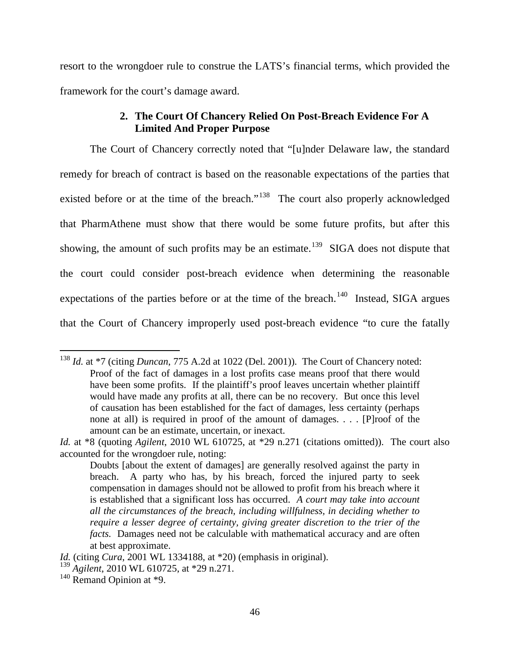resort to the wrongdoer rule to construe the LATS's financial terms, which provided the framework for the court's damage award.

# **2. The Court Of Chancery Relied On Post-Breach Evidence For A Limited And Proper Purpose**

The Court of Chancery correctly noted that "[u]nder Delaware law, the standard remedy for breach of contract is based on the reasonable expectations of the parties that existed before or at the time of the breach."<sup>[138](#page-45-0)</sup> The court also properly acknowledged that PharmAthene must show that there would be some future profits, but after this showing, the amount of such profits may be an estimate.<sup>[139](#page-45-1)</sup> SIGA does not dispute that the court could consider post-breach evidence when determining the reasonable expectations of the parties before or at the time of the breach.<sup>[140](#page-45-2)</sup> Instead, SIGA argues that the Court of Chancery improperly used post-breach evidence "to cure the fatally

<span id="page-45-0"></span><sup>&</sup>lt;sup>138</sup> *Id.* at \*7 (citing *Duncan*, 775 A.2d at 1022 (Del. 2001)). The Court of Chancery noted: Proof of the fact of damages in a lost profits case means proof that there would have been some profits. If the plaintiff's proof leaves uncertain whether plaintiff would have made any profits at all, there can be no recovery. But once this level of causation has been established for the fact of damages, less certainty (perhaps none at all) is required in proof of the amount of damages. . . . [P]roof of the amount can be an estimate, uncertain, or inexact.

*Id.* at \*8 (quoting *[Agilent](https://a.next.westlaw.com/Link/Document/FullText?findType=Y&serNum=2021404381&pubNum=0000999&originatingDoc=Ie4de4750249f11e4ac19a502906ac9cf&refType=RP&originationContext=document&transitionType=DocumentItem&contextData=(sc.UserEnteredCitation))*, 2010 WL 610725, at \*29 n.271 (citations omitted)). The court also accounted for the wrongdoer rule, noting:

Doubts [about the extent of damages] are generally resolved against the party in breach. A party who has, by his breach, forced the injured party to seek compensation in damages should not be allowed to profit from his breach where it is established that a significant loss has occurred. *A court may take into account all the circumstances of the breach, including willfulness, in deciding whether to require a lesser degree of certainty, giving greater discretion to the trier of the facts.* Damages need not be calculable with mathematical accuracy and are often at best approximate.

*Id.* (citing *Cura*, [2001 WL 1334188, at \\*20\)](https://a.next.westlaw.com/Link/Document/FullText?findType=Y&serNum=2001919892&pubNum=0000999&originatingDoc=Ie4de4750249f11e4ac19a502906ac9cf&refType=RP&originationContext=document&transitionType=DocumentItem&contextData=(sc.History*oc.Search)) (emphasis in original).

<span id="page-45-1"></span><sup>139</sup> *[Agilent](https://a.next.westlaw.com/Link/Document/FullText?findType=Y&serNum=2021404381&pubNum=0000999&originatingDoc=Ie4de4750249f11e4ac19a502906ac9cf&refType=RP&originationContext=document&transitionType=DocumentItem&contextData=(sc.UserEnteredCitation))*, 2010 WL 610725, at \*29 n.271.

<span id="page-45-2"></span> $140$  Remand Opinion at  $*9$ .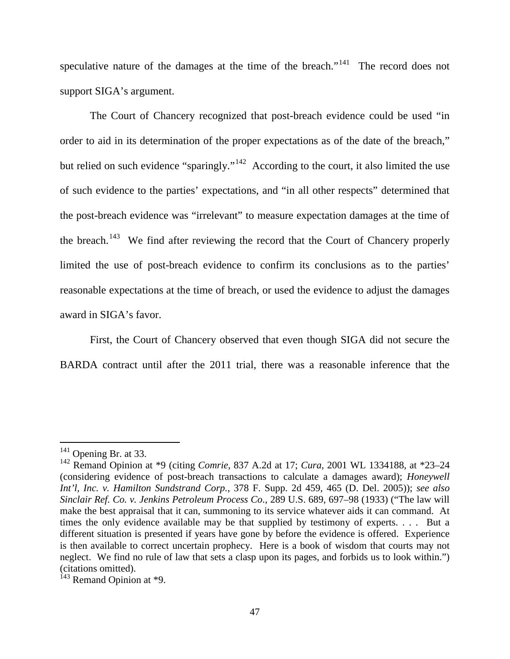speculative nature of the damages at the time of the breach."<sup>[141](#page-46-0)</sup> The record does not support SIGA's argument.

The Court of Chancery recognized that post-breach evidence could be used "in order to aid in its determination of the proper expectations as of the date of the breach," but relied on such evidence "sparingly."<sup>142</sup> According to the court, it also limited the use of such evidence to the parties' expectations, and "in all other respects" determined that the post-breach evidence was "irrelevant" to measure expectation damages at the time of the breach.<sup>[143](#page-46-2)</sup> We find after reviewing the record that the Court of Chancery properly limited the use of post-breach evidence to confirm its conclusions as to the parties' reasonable expectations at the time of breach, or used the evidence to adjust the damages award in SIGA's favor.

First, the Court of Chancery observed that even though SIGA did not secure the BARDA contract until after the 2011 trial, there was a reasonable inference that the

<span id="page-46-0"></span><sup>&</sup>lt;sup>141</sup> Opening Br. at 33.

<span id="page-46-1"></span><sup>142</sup> Remand Opinion at \*9 (citing *Comrie*, 837 A.2d at 17; *Cura*, 2001 WL 1334188, at \*23–24 (considering evidence of post-breach transactions to calculate a damages award); *Honeywell Int'l, Inc. v. Hamilton Sundstrand Corp.*, 378 F. Supp. 2d 459, 465 (D. Del. 2005)); *see also Sinclair Ref. Co. v. Jenkins Petroleum Process Co.*, 289 U.S. 689, 697–98 (1933) ("The law will make the best appraisal that it can, summoning to its service whatever aids it can command. At times the only evidence available may be that supplied by testimony of experts. . . . But a different situation is presented if years have gone by before the evidence is offered. Experience is then available to correct uncertain prophecy. Here is a book of wisdom that courts may not neglect. We find no rule of law that sets a clasp upon its pages, and forbids us to look within.") (citations omitted).

<span id="page-46-2"></span> $143$  Remand Opinion at  $*9$ .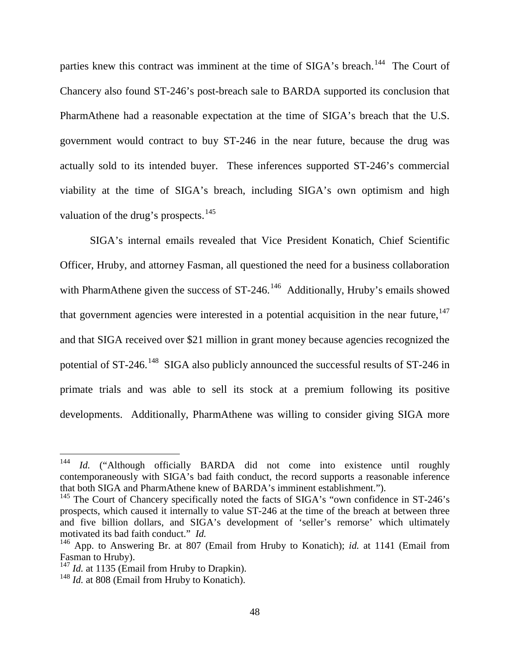parties knew this contract was imminent at the time of SIGA's breach.<sup>144</sup> The Court of Chancery also found ST-246's post-breach sale to BARDA supported its conclusion that PharmAthene had a reasonable expectation at the time of SIGA's breach that the U.S. government would contract to buy ST-246 in the near future, because the drug was actually sold to its intended buyer. These inferences supported ST-246's commercial viability at the time of SIGA's breach, including SIGA's own optimism and high valuation of the drug's prospects.<sup>[145](#page-47-1)</sup>

SIGA's internal emails revealed that Vice President Konatich, Chief Scientific Officer, Hruby, and attorney Fasman, all questioned the need for a business collaboration with PharmAthene given the success of  $ST-246$ .<sup>[146](#page-47-2)</sup> Additionally, Hruby's emails showed that government agencies were interested in a potential acquisition in the near future, <sup>[147](#page-47-3)</sup> and that SIGA received over \$21 million in grant money because agencies recognized the potential of ST-246.<sup>[148](#page-47-4)</sup> SIGA also publicly announced the successful results of ST-246 in primate trials and was able to sell its stock at a premium following its positive developments. Additionally, PharmAthene was willing to consider giving SIGA more

<span id="page-47-0"></span><sup>&</sup>lt;sup>144</sup> *Id.* ("Although officially BARDA did not come into existence until roughly contemporaneously with SIGA's bad faith conduct, the record supports a reasonable inference that both SIGA and PharmAthene knew of BARDA's imminent establishment.").

<span id="page-47-1"></span> $145$  The Court of Chancery specifically noted the facts of SIGA's "own confidence in ST-246's prospects, which caused it internally to value ST-246 at the time of the breach at between three and five billion dollars, and SIGA's development of 'seller's remorse' which ultimately motivated its bad faith conduct." *Id.*

<span id="page-47-2"></span><sup>&</sup>lt;sup>146</sup> App. to Answering Br. at 807 (Email from Hruby to Konatich); *id.* at 1141 (Email from Fasman to Hruby).

<span id="page-47-4"></span><span id="page-47-3"></span><sup>&</sup>lt;sup>147</sup> *Id.* at 1135 (Email from Hruby to Drapkin). <sup>148</sup> *Id.* at 808 (Email from Hruby to Konatich).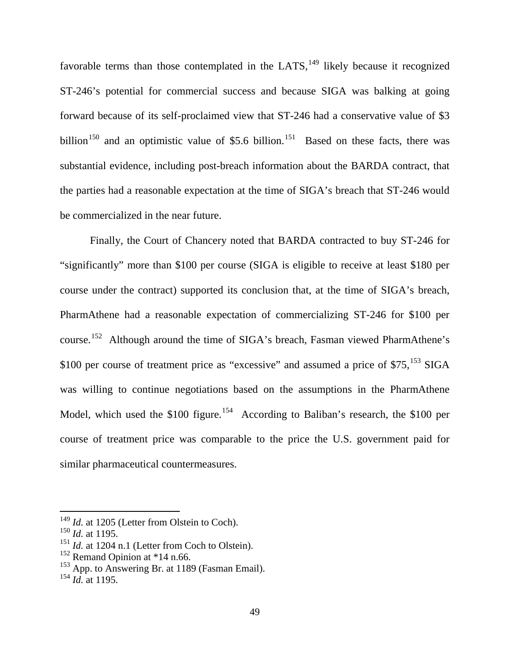favorable terms than those contemplated in the LATS, $149$  likely because it recognized ST-246's potential for commercial success and because SIGA was balking at going forward because of its self-proclaimed view that ST-246 had a conservative value of \$3 billion<sup>[150](#page-48-1)</sup> and an optimistic value of \$5.6 billion.<sup>151</sup> Based on these facts, there was substantial evidence, including post-breach information about the BARDA contract, that the parties had a reasonable expectation at the time of SIGA's breach that ST-246 would be commercialized in the near future.

Finally, the Court of Chancery noted that BARDA contracted to buy ST-246 for "significantly" more than \$100 per course (SIGA is eligible to receive at least \$180 per course under the contract) supported its conclusion that, at the time of SIGA's breach, PharmAthene had a reasonable expectation of commercializing ST-246 for \$100 per course.[152](#page-48-3) Although around the time of SIGA's breach, Fasman viewed PharmAthene's \$100 per course of treatment price as "excessive" and assumed a price of  $$75$ ,  $$^{153}$  $$^{153}$  $$^{153}$  SIGA was willing to continue negotiations based on the assumptions in the PharmAthene Model, which used the \$100 figure.<sup>154</sup> According to Baliban's research, the \$100 per course of treatment price was comparable to the price the U.S. government paid for similar pharmaceutical countermeasures.

<span id="page-48-1"></span><span id="page-48-0"></span><sup>&</sup>lt;sup>149</sup> *Id.* at 1205 (Letter from Olstein to Coch).<br><sup>150</sup> *Id.* at 1195.<br><sup>151</sup> *Id.* at 1204 n.1 (Letter from Coch to Olstein).

<span id="page-48-4"></span><span id="page-48-3"></span><span id="page-48-2"></span><sup>&</sup>lt;sup>152</sup> Remand Opinion at \*14 n.66.<br><sup>153</sup> App. to Answering Br. at 1189 (Fasman Email). <sup>154</sup> *Id.* at 1195.

<span id="page-48-5"></span>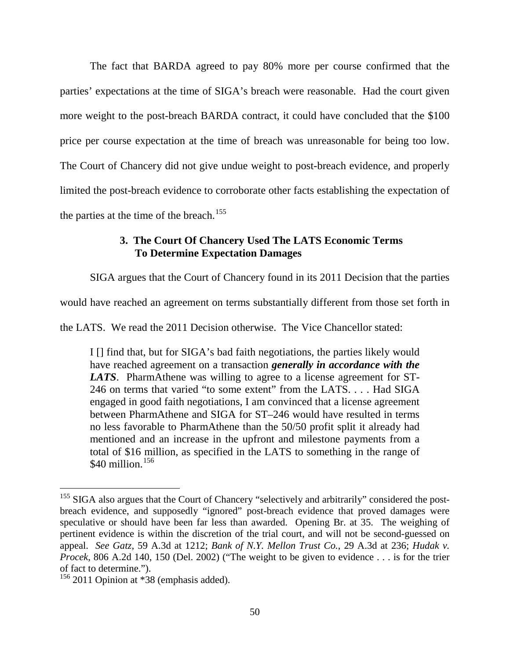The fact that BARDA agreed to pay 80% more per course confirmed that the parties' expectations at the time of SIGA's breach were reasonable. Had the court given more weight to the post-breach BARDA contract, it could have concluded that the \$100 price per course expectation at the time of breach was unreasonable for being too low. The Court of Chancery did not give undue weight to post-breach evidence, and properly limited the post-breach evidence to corroborate other facts establishing the expectation of the parties at the time of the breach.<sup>[155](#page-49-0)</sup>

# **3. The Court Of Chancery Used The LATS Economic Terms To Determine Expectation Damages**

SIGA argues that the Court of Chancery found in its 2011 Decision that the parties

would have reached an agreement on terms substantially different from those set forth in

the LATS. We read the 2011 Decision otherwise. The Vice Chancellor stated:

I [] find that, but for SIGA's bad faith negotiations, the parties likely would have reached agreement on a transaction *generally in accordance with the LATS*. PharmAthene was willing to agree to a license agreement for ST-246 on terms that varied "to some extent" from the LATS. . . . Had SIGA engaged in good faith negotiations, I am convinced that a license agreement between PharmAthene and SIGA for ST–246 would have resulted in terms no less favorable to PharmAthene than the 50/50 profit split it already had mentioned and an increase in the upfront and milestone payments from a total of \$16 million, as specified in the LATS to something in the range of  $$40$  million.<sup>[156](#page-49-1)</sup>

<span id="page-49-0"></span><sup>&</sup>lt;sup>155</sup> SIGA also argues that the Court of Chancery "selectively and arbitrarily" considered the postbreach evidence, and supposedly "ignored" post-breach evidence that proved damages were speculative or should have been far less than awarded. Opening Br. at 35. The weighing of pertinent evidence is within the discretion of the trial court, and will not be second-guessed on appeal. *See Gatz*, 59 A.3d at 1212; *Bank of N.Y. Mellon Trust Co.*, 29 A.3d at 236; *Hudak v. Procek*, 806 A.2d 140, 150 (Del. 2002) ("The weight to be given to evidence . . . is for the trier of fact to determine.").

<span id="page-49-1"></span><sup>&</sup>lt;sup>156</sup> 2011 Opinion at \*38 (emphasis added).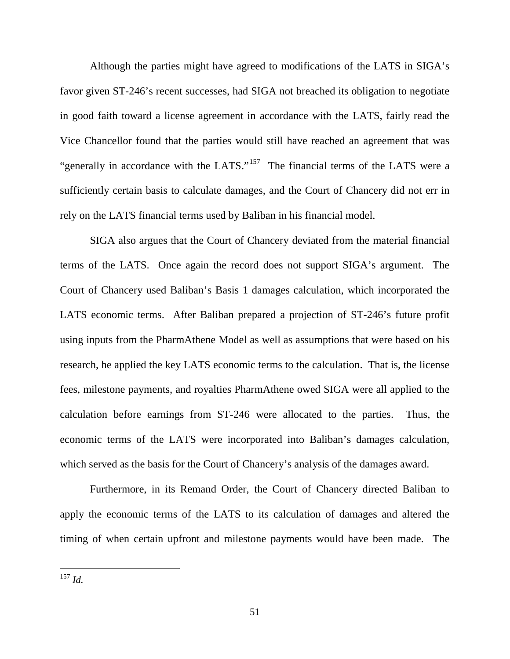Although the parties might have agreed to modifications of the LATS in SIGA's favor given ST-246's recent successes, had SIGA not breached its obligation to negotiate in good faith toward a license agreement in accordance with the LATS, fairly read the Vice Chancellor found that the parties would still have reached an agreement that was "generally in accordance with the LATS."<sup>157</sup> The financial terms of the LATS were a sufficiently certain basis to calculate damages, and the Court of Chancery did not err in rely on the LATS financial terms used by Baliban in his financial model.

SIGA also argues that the Court of Chancery deviated from the material financial terms of the LATS. Once again the record does not support SIGA's argument. The Court of Chancery used Baliban's Basis 1 damages calculation, which incorporated the LATS economic terms. After Baliban prepared a projection of ST-246's future profit using inputs from the PharmAthene Model as well as assumptions that were based on his research, he applied the key LATS economic terms to the calculation. That is, the license fees, milestone payments, and royalties PharmAthene owed SIGA were all applied to the calculation before earnings from ST-246 were allocated to the parties. Thus, the economic terms of the LATS were incorporated into Baliban's damages calculation, which served as the basis for the Court of Chancery's analysis of the damages award.

Furthermore, in its Remand Order, the Court of Chancery directed Baliban to apply the economic terms of the LATS to its calculation of damages and altered the timing of when certain upfront and milestone payments would have been made. The

<span id="page-50-0"></span> <sup>157</sup> *Id.*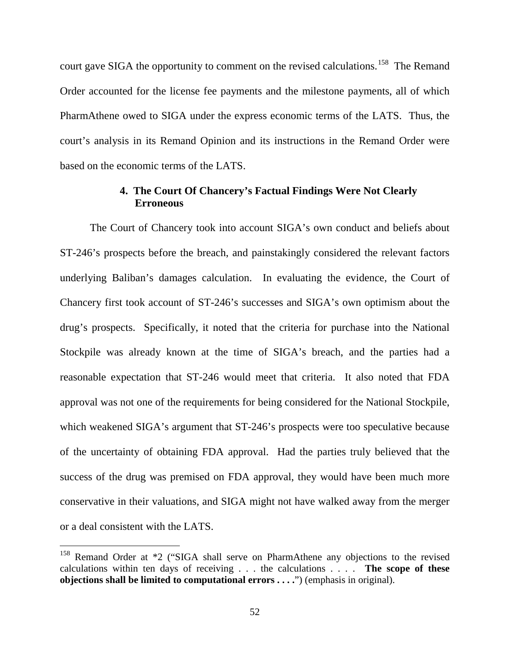court gave SIGA the opportunity to comment on the revised calculations.<sup>158</sup> The Remand Order accounted for the license fee payments and the milestone payments, all of which PharmAthene owed to SIGA under the express economic terms of the LATS. Thus, the court's analysis in its Remand Opinion and its instructions in the Remand Order were based on the economic terms of the LATS.

## **4. The Court Of Chancery's Factual Findings Were Not Clearly Erroneous**

The Court of Chancery took into account SIGA's own conduct and beliefs about ST-246's prospects before the breach, and painstakingly considered the relevant factors underlying Baliban's damages calculation. In evaluating the evidence, the Court of Chancery first took account of ST-246's successes and SIGA's own optimism about the drug's prospects. Specifically, it noted that the criteria for purchase into the National Stockpile was already known at the time of SIGA's breach, and the parties had a reasonable expectation that ST-246 would meet that criteria. It also noted that FDA approval was not one of the requirements for being considered for the National Stockpile, which weakened SIGA's argument that ST-246's prospects were too speculative because of the uncertainty of obtaining FDA approval. Had the parties truly believed that the success of the drug was premised on FDA approval, they would have been much more conservative in their valuations, and SIGA might not have walked away from the merger or a deal consistent with the LATS.

<span id="page-51-0"></span>Remand Order at \*2 ("SIGA shall serve on PharmAthene any objections to the revised calculations within ten days of receiving . . . the calculations . . . . **The scope of these objections shall be limited to computational errors . . . .**") (emphasis in original).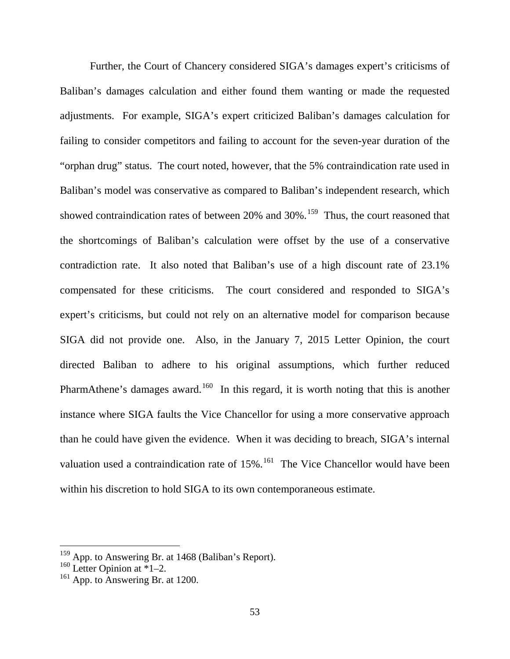Further, the Court of Chancery considered SIGA's damages expert's criticisms of Baliban's damages calculation and either found them wanting or made the requested adjustments. For example, SIGA's expert criticized Baliban's damages calculation for failing to consider competitors and failing to account for the seven-year duration of the "orphan drug" status. The court noted, however, that the 5% contraindication rate used in Baliban's model was conservative as compared to Baliban's independent research, which showed contraindication rates of between  $20\%$  and  $30\%$ .<sup>[159](#page-52-0)</sup> Thus, the court reasoned that the shortcomings of Baliban's calculation were offset by the use of a conservative contradiction rate. It also noted that Baliban's use of a high discount rate of 23.1% compensated for these criticisms. The court considered and responded to SIGA's expert's criticisms, but could not rely on an alternative model for comparison because SIGA did not provide one. Also, in the January 7, 2015 Letter Opinion, the court directed Baliban to adhere to his original assumptions, which further reduced PharmAthene's damages award.<sup>[160](#page-52-1)</sup> In this regard, it is worth noting that this is another instance where SIGA faults the Vice Chancellor for using a more conservative approach than he could have given the evidence. When it was deciding to breach, SIGA's internal valuation used a contraindication rate of  $15\%$ .<sup>[161](#page-52-2)</sup> The Vice Chancellor would have been within his discretion to hold SIGA to its own contemporaneous estimate.

<span id="page-52-0"></span><sup>&</sup>lt;sup>159</sup> App. to Answering Br. at 1468 (Baliban's Report).

<span id="page-52-1"></span><sup>&</sup>lt;sup>160</sup> Letter Opinion at  $\overline{1}$ -2.

<span id="page-52-2"></span><sup>&</sup>lt;sup>161</sup> App. to Answering Br. at 1200.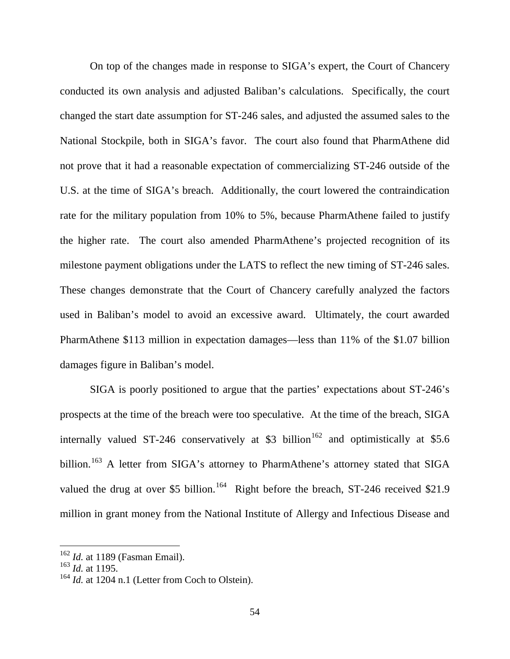On top of the changes made in response to SIGA's expert, the Court of Chancery conducted its own analysis and adjusted Baliban's calculations. Specifically, the court changed the start date assumption for ST-246 sales, and adjusted the assumed sales to the National Stockpile, both in SIGA's favor. The court also found that PharmAthene did not prove that it had a reasonable expectation of commercializing ST-246 outside of the U.S. at the time of SIGA's breach. Additionally, the court lowered the contraindication rate for the military population from 10% to 5%, because PharmAthene failed to justify the higher rate. The court also amended PharmAthene's projected recognition of its milestone payment obligations under the LATS to reflect the new timing of ST-246 sales. These changes demonstrate that the Court of Chancery carefully analyzed the factors used in Baliban's model to avoid an excessive award. Ultimately, the court awarded PharmAthene \$113 million in expectation damages—less than 11% of the \$1.07 billion damages figure in Baliban's model.

SIGA is poorly positioned to argue that the parties' expectations about ST-246's prospects at the time of the breach were too speculative. At the time of the breach, SIGA internally valued ST-246 conservatively at \$3 billion<sup>[162](#page-53-0)</sup> and optimistically at \$5.6 billion.<sup>[163](#page-53-1)</sup> A letter from SIGA's attorney to PharmAthene's attorney stated that SIGA valued the drug at over \$5 billion.<sup>[164](#page-53-2)</sup> Right before the breach, ST-246 received \$21.9 million in grant money from the National Institute of Allergy and Infectious Disease and

<span id="page-53-0"></span><sup>162</sup> *Id.* at 1189 (Fasman Email). <sup>163</sup> *Id.* at 1195.

<span id="page-53-2"></span><span id="page-53-1"></span><sup>&</sup>lt;sup>164</sup> *Id.* at 1204 n.1 (Letter from Coch to Olstein).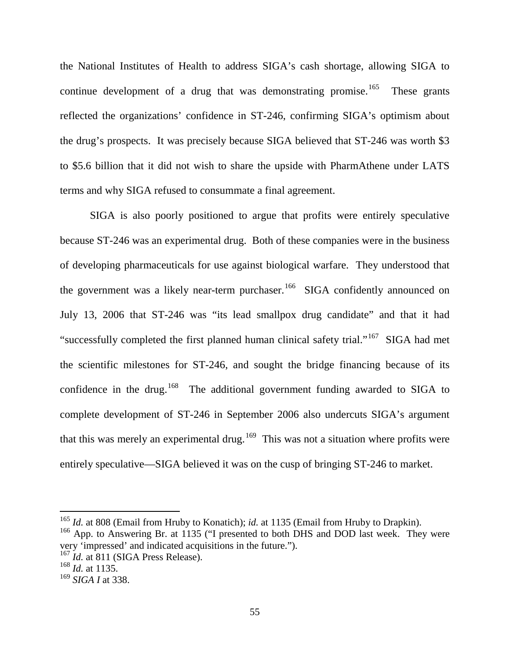the National Institutes of Health to address SIGA's cash shortage, allowing SIGA to continue development of a drug that was demonstrating promise.<sup>165</sup> These grants reflected the organizations' confidence in ST-246, confirming SIGA's optimism about the drug's prospects. It was precisely because SIGA believed that ST-246 was worth \$3 to \$5.6 billion that it did not wish to share the upside with PharmAthene under LATS terms and why SIGA refused to consummate a final agreement.

SIGA is also poorly positioned to argue that profits were entirely speculative because ST-246 was an experimental drug. Both of these companies were in the business of developing pharmaceuticals for use against biological warfare. They understood that the government was a likely near-term purchaser.<sup>166</sup> SIGA confidently announced on July 13, 2006 that ST-246 was "its lead smallpox drug candidate" and that it had "successfully completed the first planned human clinical safety trial."[167](#page-54-2) SIGA had met the scientific milestones for ST-246, and sought the bridge financing because of its confidence in the drug.<sup>[168](#page-54-3)</sup> The additional government funding awarded to SIGA to complete development of ST-246 in September 2006 also undercuts SIGA's argument that this was merely an experimental drug.<sup>169</sup> This was not a situation where profits were entirely speculative—SIGA believed it was on the cusp of bringing ST-246 to market.

<span id="page-54-0"></span><sup>&</sup>lt;sup>165</sup> *Id.* at 808 (Email from Hruby to Konatich); *id.* at 1135 (Email from Hruby to Drapkin). <sup>166</sup> App. to Answering Br. at 1135 ("I presented to both DHS and DOD last week. They were

<span id="page-54-1"></span>very 'impressed' and indicated acquisitions in the future.").

<span id="page-54-2"></span><sup>167</sup> *Id.* at 811 (SIGA Press Release). <sup>168</sup> *Id.* at 1135.

<span id="page-54-3"></span>

<span id="page-54-4"></span><sup>169</sup> *SIGA I* at 338.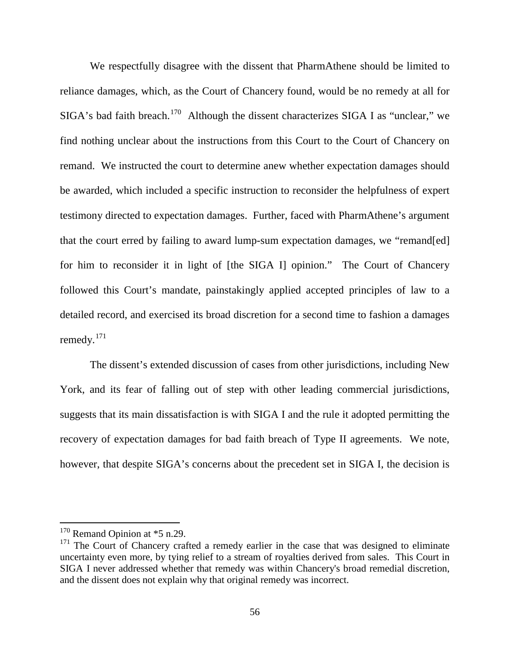We respectfully disagree with the dissent that PharmAthene should be limited to reliance damages, which, as the Court of Chancery found, would be no remedy at all for  $SIGA$ 's bad faith breach.<sup>170</sup> Although the dissent characterizes  $SIGA$  I as "unclear," we find nothing unclear about the instructions from this Court to the Court of Chancery on remand. We instructed the court to determine anew whether expectation damages should be awarded, which included a specific instruction to reconsider the helpfulness of expert testimony directed to expectation damages. Further, faced with PharmAthene's argument that the court erred by failing to award lump-sum expectation damages, we "remand[ed] for him to reconsider it in light of [the SIGA I] opinion." The Court of Chancery followed this Court's mandate, painstakingly applied accepted principles of law to a detailed record, and exercised its broad discretion for a second time to fashion a damages remedy. $171$ 

The dissent's extended discussion of cases from other jurisdictions, including New York, and its fear of falling out of step with other leading commercial jurisdictions, suggests that its main dissatisfaction is with SIGA I and the rule it adopted permitting the recovery of expectation damages for bad faith breach of Type II agreements. We note, however, that despite SIGA's concerns about the precedent set in SIGA I, the decision is

<span id="page-55-0"></span> $170$  Remand Opinion at  $*5$  n.29.

<span id="page-55-1"></span> $171$  The Court of Chancery crafted a remedy earlier in the case that was designed to eliminate uncertainty even more, by tying relief to a stream of royalties derived from sales. This Court in SIGA I never addressed whether that remedy was within Chancery's broad remedial discretion, and the dissent does not explain why that original remedy was incorrect.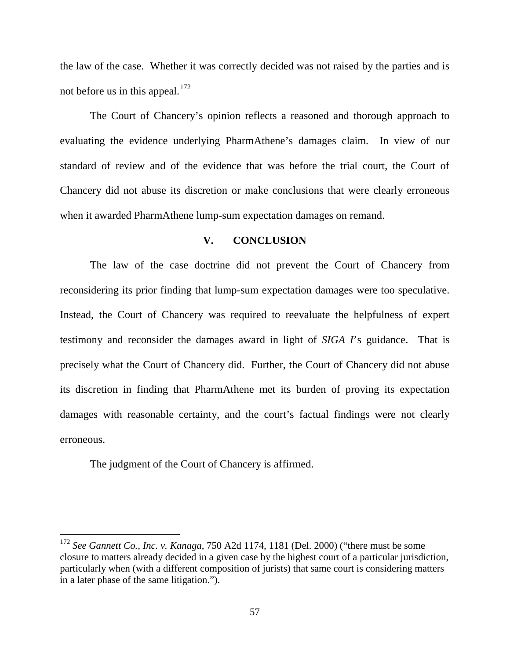the law of the case. Whether it was correctly decided was not raised by the parties and is not before us in this appeal. $172$ 

The Court of Chancery's opinion reflects a reasoned and thorough approach to evaluating the evidence underlying PharmAthene's damages claim. In view of our standard of review and of the evidence that was before the trial court, the Court of Chancery did not abuse its discretion or make conclusions that were clearly erroneous when it awarded PharmAthene lump-sum expectation damages on remand.

#### **V. CONCLUSION**

The law of the case doctrine did not prevent the Court of Chancery from reconsidering its prior finding that lump-sum expectation damages were too speculative. Instead, the Court of Chancery was required to reevaluate the helpfulness of expert testimony and reconsider the damages award in light of *SIGA I*'s guidance. That is precisely what the Court of Chancery did. Further, the Court of Chancery did not abuse its discretion in finding that PharmAthene met its burden of proving its expectation damages with reasonable certainty, and the court's factual findings were not clearly erroneous.

The judgment of the Court of Chancery is affirmed.

<span id="page-56-0"></span> <sup>172</sup> *See Gannett Co., Inc. v. Kanaga*, 750 A2d 1174, 1181 (Del. 2000) ("there must be some closure to matters already decided in a given case by the highest court of a particular jurisdiction, particularly when (with a different composition of jurists) that same court is considering matters in a later phase of the same litigation.").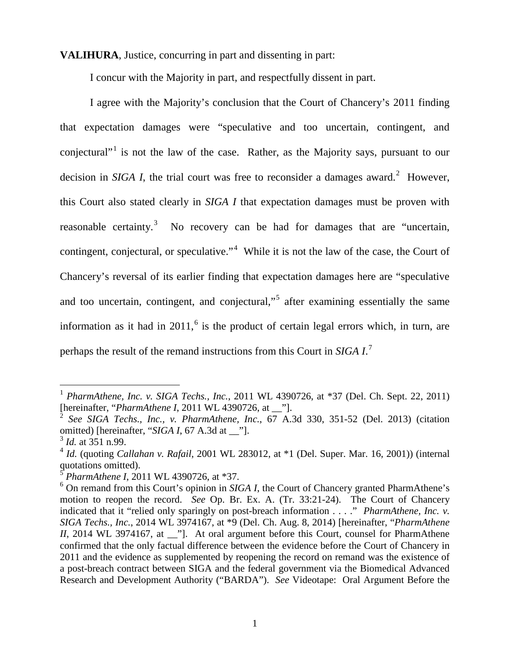**VALIHURA**, Justice, concurring in part and dissenting in part:

I concur with the Majority in part, and respectfully dissent in part.

I agree with the Majority's conclusion that the Court of Chancery's 2011 finding that expectation damages were "speculative and too uncertain, contingent, and conjectural"<sup>[1](#page-57-0)</sup> is not the law of the case. Rather, as the Majority says, pursuant to our decision in *SIGA I*, the trial court was free to reconsider a damages award.<sup>[2](#page-57-1)</sup> However, this Court also stated clearly in *SIGA I* that expectation damages must be proven with reasonable certainty.<sup>[3](#page-57-2)</sup> No recovery can be had for damages that are "uncertain, contingent, conjectural, or speculative."<sup>[4](#page-57-3)</sup> While it is not the law of the case, the Court of Chancery's reversal of its earlier finding that expectation damages here are "speculative and too uncertain, contingent, and conjectural,"<sup>[5](#page-57-4)</sup> after examining essentially the same information as it had in  $2011$ ,  $6$  is the product of certain legal errors which, in turn, are perhaps the result of the remand instructions from this Court in *SIGA I*. [7](#page-57-0)

<span id="page-57-0"></span> <sup>1</sup> *PharmAthene, Inc. v. SIGA Techs., Inc.*, 2011 WL 4390726, at \*37 (Del. Ch. Sept. 22, 2011) [hereinafter, "*PharmAthene I*, 2011 WL 4390726, at \_\_"].

<span id="page-57-1"></span><sup>2</sup> *See SIGA Techs., Inc., v. PharmAthene, Inc.*, 67 A.3d 330, 351-52 (Del. 2013) (citation omitted) [hereinafter, "*SIGA I*, 67 A.3d at \_\_"].

<span id="page-57-2"></span><sup>3</sup> *Id.* at 351 n.99.

<span id="page-57-3"></span><sup>4</sup> *Id.* (quoting *Callahan v. Rafail*, 2001 WL 283012, at \*1 (Del. Super. Mar. 16, 2001)) (internal quotations omitted).

<sup>5</sup> *PharmAthene I*, 2011 WL 4390726, at \*37.

<span id="page-57-5"></span><span id="page-57-4"></span><sup>&</sup>lt;sup>6</sup> On remand from this Court's opinion in *SIGA I*, the Court of Chancery granted PharmAthene's motion to reopen the record. *See* Op. Br. Ex. A. (Tr. 33:21-24). The Court of Chancery indicated that it "relied only sparingly on post-breach information . . . ." *PharmAthene, Inc. v. SIGA Techs., Inc.*, 2014 WL 3974167, at \*9 (Del. Ch. Aug. 8, 2014) [hereinafter, "*PharmAthene II*, 2014 WL 3974167, at \_\_"]. At oral argument before this Court, counsel for PharmAthene confirmed that the only factual difference between the evidence before the Court of Chancery in 2011 and the evidence as supplemented by reopening the record on remand was the existence of a post-breach contract between SIGA and the federal government via the Biomedical Advanced Research and Development Authority ("BARDA"). *See* Videotape: Oral Argument Before the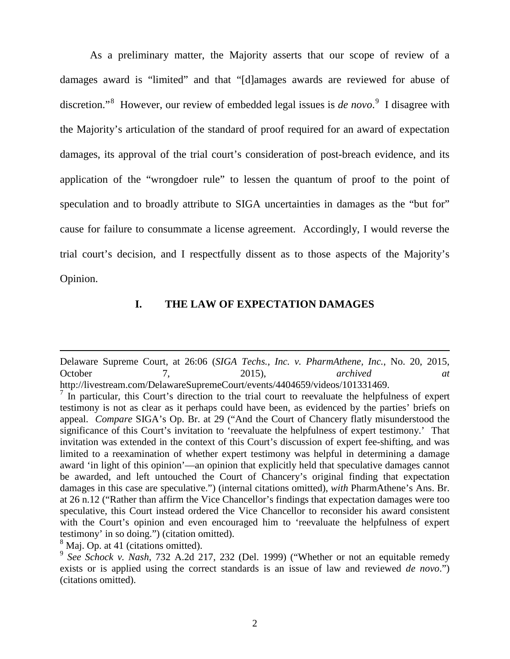As a preliminary matter, the Majority asserts that our scope of review of a damages award is "limited" and that "[d]amages awards are reviewed for abuse of discretion."<sup>[8](#page-58-0)</sup> However, our review of embedded legal issues is *de novo*.<sup>[9](#page-58-1)</sup> I disagree with the Majority's articulation of the standard of proof required for an award of expectation damages, its approval of the trial court's consideration of post-breach evidence, and its application of the "wrongdoer rule" to lessen the quantum of proof to the point of speculation and to broadly attribute to SIGA uncertainties in damages as the "but for" cause for failure to consummate a license agreement. Accordingly, I would reverse the trial court's decision, and I respectfully dissent as to those aspects of the Majority's Opinion.

## **I. THE LAW OF EXPECTATION DAMAGES**

 $\overline{a}$ 

Delaware Supreme Court, at 26:06 (*SIGA Techs., Inc. v. PharmAthene, Inc.*, No. 20, 2015, October 7, 2015), *archived at* http://livestream.com/DelawareSupremeCourt/events/4404659/videos/101331469.

 $<sup>7</sup>$  In particular, this Court's direction to the trial court to reevaluate the helpfulness of expert</sup> testimony is not as clear as it perhaps could have been, as evidenced by the parties' briefs on appeal. *Compare* SIGA's Op. Br. at 29 ("And the Court of Chancery flatly misunderstood the significance of this Court's invitation to 'reevaluate the helpfulness of expert testimony.' That invitation was extended in the context of this Court's discussion of expert fee-shifting, and was limited to a reexamination of whether expert testimony was helpful in determining a damage award 'in light of this opinion'—an opinion that explicitly held that speculative damages cannot be awarded, and left untouched the Court of Chancery's original finding that expectation damages in this case are speculative.") (internal citations omitted), *with* PharmAthene's Ans. Br. at 26 n.12 ("Rather than affirm the Vice Chancellor's findings that expectation damages were too speculative, this Court instead ordered the Vice Chancellor to reconsider his award consistent with the Court's opinion and even encouraged him to 'reevaluate the helpfulness of expert testimony' in so doing.") (citation omitted). 8 Maj. Op. at 41 (citations omitted).

<span id="page-58-1"></span><span id="page-58-0"></span><sup>&</sup>lt;sup>9</sup> See Schock v. Nash, 732 A.2d 217, 232 (Del. 1999) ("Whether or not an equitable remedy exists or is applied using the correct standards is an issue of law and reviewed *de novo*.") (citations omitted).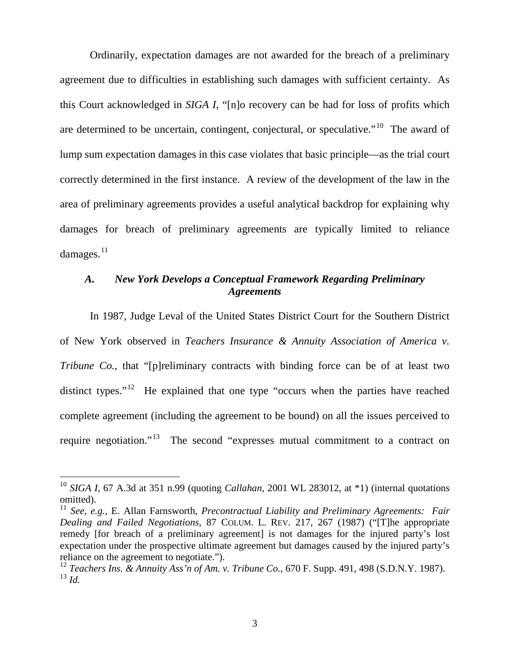Ordinarily, expectation damages are not awarded for the breach of a preliminary agreement due to difficulties in establishing such damages with sufficient certainty. As this Court acknowledged in *SIGA I*, "[n]o recovery can be had for loss of profits which are determined to be uncertain, contingent, conjectural, or speculative."<sup>[10](#page-59-0)</sup> The award of lump sum expectation damages in this case violates that basic principle—as the trial court correctly determined in the first instance. A review of the development of the law in the area of preliminary agreements provides a useful analytical backdrop for explaining why damages for breach of preliminary agreements are typically limited to reliance damages. $11$ 

# *A. New York Develops a Conceptual Framework Regarding Preliminary Agreements*

In 1987, Judge Leval of the United States District Court for the Southern District of New York observed in *Teachers Insurance & Annuity Association of America v. Tribune Co.*, that "[p]reliminary contracts with binding force can be of at least two distinct types."<sup>12</sup> He explained that one type "occurs when the parties have reached complete agreement (including the agreement to be bound) on all the issues perceived to require negotiation."<sup>13</sup> The second "expresses mutual commitment to a contract on

<span id="page-59-0"></span> <sup>10</sup> *SIGA I*, 67 A.3d at 351 n.99 (quoting *Callahan*, 2001 WL 283012, at \*1) (internal quotations omitted).

<span id="page-59-1"></span><sup>11</sup> *See, e.g.*, E. Allan Farnsworth, *Precontractual Liability and Preliminary Agreements: Fair Dealing and Failed Negotiations*, 87 COLUM. L. REV. 217, 267 (1987) ("[T]he appropriate remedy [for breach of a preliminary agreement] is not damages for the injured party's lost expectation under the prospective ultimate agreement but damages caused by the injured party's reliance on the agreement to negotiate.").

<span id="page-59-3"></span><span id="page-59-2"></span><sup>12</sup> *Teachers Ins. & Annuity Ass'n of Am. v. Tribune Co.*, 670 F. Supp. 491, 498 (S.D.N.Y. 1987).  $^{13}$  *Id.*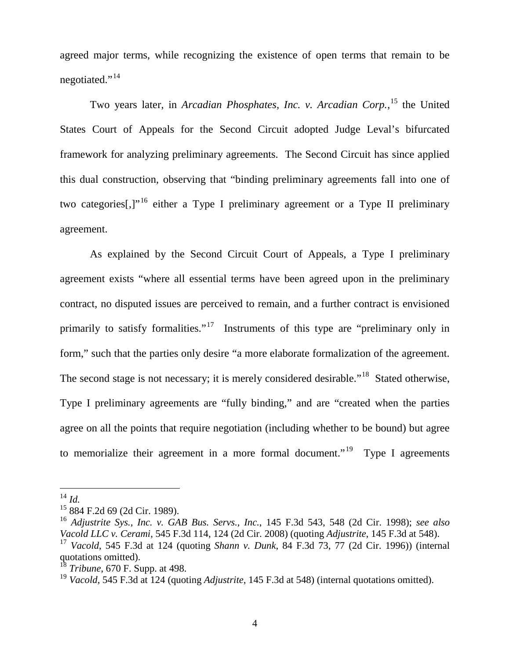agreed major terms, while recognizing the existence of open terms that remain to be negotiated."<sup>[14](#page-60-0)</sup>

Two years later, in *Arcadian Phosphates, Inc. v. Arcadian Corp.*, [15](#page-60-1) the United States Court of Appeals for the Second Circuit adopted Judge Leval's bifurcated framework for analyzing preliminary agreements. The Second Circuit has since applied this dual construction, observing that "binding preliminary agreements fall into one of two categories<sup>[1,]</sup><sup>[16](#page-60-2)</sup> either a Type I preliminary agreement or a Type II preliminary agreement.

As explained by the Second Circuit Court of Appeals, a Type I preliminary agreement exists "where all essential terms have been agreed upon in the preliminary contract, no disputed issues are perceived to remain, and a further contract is envisioned primarily to satisfy formalities."<sup>[17](#page-60-3)</sup> Instruments of this type are "preliminary only in form," such that the parties only desire "a more elaborate formalization of the agreement. The second stage is not necessary; it is merely considered desirable."<sup>[18](#page-60-4)</sup> Stated otherwise, Type I preliminary agreements are "fully binding," and are "created when the parties agree on all the points that require negotiation (including whether to be bound) but agree to memorialize their agreement in a more formal document."<sup>19</sup> Type I agreements

<span id="page-60-0"></span> <sup>14</sup> *Id.* 

<span id="page-60-1"></span><sup>15</sup> 884 F.2d 69 (2d Cir. 1989).

<span id="page-60-2"></span><sup>16</sup> *Adjustrite Sys., Inc. v. GAB Bus. Servs., Inc.*, 145 F.3d 543, 548 (2d Cir. 1998); *see also Vacold LLC v. Cerami*, 545 F.3d 114, 124 (2d Cir. 2008) (quoting *Adjustrite*, 145 F.3d at 548). <sup>17</sup> *Vacold*, 545 F.3d at 124 (quoting *Shann v. Dunk*, 84 F.3d 73, 77 (2d Cir. 1996)) (internal

<span id="page-60-3"></span>quotations omitted).

<span id="page-60-4"></span><sup>18</sup> *Tribune*, 670 F. Supp. at 498.

<span id="page-60-5"></span><sup>19</sup> *Vacold*, 545 F.3d at 124 (quoting *Adjustrite*, 145 F.3d at 548) (internal quotations omitted).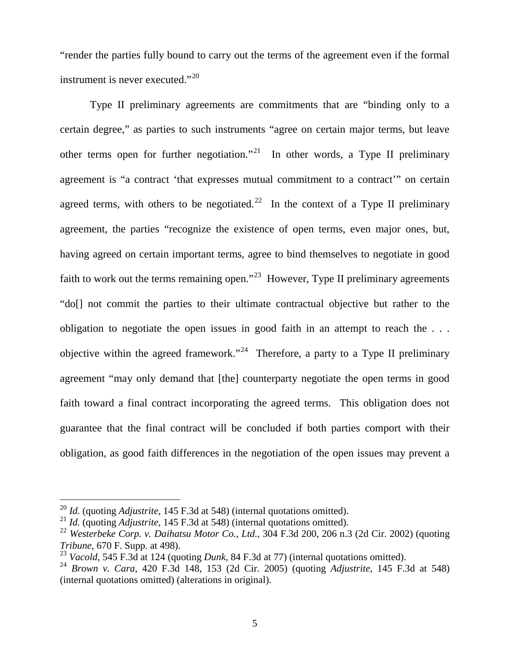"render the parties fully bound to carry out the terms of the agreement even if the formal instrument is never executed."<sup>[20](#page-61-0)</sup>

Type II preliminary agreements are commitments that are "binding only to a certain degree," as parties to such instruments "agree on certain major terms, but leave other terms open for further negotiation."<sup>[21](#page-61-1)</sup> In other words, a Type II preliminary agreement is "a contract 'that expresses mutual commitment to a contract'" on certain agreed terms, with others to be negotiated.<sup>22</sup> In the context of a Type II preliminary agreement, the parties "recognize the existence of open terms, even major ones, but, having agreed on certain important terms, agree to bind themselves to negotiate in good faith to work out the terms remaining open."<sup>23</sup> However, Type II preliminary agreements "do[] not commit the parties to their ultimate contractual objective but rather to the obligation to negotiate the open issues in good faith in an attempt to reach the . . . objective within the agreed framework."<sup>24</sup> Therefore, a party to a Type II preliminary agreement "may only demand that [the] counterparty negotiate the open terms in good faith toward a final contract incorporating the agreed terms. This obligation does not guarantee that the final contract will be concluded if both parties comport with their obligation, as good faith differences in the negotiation of the open issues may prevent a

<span id="page-61-0"></span> <sup>20</sup> *Id.* (quoting *Adjustrite*, 145 F.3d at 548) (internal quotations omitted).

<span id="page-61-1"></span><sup>21</sup> *Id.* (quoting *Adjustrite*, 145 F.3d at 548) (internal quotations omitted).

<span id="page-61-2"></span><sup>22</sup> *Westerbeke Corp. v. Daihatsu Motor Co., Ltd.*, 304 F.3d 200, 206 n.3 (2d Cir. 2002) (quoting *Tribune*, 670 F. Supp. at 498).

<span id="page-61-3"></span><sup>23</sup> *Vacold*, 545 F.3d at 124 (quoting *Dunk*, 84 F.3d at 77) (internal quotations omitted).

<span id="page-61-4"></span><sup>24</sup> *Brown v. Cara*, 420 F.3d 148, 153 (2d Cir. 2005) (quoting *Adjustrite*, 145 F.3d at 548) (internal quotations omitted) (alterations in original).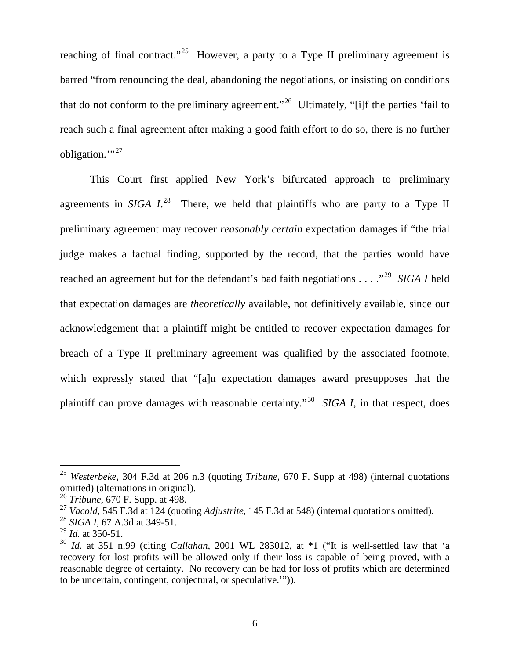reaching of final contract."<sup>25</sup> However, a party to a Type II preliminary agreement is barred "from renouncing the deal, abandoning the negotiations, or insisting on conditions that do not conform to the preliminary agreement."<sup>[26](#page-62-1)</sup> Ultimately, "[i]f the parties 'fail to reach such a final agreement after making a good faith effort to do so, there is no further obligation." $^{37}$ 

This Court first applied New York's bifurcated approach to preliminary agreements in *SIGA 1*<sup>28</sup> There, we held that plaintiffs who are party to a Type II preliminary agreement may recover *reasonably certain* expectation damages if "the trial judge makes a factual finding, supported by the record, that the parties would have reached an agreement but for the defendant's bad faith negotiations . . . ."[29](#page-62-4) *SIGA I* held that expectation damages are *theoretically* available, not definitively available, since our acknowledgement that a plaintiff might be entitled to recover expectation damages for breach of a Type II preliminary agreement was qualified by the associated footnote, which expressly stated that "[a]n expectation damages award presupposes that the plaintiff can prove damages with reasonable certainty."[30](#page-62-5) *SIGA I*, in that respect, does

<span id="page-62-0"></span> <sup>25</sup> *Westerbeke*, 304 F.3d at 206 n.3 (quoting *Tribune*, 670 F. Supp at 498) (internal quotations omitted) (alternations in original).

<span id="page-62-1"></span><sup>26</sup> *Tribune*, 670 F. Supp. at 498.

<span id="page-62-2"></span><sup>27</sup> *Vacold*, 545 F.3d at 124 (quoting *Adjustrite*, 145 F.3d at 548) (internal quotations omitted).

<span id="page-62-3"></span><sup>28</sup> *SIGA I*, 67 A.3d at 349-51.

<span id="page-62-4"></span><sup>29</sup> *Id.* at 350-51.

<span id="page-62-5"></span><sup>30</sup> *Id.* at 351 n.99 (citing *Callahan*, 2001 WL 283012, at \*1 ("It is well-settled law that 'a recovery for lost profits will be allowed only if their loss is capable of being proved, with a reasonable degree of certainty. No recovery can be had for loss of profits which are determined to be uncertain, contingent, conjectural, or speculative.'")).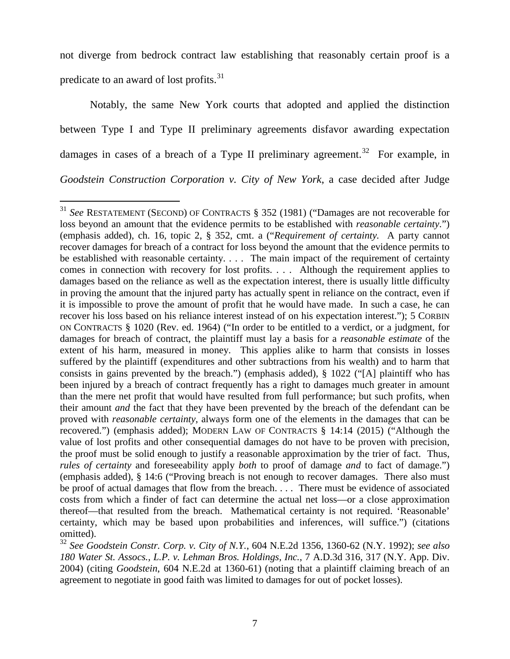not diverge from bedrock contract law establishing that reasonably certain proof is a predicate to an award of lost profits.<sup>[31](#page-63-0)</sup>

Notably, the same New York courts that adopted and applied the distinction between Type I and Type II preliminary agreements disfavor awarding expectation damages in cases of a breach of a Type II preliminary agreement.<sup>32</sup> For example, in *Goodstein Construction Corporation v. City of New York*, a case decided after Judge

<span id="page-63-0"></span> <sup>31</sup> *See* RESTATEMENT (SECOND) OF CONTRACTS § 352 (1981) ("Damages are not recoverable for loss beyond an amount that the evidence permits to be established with *reasonable certainty*.") (emphasis added), ch. 16, topic 2, § 352, cmt. a ("*Requirement of certainty.* A party cannot recover damages for breach of a contract for loss beyond the amount that the evidence permits to be established with reasonable certainty. . . . The main impact of the requirement of certainty comes in connection with recovery for lost profits. . . . Although the requirement applies to damages based on the reliance as well as the expectation interest, there is usually little difficulty in proving the amount that the injured party has actually spent in reliance on the contract, even if it is impossible to prove the amount of profit that he would have made. In such a case, he can recover his loss based on his reliance interest instead of on his expectation interest."); 5 CORBIN ON CONTRACTS § 1020 (Rev. ed. 1964) ("In order to be entitled to a verdict, or a judgment, for damages for breach of contract, the plaintiff must lay a basis for a *reasonable estimate* of the extent of his harm, measured in money. This applies alike to harm that consists in losses suffered by the plaintiff (expenditures and other subtractions from his wealth) and to harm that consists in gains prevented by the breach.") (emphasis added), § 1022 ("[A] plaintiff who has been injured by a breach of contract frequently has a right to damages much greater in amount than the mere net profit that would have resulted from full performance; but such profits, when their amount *and* the fact that they have been prevented by the breach of the defendant can be proved with *reasonable certainty*, always form one of the elements in the damages that can be recovered.") (emphasis added); MODERN LAW OF CONTRACTS § 14:14 (2015) ("Although the value of lost profits and other consequential damages do not have to be proven with precision, the proof must be solid enough to justify a reasonable approximation by the trier of fact. Thus, *rules of certainty* and foreseeability apply *both* to proof of damage *and* to fact of damage.") (emphasis added), § 14:6 ("Proving breach is not enough to recover damages. There also must be proof of actual damages that flow from the breach. . . . There must be evidence of associated costs from which a finder of fact can determine the actual net loss—or a close approximation thereof—that resulted from the breach. Mathematical certainty is not required. 'Reasonable' certainty, which may be based upon probabilities and inferences, will suffice.") (citations omitted).

<span id="page-63-1"></span><sup>32</sup> *See Goodstein Constr. Corp. v. City of N.Y.*, 604 N.E.2d 1356, 1360-62 (N.Y. 1992); *see also 180 Water St. Assocs., L.P. v. Lehman Bros. Holdings, Inc.*, 7 A.D.3d 316, 317 (N.Y. App. Div. 2004) (citing *Goodstein*, 604 N.E.2d at 1360-61) (noting that a plaintiff claiming breach of an agreement to negotiate in good faith was limited to damages for out of pocket losses).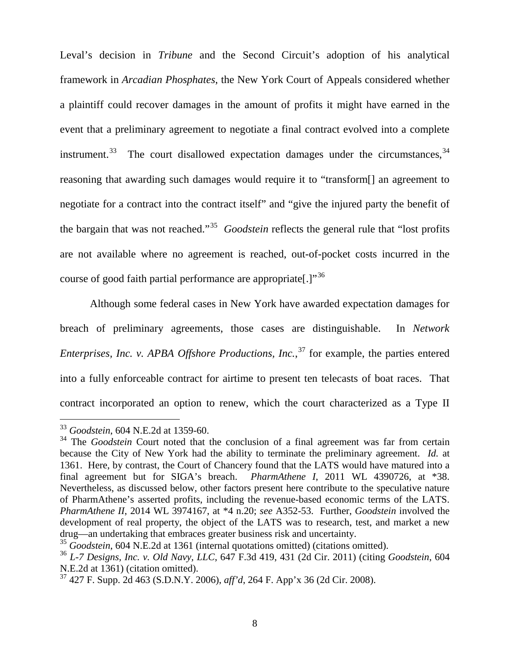Leval's decision in *Tribune* and the Second Circuit's adoption of his analytical framework in *Arcadian Phosphates*, the New York Court of Appeals considered whether a plaintiff could recover damages in the amount of profits it might have earned in the event that a preliminary agreement to negotiate a final contract evolved into a complete instrument.<sup>[33](#page-64-0)</sup> The court disallowed expectation damages under the circumstances,  $34$ reasoning that awarding such damages would require it to "transform[] an agreement to negotiate for a contract into the contract itself" and "give the injured party the benefit of the bargain that was not reached."[35](#page-64-2) *Goodstein* reflects the general rule that "lost profits are not available where no agreement is reached, out-of-pocket costs incurred in the course of good faith partial performance are appropriate.]"<sup>[36](#page-64-3)</sup>

Although some federal cases in New York have awarded expectation damages for breach of preliminary agreements, those cases are distinguishable. In *Network Enterprises, Inc. v. APBA Offshore Productions, Inc.*, [37](#page-64-4) for example, the parties entered into a fully enforceable contract for airtime to present ten telecasts of boat races. That contract incorporated an option to renew, which the court characterized as a Type II

 <sup>33</sup> *Goodstein*, 604 N.E.2d at 1359-60.

<span id="page-64-1"></span><span id="page-64-0"></span><sup>&</sup>lt;sup>34</sup> The *Goodstein* Court noted that the conclusion of a final agreement was far from certain because the City of New York had the ability to terminate the preliminary agreement. *Id.* at 1361. Here, by contrast, the Court of Chancery found that the LATS would have matured into a final agreement but for SIGA's breach. *PharmAthene I*, 2011 WL 4390726, at \*38. Nevertheless, as discussed below, other factors present here contribute to the speculative nature of PharmAthene's asserted profits, including the revenue-based economic terms of the LATS. *PharmAthene II*, 2014 WL 3974167, at \*4 n.20; *see* A352-53. Further, *Goodstein* involved the development of real property, the object of the LATS was to research, test, and market a new drug—an undertaking that embraces greater business risk and uncertainty.

<span id="page-64-2"></span><sup>35</sup> *Goodstein*, 604 N.E.2d at 1361 (internal quotations omitted) (citations omitted).

<span id="page-64-3"></span><sup>36</sup> *L-7 Designs, Inc. v. Old Navy, LLC*, 647 F.3d 419, 431 (2d Cir. 2011) (citing *Goodstein*, 604 N.E.2d at 1361) (citation omitted).

<span id="page-64-4"></span><sup>37</sup> 427 F. Supp. 2d 463 (S.D.N.Y. 2006), *aff'd*, 264 F. App'x 36 (2d Cir. 2008).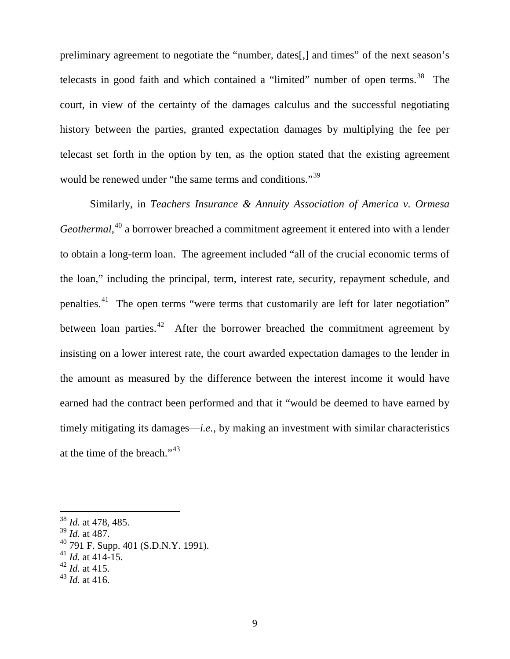preliminary agreement to negotiate the "number, dates[,] and times" of the next season's telecasts in good faith and which contained a "limited" number of open terms. $38$  The court, in view of the certainty of the damages calculus and the successful negotiating history between the parties, granted expectation damages by multiplying the fee per telecast set forth in the option by ten, as the option stated that the existing agreement would be renewed under "the same terms and conditions."<sup>[39](#page-65-1)</sup>

Similarly, in *Teachers Insurance & Annuity Association of America v. Ormesa Geothermal*, [40](#page-65-2) a borrower breached a commitment agreement it entered into with a lender to obtain a long-term loan. The agreement included "all of the crucial economic terms of the loan," including the principal, term, interest rate, security, repayment schedule, and penalties.[41](#page-65-3) The open terms "were terms that customarily are left for later negotiation" between loan parties.<sup>[42](#page-65-4)</sup> After the borrower breached the commitment agreement by insisting on a lower interest rate, the court awarded expectation damages to the lender in the amount as measured by the difference between the interest income it would have earned had the contract been performed and that it "would be deemed to have earned by timely mitigating its damages—*i.e.*, by making an investment with similar characteristics at the time of the breach."[43](#page-65-5)

<span id="page-65-0"></span> <sup>38</sup> *Id.* at 478, 485.

<span id="page-65-1"></span><sup>39</sup> *Id.* at 487.

<span id="page-65-2"></span> $^{40}$  791 F. Supp. 401 (S.D.N.Y. 1991).

<span id="page-65-3"></span> $^{41}$  *Id.* at 414-15.

<span id="page-65-4"></span><sup>42</sup> *Id.* at 415.

<span id="page-65-5"></span> $43$  *Id.* at 416.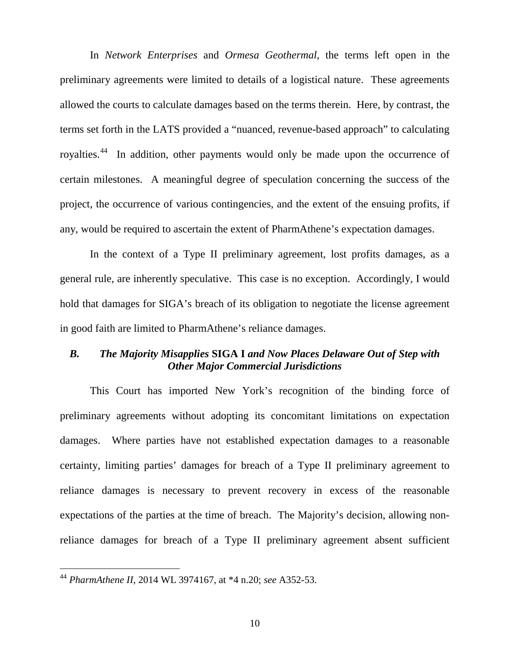In *Network Enterprises* and *Ormesa Geothermal*, the terms left open in the preliminary agreements were limited to details of a logistical nature. These agreements allowed the courts to calculate damages based on the terms therein. Here, by contrast, the terms set forth in the LATS provided a "nuanced, revenue-based approach" to calculating royalties.[44](#page-66-0) In addition, other payments would only be made upon the occurrence of certain milestones. A meaningful degree of speculation concerning the success of the project, the occurrence of various contingencies, and the extent of the ensuing profits, if any, would be required to ascertain the extent of PharmAthene's expectation damages.

In the context of a Type II preliminary agreement, lost profits damages, as a general rule, are inherently speculative. This case is no exception. Accordingly, I would hold that damages for SIGA's breach of its obligation to negotiate the license agreement in good faith are limited to PharmAthene's reliance damages.

## *B. The Majority Misapplies* **SIGA I** *and Now Places Delaware Out of Step with Other Major Commercial Jurisdictions*

This Court has imported New York's recognition of the binding force of preliminary agreements without adopting its concomitant limitations on expectation damages. Where parties have not established expectation damages to a reasonable certainty, limiting parties' damages for breach of a Type II preliminary agreement to reliance damages is necessary to prevent recovery in excess of the reasonable expectations of the parties at the time of breach. The Majority's decision, allowing nonreliance damages for breach of a Type II preliminary agreement absent sufficient

<span id="page-66-0"></span> <sup>44</sup> *PharmAthene II*, 2014 WL 3974167, at \*4 n.20; *see* A352-53.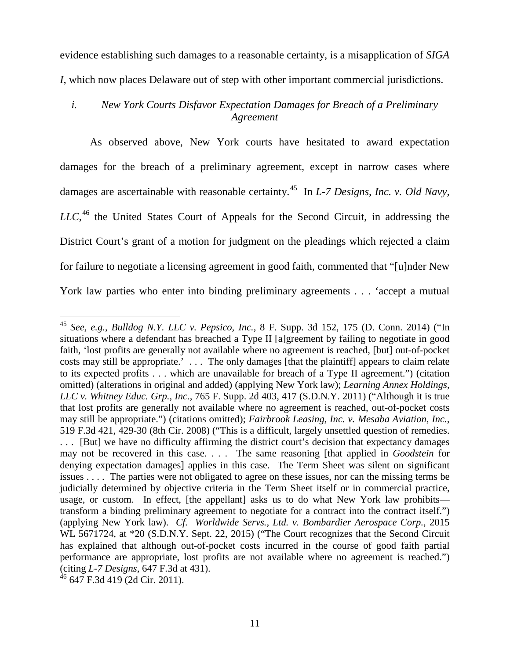evidence establishing such damages to a reasonable certainty, is a misapplication of *SIGA I*, which now places Delaware out of step with other important commercial jurisdictions.

# *i. New York Courts Disfavor Expectation Damages for Breach of a Preliminary Agreement*

As observed above, New York courts have hesitated to award expectation damages for the breach of a preliminary agreement, except in narrow cases where damages are ascertainable with reasonable certainty.[45](#page-67-0) In *L-7 Designs, Inc. v. Old Navy, LLC*, [46](#page-67-1) the United States Court of Appeals for the Second Circuit, in addressing the District Court's grant of a motion for judgment on the pleadings which rejected a claim for failure to negotiate a licensing agreement in good faith, commented that "[u]nder New York law parties who enter into binding preliminary agreements . . . 'accept a mutual

<span id="page-67-0"></span> <sup>45</sup> *See, e.g.*, *Bulldog N.Y. LLC v. Pepsico, Inc.*, 8 F. Supp. 3d 152, 175 (D. Conn. 2014) ("In situations where a defendant has breached a Type II [a]greement by failing to negotiate in good faith, 'lost profits are generally not available where no agreement is reached, [but] out-of-pocket costs may still be appropriate.' . . . The only damages [that the plaintiff] appears to claim relate to its expected profits . . . which are unavailable for breach of a Type II agreement.") (citation omitted) (alterations in original and added) (applying New York law); *Learning Annex Holdings, LLC v. Whitney Educ. Grp., Inc.*, 765 F. Supp. 2d 403, 417 (S.D.N.Y. 2011) ("Although it is true that lost profits are generally not available where no agreement is reached, out-of-pocket costs may still be appropriate.") (citations omitted); *Fairbrook Leasing, Inc. v. Mesaba Aviation, Inc.*, 519 F.3d 421, 429-30 (8th Cir. 2008) ("This is a difficult, largely unsettled question of remedies. . . . [But] we have no difficulty affirming the district court's decision that expectancy damages may not be recovered in this case. . . . The same reasoning [that applied in *Goodstein* for denying expectation damages] applies in this case. The Term Sheet was silent on significant issues . . . . The parties were not obligated to agree on these issues, nor can the missing terms be judicially determined by objective criteria in the Term Sheet itself or in commercial practice, usage, or custom. In effect, [the appellant] asks us to do what New York law prohibits transform a binding preliminary agreement to negotiate for a contract into the contract itself.") (applying New York law). *Cf. Worldwide Servs., Ltd. v. Bombardier Aerospace Corp.*, 2015 WL 5671724, at  $*20$  (S.D.N.Y. Sept. 22, 2015) ("The Court recognizes that the Second Circuit has explained that although out-of-pocket costs incurred in the course of good faith partial performance are appropriate, lost profits are not available where no agreement is reached.") (citing *L-7 Designs*, 647 F.3d at 431).

<span id="page-67-1"></span> $46$  647 F.3d 419 (2d Cir. 2011).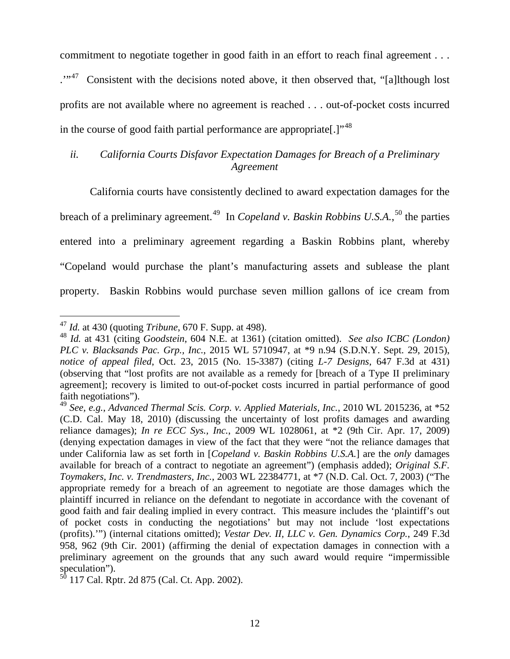commitment to negotiate together in good faith in an effort to reach final agreement . . .

...<sup>47</sup> Consistent with the decisions noted above, it then observed that, "[a]lthough lost profits are not available where no agreement is reached . . . out-of-pocket costs incurred in the course of good faith partial performance are appropriate. $1^{348}$  $1^{348}$  $1^{348}$ 

# *ii. California Courts Disfavor Expectation Damages for Breach of a Preliminary Agreement*

California courts have consistently declined to award expectation damages for the breach of a preliminary agreement.<sup>[49](#page-68-2)</sup> In *Copeland v. Baskin Robbins U.S.A.*,<sup>[50](#page-68-3)</sup> the parties entered into a preliminary agreement regarding a Baskin Robbins plant, whereby "Copeland would purchase the plant's manufacturing assets and sublease the plant property. Baskin Robbins would purchase seven million gallons of ice cream from

<span id="page-68-0"></span> <sup>47</sup> *Id.* at 430 (quoting *Tribune*, 670 F. Supp. at 498).

<span id="page-68-1"></span><sup>48</sup> *Id.* at 431 (citing *Goodstein*, 604 N.E. at 1361) (citation omitted). *See also ICBC (London) PLC v. Blacksands Pac. Grp., Inc.*, 2015 WL 5710947, at \*9 n.94 (S.D.N.Y. Sept. 29, 2015), *notice of appeal filed*, Oct. 23, 2015 (No. 15-3387) (citing *L-7 Designs*, 647 F.3d at 431) (observing that "lost profits are not available as a remedy for [breach of a Type II preliminary agreement]; recovery is limited to out-of-pocket costs incurred in partial performance of good faith negotiations").

<span id="page-68-2"></span><sup>49</sup> *See, e.g.*, *Advanced Thermal Scis. Corp. v. Applied Materials, Inc.*, 2010 WL 2015236, at \*52 (C.D. Cal. May 18, 2010) (discussing the uncertainty of lost profits damages and awarding reliance damages); *In re ECC Sys., Inc.*, 2009 WL 1028061, at \*2 (9th Cir. Apr. 17, 2009) (denying expectation damages in view of the fact that they were "not the reliance damages that under California law as set forth in [*Copeland v. Baskin Robbins U.S.A.*] are the *only* damages available for breach of a contract to negotiate an agreement") (emphasis added); *Original S.F. Toymakers, Inc. v. Trendmasters, Inc.*, 2003 WL 22384771, at \*7 (N.D. Cal. Oct. 7, 2003) ("The appropriate remedy for a breach of an agreement to negotiate are those damages which the plaintiff incurred in reliance on the defendant to negotiate in accordance with the covenant of good faith and fair dealing implied in every contract. This measure includes the 'plaintiff's out of pocket costs in conducting the negotiations' but may not include 'lost expectations (profits).'") (internal citations omitted); *Vestar Dev. II, LLC v. Gen. Dynamics Corp.*, 249 F.3d 958, 962 (9th Cir. 2001) (affirming the denial of expectation damages in connection with a preliminary agreement on the grounds that any such award would require "impermissible speculation").

<span id="page-68-3"></span> $^{50}$  117 Cal. Rptr. 2d 875 (Cal. Ct. App. 2002).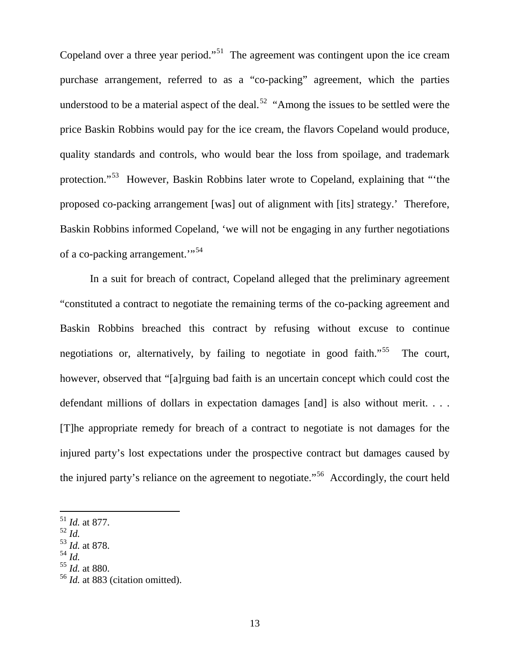Copeland over a three year period."<sup>51</sup> The agreement was contingent upon the ice cream purchase arrangement, referred to as a "co-packing" agreement, which the parties understood to be a material aspect of the deal.<sup>52</sup> "Among the issues to be settled were the price Baskin Robbins would pay for the ice cream, the flavors Copeland would produce, quality standards and controls, who would bear the loss from spoilage, and trademark protection."[53](#page-69-2) However, Baskin Robbins later wrote to Copeland, explaining that "'the proposed co-packing arrangement [was] out of alignment with [its] strategy.' Therefore, Baskin Robbins informed Copeland, 'we will not be engaging in any further negotiations of a co-packing arrangement."<sup>54</sup>

In a suit for breach of contract, Copeland alleged that the preliminary agreement "constituted a contract to negotiate the remaining terms of the co-packing agreement and Baskin Robbins breached this contract by refusing without excuse to continue negotiations or, alternatively, by failing to negotiate in good faith.<sup>55</sup> The court, however, observed that "[a]rguing bad faith is an uncertain concept which could cost the defendant millions of dollars in expectation damages [and] is also without merit. . . . [T]he appropriate remedy for breach of a contract to negotiate is not damages for the injured party's lost expectations under the prospective contract but damages caused by the injured party's reliance on the agreement to negotiate."[56](#page-69-5) Accordingly, the court held

- <span id="page-69-1"></span><sup>52</sup> *Id.*
- <span id="page-69-2"></span><sup>53</sup> *Id.* at 878.
- <span id="page-69-3"></span><sup>54</sup> *Id.*

<span id="page-69-0"></span> <sup>51</sup> *Id.* at 877.

<span id="page-69-4"></span><sup>55</sup> *Id.* at 880.

<span id="page-69-5"></span><sup>56</sup> *Id.* at 883 (citation omitted).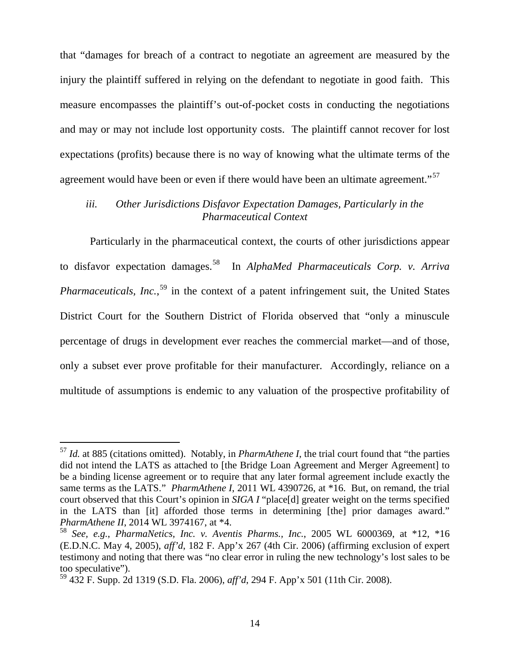that "damages for breach of a contract to negotiate an agreement are measured by the injury the plaintiff suffered in relying on the defendant to negotiate in good faith. This measure encompasses the plaintiff's out-of-pocket costs in conducting the negotiations and may or may not include lost opportunity costs. The plaintiff cannot recover for lost expectations (profits) because there is no way of knowing what the ultimate terms of the agreement would have been or even if there would have been an ultimate agreement."<sup>[57](#page-70-0)</sup>

# *iii. Other Jurisdictions Disfavor Expectation Damages, Particularly in the Pharmaceutical Context*

Particularly in the pharmaceutical context, the courts of other jurisdictions appear to disfavor expectation damages.[58](#page-70-1) In *AlphaMed Pharmaceuticals Corp. v. Arriva*  Pharmaceuticals, Inc.,<sup>[59](#page-70-2)</sup> in the context of a patent infringement suit, the United States District Court for the Southern District of Florida observed that "only a minuscule percentage of drugs in development ever reaches the commercial market—and of those, only a subset ever prove profitable for their manufacturer. Accordingly, reliance on a multitude of assumptions is endemic to any valuation of the prospective profitability of

<span id="page-70-0"></span> <sup>57</sup> *Id.* at 885 (citations omitted). Notably, in *PharmAthene I*, the trial court found that "the parties did not intend the LATS as attached to [the Bridge Loan Agreement and Merger Agreement] to be a binding license agreement or to require that any later formal agreement include exactly the same terms as the LATS." *PharmAthene I*, 2011 WL 4390726, at \*16. But, on remand, the trial court observed that this Court's opinion in *SIGA I* "place[d] greater weight on the terms specified in the LATS than [it] afforded those terms in determining [the] prior damages award." *PharmAthene II*, 2014 WL 3974167, at \*4.

<span id="page-70-1"></span><sup>58</sup> *See, e.g.*, *PharmaNetics, Inc. v. Aventis Pharms., Inc.*, 2005 WL 6000369, at \*12, \*16 (E.D.N.C. May 4, 2005), *aff'd*, 182 F. App'x 267 (4th Cir. 2006) (affirming exclusion of expert testimony and noting that there was "no clear error in ruling the new technology's lost sales to be too speculative").

<span id="page-70-2"></span><sup>59</sup> 432 F. Supp. 2d 1319 (S.D. Fla. 2006), *aff'd*, 294 F. App'x 501 (11th Cir. 2008).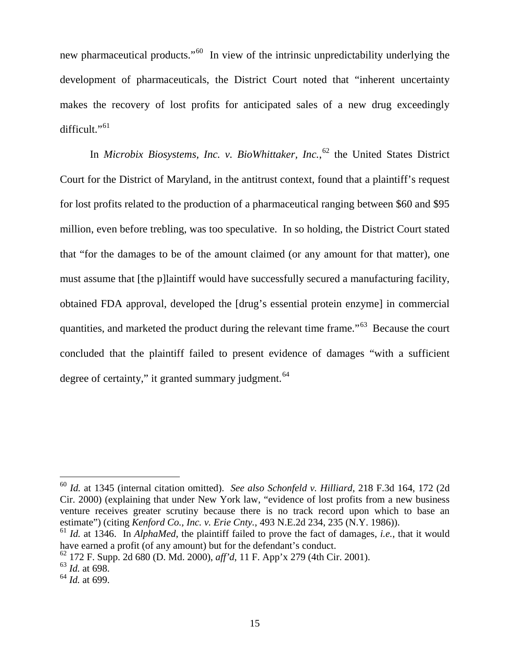new pharmaceutical products."[60](#page-71-0) In view of the intrinsic unpredictability underlying the development of pharmaceuticals, the District Court noted that "inherent uncertainty makes the recovery of lost profits for anticipated sales of a new drug exceedingly difficult."[61](#page-71-1)

In *Microbix Biosystems, Inc. v. BioWhittaker, Inc.*, [62](#page-71-2) the United States District Court for the District of Maryland, in the antitrust context, found that a plaintiff's request for lost profits related to the production of a pharmaceutical ranging between \$60 and \$95 million, even before trebling, was too speculative. In so holding, the District Court stated that "for the damages to be of the amount claimed (or any amount for that matter), one must assume that [the p]laintiff would have successfully secured a manufacturing facility, obtained FDA approval, developed the [drug's essential protein enzyme] in commercial quantities, and marketed the product during the relevant time frame."[63](#page-71-3) Because the court concluded that the plaintiff failed to present evidence of damages "with a sufficient degree of certainty," it granted summary judgment.<sup>[64](#page-71-4)</sup>

<span id="page-71-0"></span> <sup>60</sup> *Id.* at 1345 (internal citation omitted). *See also Schonfeld v. Hilliard*, 218 F.3d 164, 172 (2d Cir. 2000) (explaining that under New York law, "evidence of lost profits from a new business venture receives greater scrutiny because there is no track record upon which to base an estimate") (citing *Kenford Co., Inc. v. Erie Cnty.*, 493 N.E.2d 234, 235 (N.Y. 1986)).

<span id="page-71-1"></span><sup>61</sup> *Id.* at 1346. In *AlphaMed*, the plaintiff failed to prove the fact of damages, *i.e.*, that it would have earned a profit (of any amount) but for the defendant's conduct.

<span id="page-71-2"></span><sup>62</sup> 172 F. Supp. 2d 680 (D. Md. 2000), *aff'd*, 11 F. App'x 279 (4th Cir. 2001).

<span id="page-71-3"></span><sup>63</sup> *Id.* at 698.

<span id="page-71-4"></span><sup>64</sup> *Id.* at 699.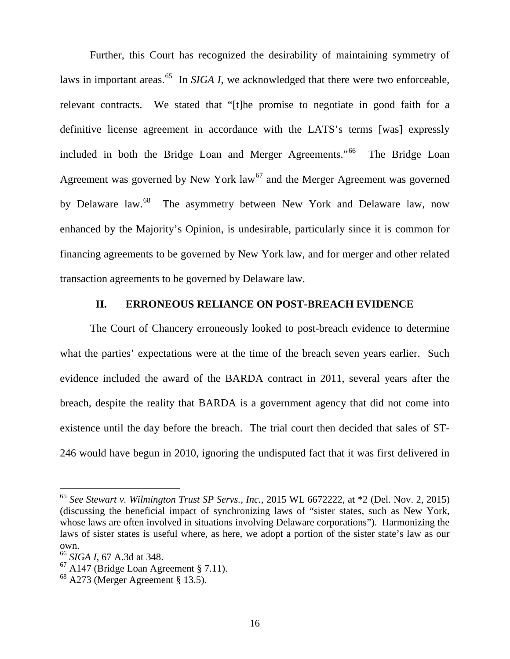Further, this Court has recognized the desirability of maintaining symmetry of laws in important areas.<sup>[65](#page-72-0)</sup> In *SIGA I*, we acknowledged that there were two enforceable, relevant contracts. We stated that "[t]he promise to negotiate in good faith for a definitive license agreement in accordance with the LATS's terms [was] expressly included in both the Bridge Loan and Merger Agreements."<sup>[66](#page-72-1)</sup> The Bridge Loan Agreement was governed by New York  $law<sup>67</sup>$  $law<sup>67</sup>$  $law<sup>67</sup>$  and the Merger Agreement was governed by Delaware law.<sup>68</sup> The asymmetry between New York and Delaware law, now enhanced by the Majority's Opinion, is undesirable, particularly since it is common for financing agreements to be governed by New York law, and for merger and other related transaction agreements to be governed by Delaware law.

## **II. ERRONEOUS RELIANCE ON POST-BREACH EVIDENCE**

The Court of Chancery erroneously looked to post-breach evidence to determine what the parties' expectations were at the time of the breach seven years earlier. Such evidence included the award of the BARDA contract in 2011, several years after the breach, despite the reality that BARDA is a government agency that did not come into existence until the day before the breach. The trial court then decided that sales of ST-246 would have begun in 2010, ignoring the undisputed fact that it was first delivered in

<span id="page-72-0"></span> <sup>65</sup> *See Stewart v. Wilmington Trust SP Servs., Inc.*, 2015 WL 6672222, at \*2 (Del. Nov. 2, 2015) (discussing the beneficial impact of synchronizing laws of "sister states, such as New York, whose laws are often involved in situations involving Delaware corporations"). Harmonizing the laws of sister states is useful where, as here, we adopt a portion of the sister state's law as our own.

<span id="page-72-1"></span><sup>66</sup> *SIGA I*, 67 A.3d at 348.

<span id="page-72-2"></span> $67$  A147 (Bridge Loan Agreement § 7.11).

<span id="page-72-3"></span> $68$  A273 (Merger Agreement § 13.5).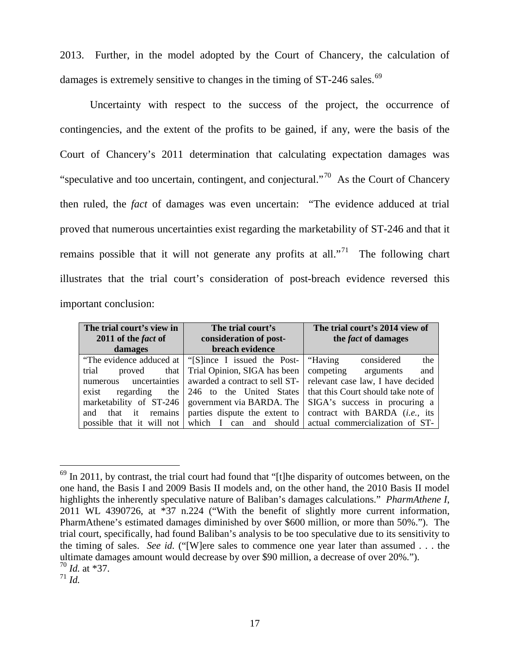2013. Further, in the model adopted by the Court of Chancery, the calculation of damages is extremely sensitive to changes in the timing of ST-246 sales.<sup>[69](#page-73-0)</sup>

Uncertainty with respect to the success of the project, the occurrence of contingencies, and the extent of the profits to be gained, if any, were the basis of the Court of Chancery's 2011 determination that calculating expectation damages was "speculative and too uncertain, contingent, and conjectural."<sup>70</sup> As the Court of Chancery then ruled, the *fact* of damages was even uncertain: "The evidence adduced at trial proved that numerous uncertainties exist regarding the marketability of ST-246 and that it remains possible that it will not generate any profits at all."<sup>71</sup> The following chart illustrates that the trial court's consideration of post-breach evidence reversed this important conclusion:

| The trial court's view in<br>2011 of the fact of | The trial court's<br>consideration of post-            | The trial court's 2014 view of<br>the <i>fact</i> of damages |
|--------------------------------------------------|--------------------------------------------------------|--------------------------------------------------------------|
| damages                                          | breach evidence                                        |                                                              |
|                                                  | "The evidence adduced at   "[S]ince I issued the Post- | the<br>"Having<br>considered                                 |
| trial<br>that  <br>proved                        | Trial Opinion, SIGA has been                           | and<br>competing<br>arguments                                |
| uncertainties<br>numerous                        | awarded a contract to sell ST-                         | relevant case law, I have decided                            |
| regarding<br>the<br>exist                        | 246 to the United States                               | that this Court should take note of                          |
| marketability of ST-246                          | government via BARDA. The                              | SIGA's success in procuring a                                |
| remains<br>that it<br>and                        | parties dispute the extent to                          | contract with BARDA (i.e., its                               |
| possible that it will not                        | which I<br>can and should                              | actual commercialization of ST-                              |

<span id="page-73-2"></span><span id="page-73-1"></span><sup>71</sup> *Id.* 

<span id="page-73-0"></span> $^{69}$  In 2011, by contrast, the trial court had found that "[t]he disparity of outcomes between, on the one hand, the Basis I and 2009 Basis II models and, on the other hand, the 2010 Basis II model highlights the inherently speculative nature of Baliban's damages calculations." *PharmAthene I*, 2011 WL 4390726, at \*37 n.224 ("With the benefit of slightly more current information, PharmAthene's estimated damages diminished by over \$600 million, or more than 50%."). The trial court, specifically, had found Baliban's analysis to be too speculative due to its sensitivity to the timing of sales. *See id.* ("[W]ere sales to commence one year later than assumed . . . the ultimate damages amount would decrease by over \$90 million, a decrease of over 20%."). <sup>70</sup> *Id.* at \*37.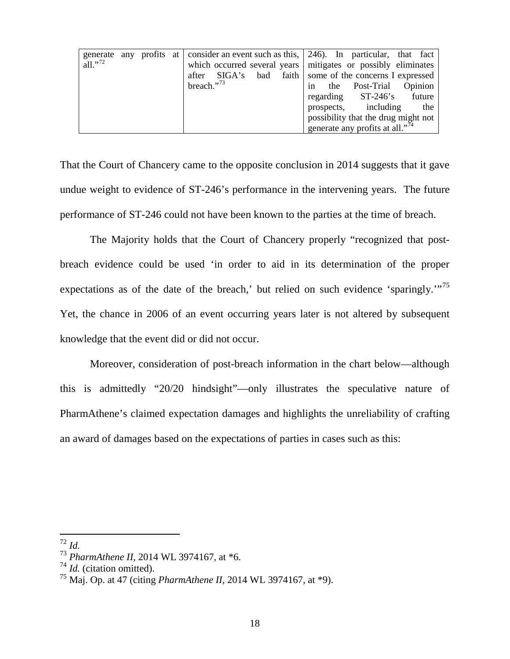| generate            | anv | profits at |                                   | consider an event such as this, $\vert$ 246). In particular, that fact |
|---------------------|-----|------------|-----------------------------------|------------------------------------------------------------------------|
| all." <sup>72</sup> |     |            | which occurred several years      | mitigates or possibly eliminates                                       |
|                     |     |            | faith  <br>SIGA's<br>bad<br>after | some of the concerns I expressed                                       |
|                     |     |            | breach." $^{73}$                  | Opinion<br>Post-Trial<br>the<br>1n                                     |
|                     |     |            |                                   | regarding ST-246's<br>future                                           |
|                     |     |            |                                   | prospects, including<br>the                                            |
|                     |     |            |                                   | possibility that the drug might not                                    |
|                     |     |            |                                   | generate any profits at all." <sup>74</sup>                            |

That the Court of Chancery came to the opposite conclusion in 2014 suggests that it gave undue weight to evidence of ST-246's performance in the intervening years. The future performance of ST-246 could not have been known to the parties at the time of breach.

The Majority holds that the Court of Chancery properly "recognized that postbreach evidence could be used 'in order to aid in its determination of the proper expectations as of the date of the breach,' but relied on such evidence 'sparingly.'"<sup>[75](#page-74-3)</sup> Yet, the chance in 2006 of an event occurring years later is not altered by subsequent knowledge that the event did or did not occur.

Moreover, consideration of post-breach information in the chart below—although this is admittedly "20/20 hindsight"—only illustrates the speculative nature of PharmAthene's claimed expectation damages and highlights the unreliability of crafting an award of damages based on the expectations of parties in cases such as this:

<span id="page-74-0"></span> $72 \; H.$ 

<span id="page-74-1"></span><sup>73</sup> *PharmAthene II*, 2014 WL 3974167, at \*6.

<span id="page-74-2"></span><sup>74</sup> *Id.* (citation omitted).

<span id="page-74-3"></span><sup>75</sup> Maj. Op. at 47 (citing *PharmAthene II*, 2014 WL 3974167, at \*9).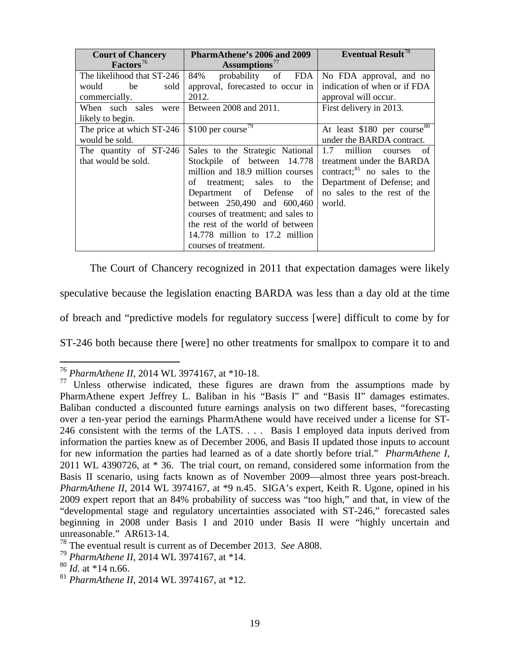| <b>Court of Chancery</b>   | PharmAthene's 2006 and 2009        | <b>Eventual Result<sup>78</sup></b>      |
|----------------------------|------------------------------------|------------------------------------------|
| Factors <sup>76</sup>      | Assumptions <sup>77</sup>          |                                          |
| The likelihood that ST-246 | FDA<br>84%<br>probability of       | No FDA approval, and no                  |
| sold<br>would<br>be        | approval, forecasted to occur in   | indication of when or if FDA             |
| commercially.              | 2012.                              | approval will occur.                     |
| When such sales were       | Between 2008 and 2011.             | First delivery in 2013.                  |
| likely to begin.           |                                    |                                          |
| The price at which ST-246  | \$100 per course <sup>79</sup>     | At least $$180$ per course <sup>80</sup> |
| would be sold.             |                                    | under the BARDA contract.                |
| The quantity of ST-246     | Sales to the Strategic National    | million<br>1.7<br>of<br>courses          |
| that would be sold.        | Stockpile of between 14.778        | treatment under the BARDA                |
|                            | million and 18.9 million courses   | contract; <sup>81</sup> no sales to the  |
|                            | treatment; sales to the<br>of      | Department of Defense; and               |
|                            | Department of Defense<br>of        | no sales to the rest of the              |
|                            | between 250,490 and 600,460        | world.                                   |
|                            | courses of treatment; and sales to |                                          |
|                            | the rest of the world of between   |                                          |
|                            | 14.778 million to 17.2 million     |                                          |
|                            | courses of treatment.              |                                          |

The Court of Chancery recognized in 2011 that expectation damages were likely

speculative because the legislation enacting BARDA was less than a day old at the time

of breach and "predictive models for regulatory success [were] difficult to come by for

ST-246 both because there [were] no other treatments for smallpox to compare it to and

<span id="page-75-0"></span> <sup>76</sup> *PharmAthene II*, 2014 WL 3974167, at \*10-18.

<span id="page-75-1"></span><sup>&</sup>lt;sup>77</sup> Unless otherwise indicated, these figures are drawn from the assumptions made by PharmAthene expert Jeffrey L. Baliban in his "Basis I" and "Basis II" damages estimates. Baliban conducted a discounted future earnings analysis on two different bases, "forecasting over a ten-year period the earnings PharmAthene would have received under a license for ST-246 consistent with the terms of the LATS. . . . Basis I employed data inputs derived from information the parties knew as of December 2006, and Basis II updated those inputs to account for new information the parties had learned as of a date shortly before trial." *PharmAthene I*, 2011 WL 4390726, at \* 36. The trial court, on remand, considered some information from the Basis II scenario, using facts known as of November 2009—almost three years post-breach. *PharmAthene II*, 2014 WL 3974167, at \*9 n.45. SIGA's expert, Keith R. Ugone, opined in his 2009 expert report that an 84% probability of success was "too high," and that, in view of the "developmental stage and regulatory uncertainties associated with ST-246," forecasted sales beginning in 2008 under Basis I and 2010 under Basis II were "highly uncertain and unreasonable." AR613-14.

<span id="page-75-2"></span><sup>78</sup> The eventual result is current as of December 2013. *See* A808.

<span id="page-75-3"></span><sup>79</sup> *PharmAthene II*, 2014 WL 3974167, at \*14.

<sup>80</sup> *Id.* at \*14 n.66.

<span id="page-75-5"></span><span id="page-75-4"></span><sup>81</sup> *PharmAthene II*, 2014 WL 3974167, at \*12.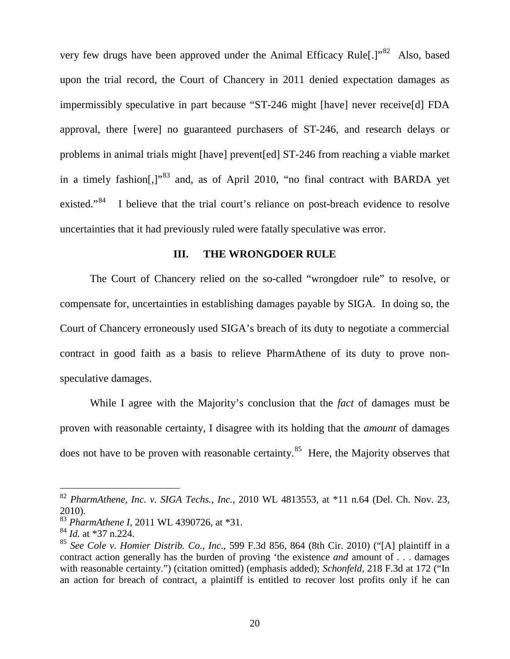very few drugs have been approved under the Animal Efficacy Rule[.]"<sup>82</sup> Also, based upon the trial record, the Court of Chancery in 2011 denied expectation damages as impermissibly speculative in part because "ST-246 might [have] never receive[d] FDA approval, there [were] no guaranteed purchasers of ST-246, and research delays or problems in animal trials might [have] prevent[ed] ST-246 from reaching a viable market in a timely fashion[.]<sup>"[83](#page-76-1)</sup> and, as of April 2010, "no final contract with BARDA yet existed."<sup>84</sup> I believe that the trial court's reliance on post-breach evidence to resolve uncertainties that it had previously ruled were fatally speculative was error.

## **III. THE WRONGDOER RULE**

The Court of Chancery relied on the so-called "wrongdoer rule" to resolve, or compensate for, uncertainties in establishing damages payable by SIGA. In doing so, the Court of Chancery erroneously used SIGA's breach of its duty to negotiate a commercial contract in good faith as a basis to relieve PharmAthene of its duty to prove nonspeculative damages.

While I agree with the Majority's conclusion that the *fact* of damages must be proven with reasonable certainty, I disagree with its holding that the *amount* of damages does not have to be proven with reasonable certainty.<sup>85</sup> Here, the Majority observes that

<span id="page-76-0"></span> <sup>82</sup> *PharmAthene, Inc. v. SIGA Techs., Inc.*, 2010 WL 4813553, at \*11 n.64 (Del. Ch. Nov. 23, 2010).

<span id="page-76-1"></span><sup>83</sup> *PharmAthene I*, 2011 WL 4390726, at \*31.

<span id="page-76-2"></span><sup>84</sup> *Id.* at \*37 n.224.

<span id="page-76-3"></span><sup>85</sup> *See Cole v. Homier Distrib. Co., Inc.*, 599 F.3d 856, 864 (8th Cir. 2010) ("[A] plaintiff in a contract action generally has the burden of proving 'the existence *and* amount of . . . damages with reasonable certainty.") (citation omitted) (emphasis added); *Schonfeld*, 218 F.3d at 172 ("In an action for breach of contract, a plaintiff is entitled to recover lost profits only if he can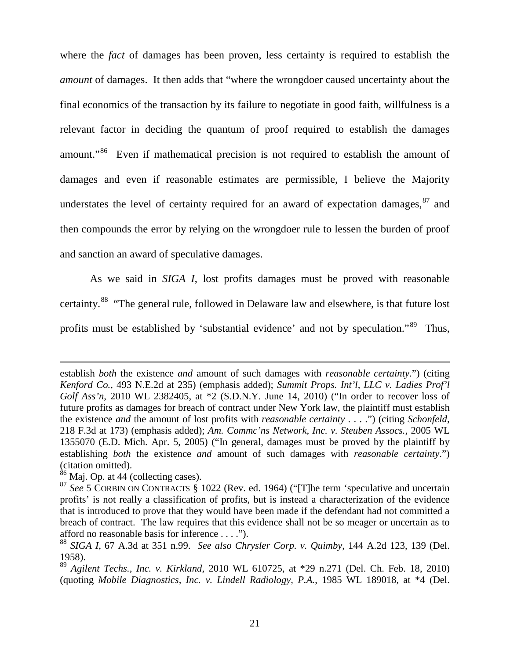where the *fact* of damages has been proven, less certainty is required to establish the *amount* of damages. It then adds that "where the wrongdoer caused uncertainty about the final economics of the transaction by its failure to negotiate in good faith, willfulness is a relevant factor in deciding the quantum of proof required to establish the damages amount."[86](#page-77-0) Even if mathematical precision is not required to establish the amount of damages and even if reasonable estimates are permissible, I believe the Majority understates the level of certainty required for an award of expectation damages,  $87$  and then compounds the error by relying on the wrongdoer rule to lessen the burden of proof and sanction an award of speculative damages.

As we said in *SIGA I*, lost profits damages must be proved with reasonable certainty.[88](#page-77-2) "The general rule, followed in Delaware law and elsewhere, is that future lost profits must be established by 'substantial evidence' and not by speculation."[89](#page-77-3) Thus,

 $\overline{a}$ 

establish *both* the existence *and* amount of such damages with *reasonable certainty*.") (citing *Kenford Co.*, 493 N.E.2d at 235) (emphasis added); *Summit Props. Int'l, LLC v. Ladies Prof'l Golf Ass'n*, 2010 WL 2382405, at \*2 (S.D.N.Y. June 14, 2010) ("In order to recover loss of future profits as damages for breach of contract under New York law, the plaintiff must establish the existence *and* the amount of lost profits with *reasonable certainty* . . . .") (citing *Schonfeld*, 218 F.3d at 173) (emphasis added); *Am. Commc'ns Network, Inc. v. Steuben Assocs.*, 2005 WL 1355070 (E.D. Mich. Apr. 5, 2005) ("In general, damages must be proved by the plaintiff by establishing *both* the existence *and* amount of such damages with *reasonable certainty*.") (citation omitted).

 $86$  Maj. Op. at 44 (collecting cases).

<span id="page-77-1"></span><span id="page-77-0"></span><sup>87</sup> *See* 5 CORBIN ON CONTRACTS § 1022 (Rev. ed. 1964) ("[T]he term 'speculative and uncertain profits' is not really a classification of profits, but is instead a characterization of the evidence that is introduced to prove that they would have been made if the defendant had not committed a breach of contract. The law requires that this evidence shall not be so meager or uncertain as to afford no reasonable basis for inference . . . .").

<span id="page-77-2"></span><sup>88</sup> *SIGA I*, 67 A.3d at 351 n.99. *See also Chrysler Corp. v. Quimby*, 144 A.2d 123, 139 (Del. 1958).

<span id="page-77-3"></span><sup>89</sup> *Agilent Techs., Inc. v. Kirkland*, 2010 WL 610725, at \*29 n.271 (Del. Ch. Feb. 18, 2010) (quoting *Mobile Diagnostics, Inc. v. Lindell Radiology, P.A.*, 1985 WL 189018, at \*4 (Del.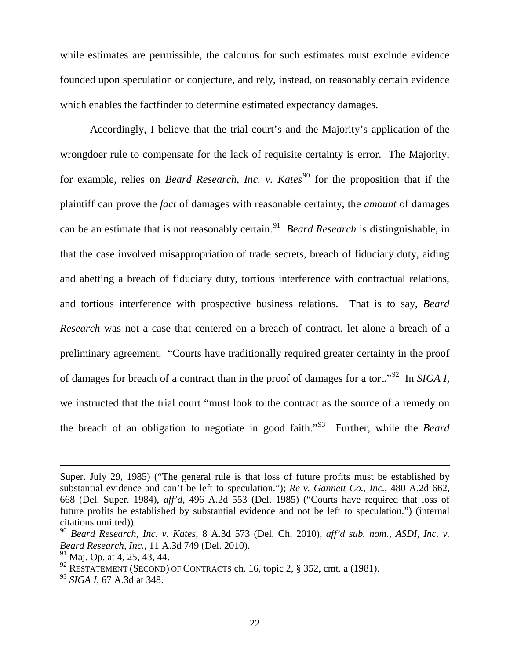while estimates are permissible, the calculus for such estimates must exclude evidence founded upon speculation or conjecture, and rely, instead, on reasonably certain evidence which enables the factfinder to determine estimated expectancy damages.

Accordingly, I believe that the trial court's and the Majority's application of the wrongdoer rule to compensate for the lack of requisite certainty is error. The Majority, for example, relies on *Beard Research, Inc. v. Kates*<sup>[90](#page-78-0)</sup> for the proposition that if the plaintiff can prove the *fact* of damages with reasonable certainty, the *amount* of damages can be an estimate that is not reasonably certain.[91](#page-78-1) *Beard Research* is distinguishable, in that the case involved misappropriation of trade secrets, breach of fiduciary duty, aiding and abetting a breach of fiduciary duty, tortious interference with contractual relations, and tortious interference with prospective business relations. That is to say, *Beard Research* was not a case that centered on a breach of contract, let alone a breach of a preliminary agreement. "Courts have traditionally required greater certainty in the proof of damages for breach of a contract than in the proof of damages for a tort."[92](#page-78-2) In *SIGA I*, we instructed that the trial court "must look to the contract as the source of a remedy on the breach of an obligation to negotiate in good faith."[93](#page-78-3) Further, while the *Beard* 

 $\overline{a}$ 

Super. July 29, 1985) ("The general rule is that loss of future profits must be established by substantial evidence and can't be left to speculation."); *Re v. Gannett Co., Inc.*, 480 A.2d 662, 668 (Del. Super. 1984), *aff'd*, 496 A.2d 553 (Del. 1985) ("Courts have required that loss of future profits be established by substantial evidence and not be left to speculation.") (internal citations omitted)).

<span id="page-78-0"></span><sup>90</sup> *Beard Research, Inc. v. Kates*, 8 A.3d 573 (Del. Ch. 2010), *aff'd sub. nom.*, *ASDI, Inc. v. Beard Research, Inc., 11 A.3d 749 (Del. 2010).*<br><sup>91</sup> Mai. Op. at 4, 25, 43, 44.

<span id="page-78-1"></span>

<span id="page-78-2"></span> $92$  RESTATEMENT (SECOND) OF CONTRACTS ch. 16, topic 2, § 352, cmt. a (1981).

<span id="page-78-3"></span><sup>93</sup> *SIGA I*, 67 A.3d at 348.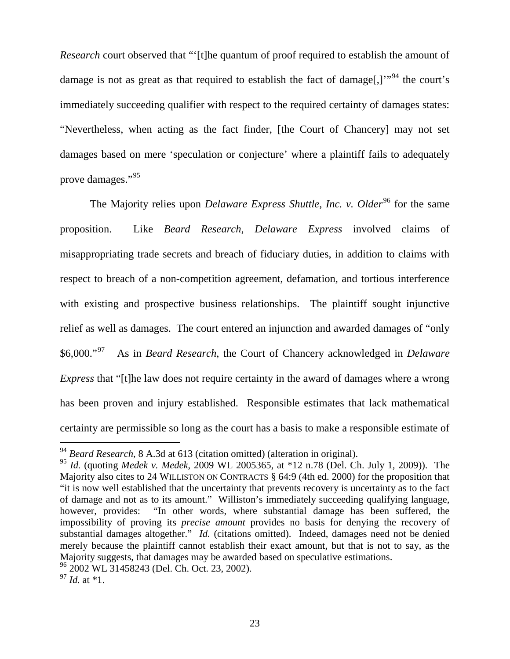*Research* court observed that "'[t]he quantum of proof required to establish the amount of damage is not as great as that required to establish the fact of damage[,] $\cdot$ <sup>[94](#page-79-0)</sup> the court's immediately succeeding qualifier with respect to the required certainty of damages states: "Nevertheless, when acting as the fact finder, [the Court of Chancery] may not set damages based on mere 'speculation or conjecture' where a plaintiff fails to adequately prove damages."[95](#page-79-1)

The Majority relies upon *Delaware Express Shuttle, Inc. v. Older*<sup>[96](#page-79-2)</sup> for the same proposition. Like *Beard Research*, *Delaware Express* involved claims of misappropriating trade secrets and breach of fiduciary duties, in addition to claims with respect to breach of a non-competition agreement, defamation, and tortious interference with existing and prospective business relationships. The plaintiff sought injunctive relief as well as damages. The court entered an injunction and awarded damages of "only \$6,000."[97](#page-79-3) As in *Beard Research*, the Court of Chancery acknowledged in *Delaware Express* that "[t]he law does not require certainty in the award of damages where a wrong has been proven and injury established. Responsible estimates that lack mathematical certainty are permissible so long as the court has a basis to make a responsible estimate of

<span id="page-79-0"></span> <sup>94</sup> *Beard Research*, 8 A.3d at 613 (citation omitted) (alteration in original).

<span id="page-79-1"></span><sup>95</sup> *Id.* (quoting *Medek v. Medek*, 2009 WL 2005365, at \*12 n.78 (Del. Ch. July 1, 2009)). The Majority also cites to 24 WILLISTON ON CONTRACTS § 64:9 (4th ed. 2000) for the proposition that "it is now well established that the uncertainty that prevents recovery is uncertainty as to the fact of damage and not as to its amount." Williston's immediately succeeding qualifying language, however, provides: "In other words, where substantial damage has been suffered, the impossibility of proving its *precise amount* provides no basis for denying the recovery of substantial damages altogether." *Id.* (citations omitted). Indeed, damages need not be denied merely because the plaintiff cannot establish their exact amount, but that is not to say, as the Majority suggests, that damages may be awarded based on speculative estimations.

<span id="page-79-2"></span><sup>&</sup>lt;sup>96</sup> 2002 WL 31458243 (Del. Ch. Oct. 23, 2002).

<span id="page-79-3"></span><sup>97</sup> *Id.* at \*1.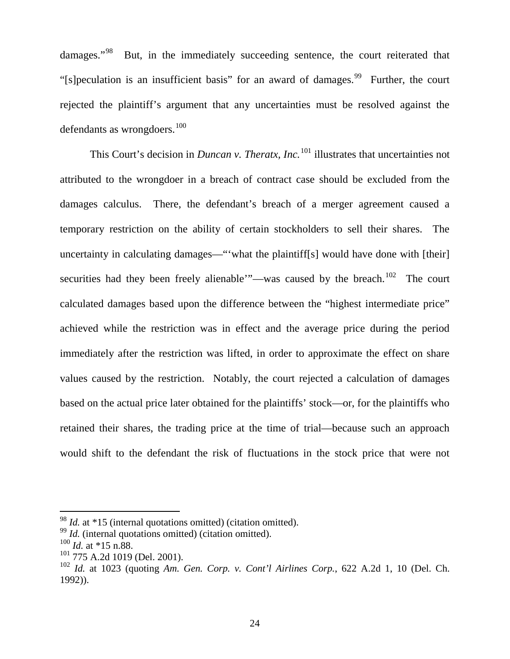damages."<sup>98</sup> But, in the immediately succeeding sentence, the court reiterated that "[s]peculation is an insufficient basis" for an award of damages.<sup>[99](#page-80-1)</sup> Further, the court rejected the plaintiff's argument that any uncertainties must be resolved against the defendants as wrongdoers. $100$ 

This Court's decision in *Duncan v. Theratx, Inc.*<sup>[101](#page-80-3)</sup> illustrates that uncertainties not attributed to the wrongdoer in a breach of contract case should be excluded from the damages calculus. There, the defendant's breach of a merger agreement caused a temporary restriction on the ability of certain stockholders to sell their shares. The uncertainty in calculating damages—"'what the plaintiff[s] would have done with [their] securities had they been freely alienable'"—was caused by the breach.<sup>102</sup> The court calculated damages based upon the difference between the "highest intermediate price" achieved while the restriction was in effect and the average price during the period immediately after the restriction was lifted, in order to approximate the effect on share values caused by the restriction. Notably, the court rejected a calculation of damages based on the actual price later obtained for the plaintiffs' stock—or, for the plaintiffs who retained their shares, the trading price at the time of trial—because such an approach would shift to the defendant the risk of fluctuations in the stock price that were not

<span id="page-80-0"></span> <sup>98</sup> *Id.* at \*15 (internal quotations omitted) (citation omitted).

<span id="page-80-1"></span><sup>&</sup>lt;sup>99</sup> *Id.* (internal quotations omitted) (citation omitted).

<span id="page-80-2"></span><sup>100</sup> *Id.* at \*15 n.88.

<span id="page-80-3"></span><sup>101</sup> 775 A.2d 1019 (Del. 2001).

<span id="page-80-4"></span><sup>102</sup> *Id.* at 1023 (quoting *Am. Gen. Corp. v. Cont'l Airlines Corp.*, 622 A.2d 1, 10 (Del. Ch. 1992)).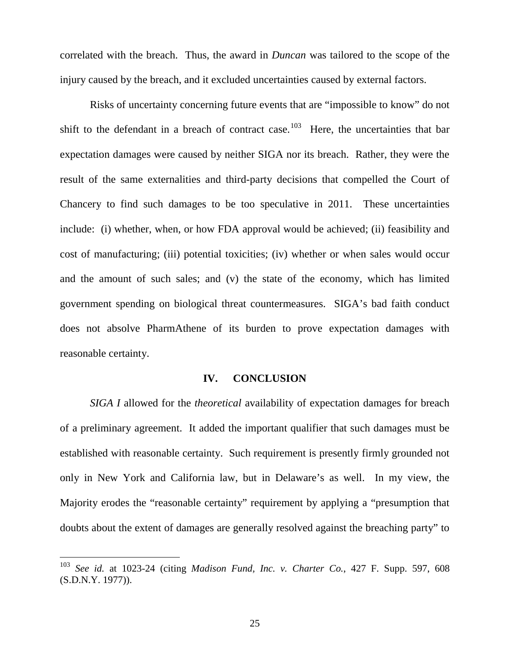correlated with the breach. Thus, the award in *Duncan* was tailored to the scope of the injury caused by the breach, and it excluded uncertainties caused by external factors.

Risks of uncertainty concerning future events that are "impossible to know" do not shift to the defendant in a breach of contract case.<sup>103</sup> Here, the uncertainties that bar expectation damages were caused by neither SIGA nor its breach. Rather, they were the result of the same externalities and third-party decisions that compelled the Court of Chancery to find such damages to be too speculative in 2011. These uncertainties include: (i) whether, when, or how FDA approval would be achieved; (ii) feasibility and cost of manufacturing; (iii) potential toxicities; (iv) whether or when sales would occur and the amount of such sales; and (v) the state of the economy, which has limited government spending on biological threat countermeasures. SIGA's bad faith conduct does not absolve PharmAthene of its burden to prove expectation damages with reasonable certainty.

## **IV. CONCLUSION**

*SIGA I* allowed for the *theoretical* availability of expectation damages for breach of a preliminary agreement. It added the important qualifier that such damages must be established with reasonable certainty. Such requirement is presently firmly grounded not only in New York and California law, but in Delaware's as well. In my view, the Majority erodes the "reasonable certainty" requirement by applying a "presumption that doubts about the extent of damages are generally resolved against the breaching party" to

<span id="page-81-0"></span> <sup>103</sup> *See id.* at 1023-24 (citing *Madison Fund, Inc. v. Charter Co.*, 427 F. Supp. 597, 608 (S.D.N.Y. 1977)).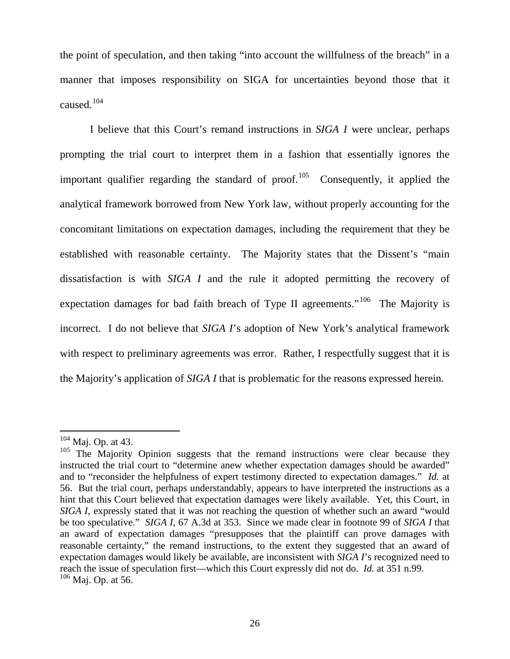the point of speculation, and then taking "into account the willfulness of the breach" in a manner that imposes responsibility on SIGA for uncertainties beyond those that it caused.[104](#page-82-0)

I believe that this Court's remand instructions in *SIGA I* were unclear, perhaps prompting the trial court to interpret them in a fashion that essentially ignores the important qualifier regarding the standard of proof.<sup>[105](#page-82-1)</sup> Consequently, it applied the analytical framework borrowed from New York law, without properly accounting for the concomitant limitations on expectation damages, including the requirement that they be established with reasonable certainty. The Majority states that the Dissent's "main dissatisfaction is with *SIGA I* and the rule it adopted permitting the recovery of expectation damages for bad faith breach of Type II agreements."<sup>106</sup> The Majority is incorrect. I do not believe that *SIGA I*'s adoption of New York's analytical framework with respect to preliminary agreements was error. Rather, I respectfully suggest that it is the Majority's application of *SIGA I* that is problematic for the reasons expressed herein.

<span id="page-82-2"></span>

<span id="page-82-1"></span><span id="page-82-0"></span><sup>&</sup>lt;sup>104</sup> Maj. Op. at 43. **105** The Majority Opinion suggests that the remand instructions were clear because they instructed the trial court to "determine anew whether expectation damages should be awarded" and to "reconsider the helpfulness of expert testimony directed to expectation damages." *Id.* at 56. But the trial court, perhaps understandably, appears to have interpreted the instructions as a hint that this Court believed that expectation damages were likely available. Yet, this Court, in *SIGA I*, expressly stated that it was not reaching the question of whether such an award "would be too speculative." *SIGA I*, 67 A.3d at 353. Since we made clear in footnote 99 of *SIGA I* that an award of expectation damages "presupposes that the plaintiff can prove damages with reasonable certainty," the remand instructions, to the extent they suggested that an award of expectation damages would likely be available, are inconsistent with *SIGA I*'s recognized need to reach the issue of speculation first—which this Court expressly did not do. *Id.* at 351 n.99.  $106$  Maj. Op. at 56.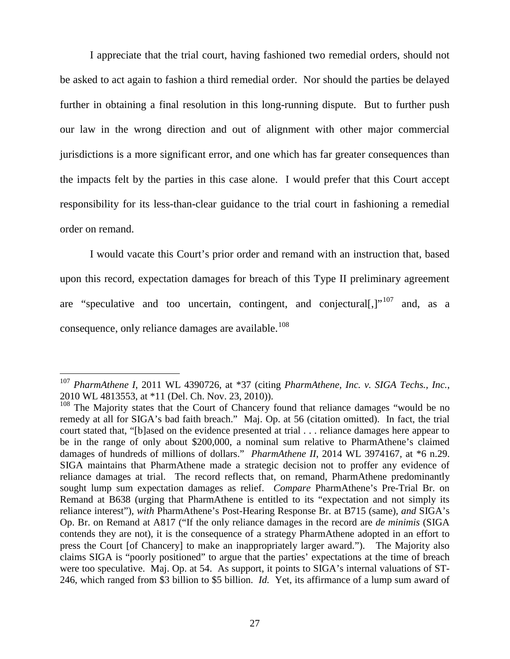I appreciate that the trial court, having fashioned two remedial orders, should not be asked to act again to fashion a third remedial order. Nor should the parties be delayed further in obtaining a final resolution in this long-running dispute. But to further push our law in the wrong direction and out of alignment with other major commercial jurisdictions is a more significant error, and one which has far greater consequences than the impacts felt by the parties in this case alone. I would prefer that this Court accept responsibility for its less-than-clear guidance to the trial court in fashioning a remedial order on remand.

I would vacate this Court's prior order and remand with an instruction that, based upon this record, expectation damages for breach of this Type II preliminary agreement are "speculative and too uncertain, contingent, and conjectural  $[3]$ <sup>[107](#page-83-0)</sup> and, as a consequence, only reliance damages are available.<sup>[108](#page-83-1)</sup>

<span id="page-83-0"></span> <sup>107</sup> *PharmAthene I*, 2011 WL 4390726, at \*37 (citing *PharmAthene, Inc. v. SIGA Techs., Inc.*, 2010 WL 4813553, at \*11 (Del. Ch. Nov. 23, 2010)).

<span id="page-83-1"></span><sup>&</sup>lt;sup>108</sup> The Majority states that the Court of Chancery found that reliance damages "would be no remedy at all for SIGA's bad faith breach." Maj. Op. at 56 (citation omitted). In fact, the trial court stated that, "[b]ased on the evidence presented at trial . . . reliance damages here appear to be in the range of only about \$200,000, a nominal sum relative to PharmAthene's claimed damages of hundreds of millions of dollars." *PharmAthene II*, 2014 WL 3974167, at \*6 n.29. SIGA maintains that PharmAthene made a strategic decision not to proffer any evidence of reliance damages at trial. The record reflects that, on remand, PharmAthene predominantly sought lump sum expectation damages as relief. *Compare* PharmAthene's Pre-Trial Br. on Remand at B638 (urging that PharmAthene is entitled to its "expectation and not simply its reliance interest"), *with* PharmAthene's Post-Hearing Response Br. at B715 (same), *and* SIGA's Op. Br. on Remand at A817 ("If the only reliance damages in the record are *de minimis* (SIGA contends they are not), it is the consequence of a strategy PharmAthene adopted in an effort to press the Court [of Chancery] to make an inappropriately larger award."). The Majority also claims SIGA is "poorly positioned" to argue that the parties' expectations at the time of breach were too speculative. Maj. Op. at 54. As support, it points to SIGA's internal valuations of ST-246, which ranged from \$3 billion to \$5 billion. *Id.* Yet, its affirmance of a lump sum award of